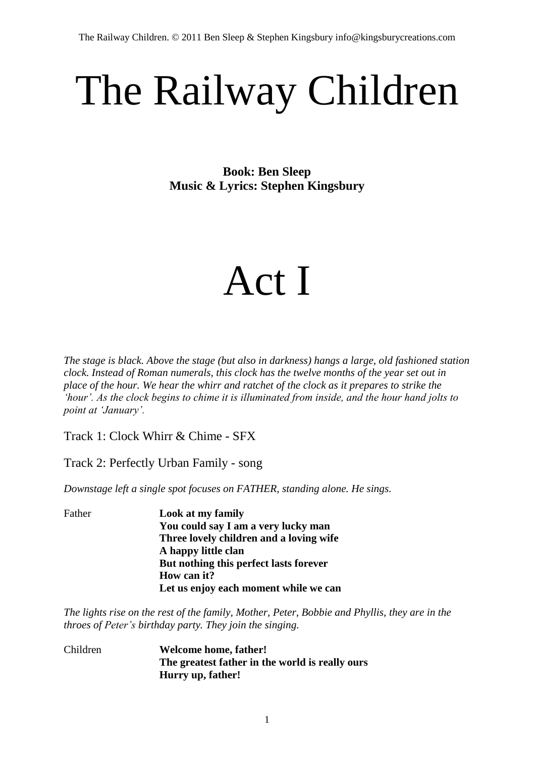# The Railway Children

**Book: Ben Sleep Music & Lyrics: Stephen Kingsbury**

## Act I

*The stage is black. Above the stage (but also in darkness) hangs a large, old fashioned station clock. Instead of Roman numerals, this clock has the twelve months of the year set out in place of the hour. We hear the whirr and ratchet of the clock as it prepares to strike the 'hour'. As the clock begins to chime it is illuminated from inside, and the hour hand jolts to point at 'January'.*

Track 1: Clock Whirr & Chime - SFX

Track 2: Perfectly Urban Family - song

*Downstage left a single spot focuses on FATHER, standing alone. He sings.*

Father **Look at my family You could say I am a very lucky man Three lovely children and a loving wife A happy little clan But nothing this perfect lasts forever How can it? Let us enjoy each moment while we can**

*The lights rise on the rest of the family, Mother, Peter, Bobbie and Phyllis, they are in the throes of Peter's birthday party. They join the singing.*

Children **Welcome home, father! The greatest father in the world is really ours Hurry up, father!**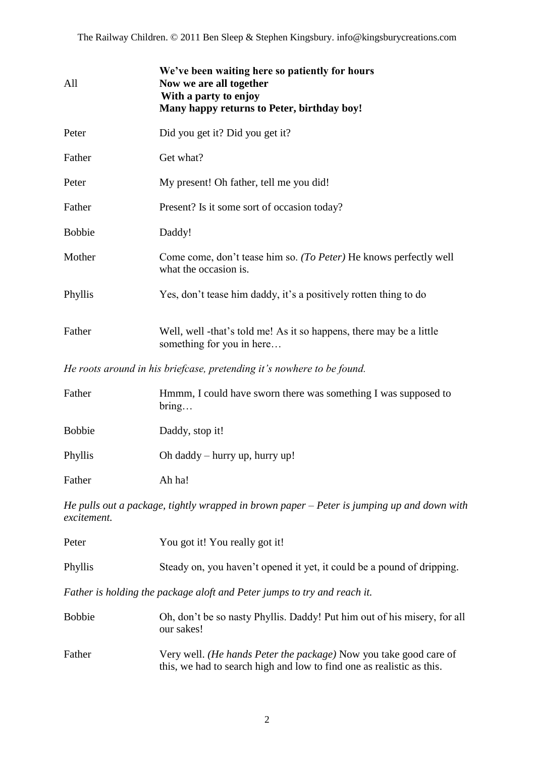| All           | We've been waiting here so patiently for hours<br>Now we are all together<br>With a party to enjoy<br>Many happy returns to Peter, birthday boy! |
|---------------|--------------------------------------------------------------------------------------------------------------------------------------------------|
| Peter         | Did you get it? Did you get it?                                                                                                                  |
| Father        | Get what?                                                                                                                                        |
| Peter         | My present! Oh father, tell me you did!                                                                                                          |
| Father        | Present? Is it some sort of occasion today?                                                                                                      |
| <b>Bobbie</b> | Daddy!                                                                                                                                           |
| Mother        | Come come, don't tease him so. (To Peter) He knows perfectly well<br>what the occasion is.                                                       |
| Phyllis       | Yes, don't tease him daddy, it's a positively rotten thing to do                                                                                 |
| Father        | Well, well -that's told me! As it so happens, there may be a little<br>something for you in here                                                 |
|               |                                                                                                                                                  |

*He roots around in his briefcase, pretending it's nowhere to be found.*

| Father        | Hmmm, I could have sworn there was something I was supposed to<br>bring |
|---------------|-------------------------------------------------------------------------|
| <b>Bobbie</b> | Daddy, stop it!                                                         |
| Phyllis       | Oh daddy – hurry up, hurry up!                                          |
| Father        | Ah ha!                                                                  |

*He pulls out a package, tightly wrapped in brown paper – Peter is jumping up and down with excitement.*

| Peter         | You got it! You really got it!                                                                                                             |
|---------------|--------------------------------------------------------------------------------------------------------------------------------------------|
| Phyllis       | Steady on, you haven't opened it yet, it could be a pound of dripping.                                                                     |
|               | Father is holding the package aloft and Peter jumps to try and reach it.                                                                   |
| <b>Bobbie</b> | Oh, don't be so nasty Phyllis. Daddy! Put him out of his misery, for all<br>our sakes!                                                     |
| Father        | Very well. (He hands Peter the package) Now you take good care of<br>this, we had to search high and low to find one as realistic as this. |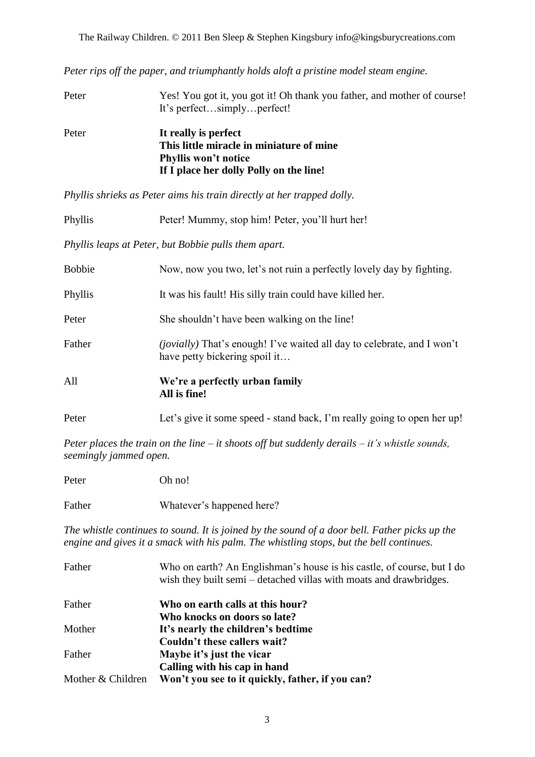*Peter rips off the paper, and triumphantly holds aloft a pristine model steam engine.*

| Peter | Yes! You got it, you got it! Oh thank you father, and mother of course!<br>It's perfectsimplyperfect! |
|-------|-------------------------------------------------------------------------------------------------------|
| Peter | It really is perfect<br>This little miracle in miniature of mine                                      |
|       | Phyllis won't notice                                                                                  |
|       | If I place her dolly Polly on the line!                                                               |

*Phyllis shrieks as Peter aims his train directly at her trapped dolly.*

| Phyllis                                              | Peter! Mummy, stop him! Peter, you'll hurt her!                                                                 |  |
|------------------------------------------------------|-----------------------------------------------------------------------------------------------------------------|--|
| Phyllis leaps at Peter, but Bobbie pulls them apart. |                                                                                                                 |  |
| <b>Bobbie</b>                                        | Now, now you two, let's not ruin a perfectly lovely day by fighting.                                            |  |
| Phyllis                                              | It was his fault! His silly train could have killed her.                                                        |  |
| Peter                                                | She shouldn't have been walking on the line!                                                                    |  |
| Father                                               | <i>(jovially)</i> That's enough! I've waited all day to celebrate, and I won't<br>have petty bickering spoil it |  |
| All                                                  | We're a perfectly urban family<br>All is fine!                                                                  |  |
| Peter                                                | Let's give it some speed - stand back, I'm really going to open her up!                                         |  |

*Peter places the train on the line – it shoots off but suddenly derails – it's whistle sounds, seemingly jammed open.*

| Peter  | Oh no!                    |
|--------|---------------------------|
| Father | Whatever's happened here? |

*The whistle continues to sound. It is joined by the sound of a door bell. Father picks up the engine and gives it a smack with his palm. The whistling stops, but the bell continues.*

| Father            | Who on earth? An Englishman's house is his castle, of course, but I do<br>wish they built semi – detached villas with moats and drawbridges. |
|-------------------|----------------------------------------------------------------------------------------------------------------------------------------------|
| Father            | Who on earth calls at this hour?                                                                                                             |
|                   | Who knocks on doors so late?                                                                                                                 |
| Mother            | It's nearly the children's bedtime                                                                                                           |
|                   | Couldn't these callers wait?                                                                                                                 |
| Father            | Maybe it's just the vicar                                                                                                                    |
|                   | Calling with his cap in hand                                                                                                                 |
| Mother & Children | Won't you see to it quickly, father, if you can?                                                                                             |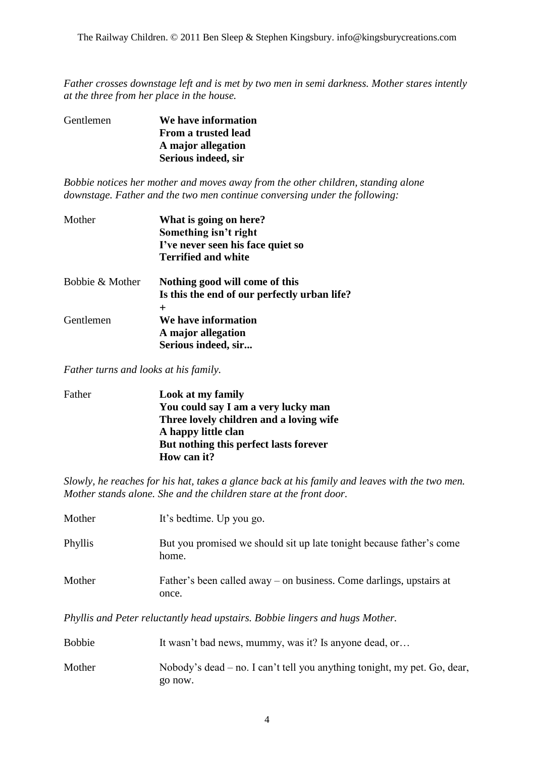*Father crosses downstage left and is met by two men in semi darkness. Mother stares intently at the three from her place in the house.* 

| Gentlemen | We have information |
|-----------|---------------------|
|           | From a trusted lead |
|           | A major allegation  |
|           | Serious indeed, sir |
|           |                     |

*Bobbie notices her mother and moves away from the other children, standing alone downstage. Father and the two men continue conversing under the following:*

| Mother          | What is going on here?<br>Something isn't right<br>I've never seen his face quiet so<br><b>Terrified and white</b> |
|-----------------|--------------------------------------------------------------------------------------------------------------------|
| Bobbie & Mother | Nothing good will come of this<br>Is this the end of our perfectly urban life?                                     |
|                 | $\pm$                                                                                                              |
| Gentlemen       | We have information<br>A major allegation<br>Serious indeed, sir                                                   |

*Father turns and looks at his family.*

| Father | Look at my family                       |
|--------|-----------------------------------------|
|        | You could say I am a very lucky man     |
|        | Three lovely children and a loving wife |
|        | A happy little clan                     |
|        | But nothing this perfect lasts forever  |
|        | How can it?                             |
|        |                                         |

*Slowly, he reaches for his hat, takes a glance back at his family and leaves with the two men. Mother stands alone. She and the children stare at the front door.*

| Mother                                                                       | It's bedtime. Up you go.                                                       |
|------------------------------------------------------------------------------|--------------------------------------------------------------------------------|
| Phyllis                                                                      | But you promised we should sit up late to night because father's come<br>home. |
| Mother                                                                       | Father's been called away – on business. Come darlings, upstairs at<br>once.   |
| Phyllis and Peter reluctantly head upstairs. Bobbie lingers and hugs Mother. |                                                                                |

| <b>Bobbie</b> | It wasn't bad news, mummy, was it? Is anyone dead, or                               |
|---------------|-------------------------------------------------------------------------------------|
| Mother        | Nobody's dead – no. I can't tell you anything tonight, my pet. Go, dear,<br>go now. |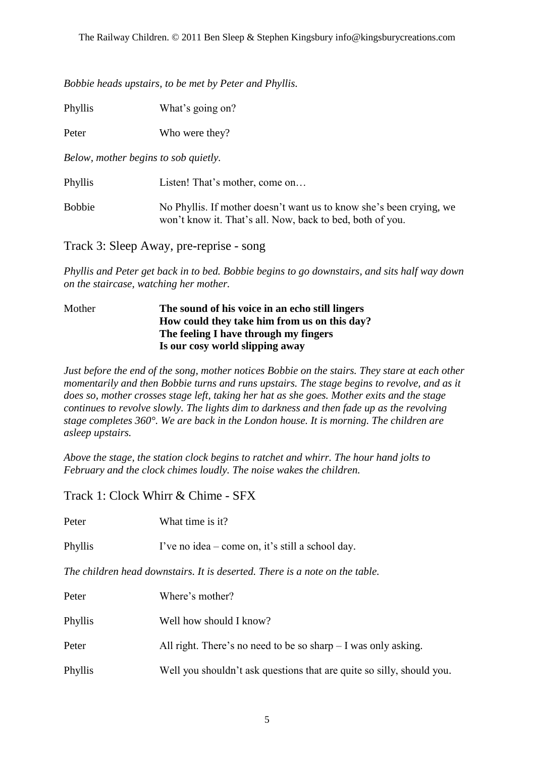*Bobbie heads upstairs, to be met by Peter and Phyllis.*

Phyllis What's going on?

Peter Who were they?

*Below, mother begins to sob quietly.*

Phyllis Listen! That's mother, come on…

Bobbie No Phyllis. If mother doesn't want us to know she's been crying, we won"t know it. That"s all. Now, back to bed, both of you.

Track 3: Sleep Away, pre-reprise - song

*Phyllis and Peter get back in to bed. Bobbie begins to go downstairs, and sits half way down on the staircase, watching her mother.* 

#### Mother **The sound of his voice in an echo still lingers How could they take him from us on this day? The feeling I have through my fingers Is our cosy world slipping away**

*Just before the end of the song, mother notices Bobbie on the stairs. They stare at each other momentarily and then Bobbie turns and runs upstairs. The stage begins to revolve, and as it does so, mother crosses stage left, taking her hat as she goes. Mother exits and the stage continues to revolve slowly. The lights dim to darkness and then fade up as the revolving stage completes 360°. We are back in the London house. It is morning. The children are asleep upstairs.*

*Above the stage, the station clock begins to ratchet and whirr. The hour hand jolts to February and the clock chimes loudly. The noise wakes the children.*

Track 1: Clock Whirr & Chime - SFX

| Peter                                                                       | What time is it?                                                      |  |
|-----------------------------------------------------------------------------|-----------------------------------------------------------------------|--|
| Phyllis                                                                     | I've no idea – come on, it's still a school day.                      |  |
| The children head downstairs. It is deserted. There is a note on the table. |                                                                       |  |
| Peter                                                                       | Where's mother?                                                       |  |
| Phyllis                                                                     | Well how should I know?                                               |  |
| Peter                                                                       | All right. There's no need to be so sharp $-I$ was only asking.       |  |
| Phyllis                                                                     | Well you shouldn't ask questions that are quite so silly, should you. |  |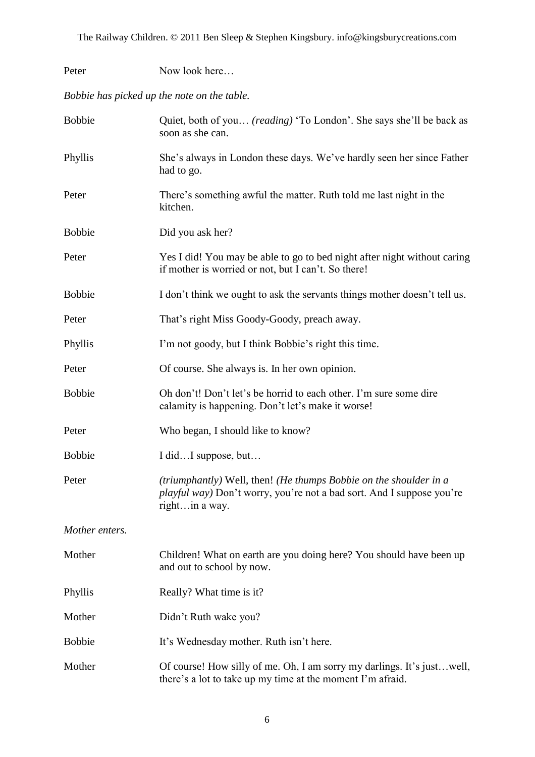| Peter          | Now look here                                                                                                                                                         |  |  |
|----------------|-----------------------------------------------------------------------------------------------------------------------------------------------------------------------|--|--|
|                | Bobbie has picked up the note on the table.                                                                                                                           |  |  |
| <b>Bobbie</b>  | Quiet, both of you <i>(reading)</i> 'To London'. She says she'll be back as<br>soon as she can.                                                                       |  |  |
| Phyllis        | She's always in London these days. We've hardly seen her since Father<br>had to go.                                                                                   |  |  |
| Peter          | There's something awful the matter. Ruth told me last night in the<br>kitchen.                                                                                        |  |  |
| <b>Bobbie</b>  | Did you ask her?                                                                                                                                                      |  |  |
| Peter          | Yes I did! You may be able to go to bed night after night without caring<br>if mother is worried or not, but I can't. So there!                                       |  |  |
| <b>Bobbie</b>  | I don't think we ought to ask the servants things mother doesn't tell us.                                                                                             |  |  |
| Peter          | That's right Miss Goody-Goody, preach away.                                                                                                                           |  |  |
| Phyllis        | I'm not goody, but I think Bobbie's right this time.                                                                                                                  |  |  |
| Peter          | Of course. She always is. In her own opinion.                                                                                                                         |  |  |
| <b>Bobbie</b>  | Oh don't! Don't let's be horrid to each other. I'm sure some dire<br>calamity is happening. Don't let's make it worse!                                                |  |  |
| Peter          | Who began, I should like to know?                                                                                                                                     |  |  |
| <b>Bobbie</b>  | I didI suppose, but                                                                                                                                                   |  |  |
| Peter          | (triumphantly) Well, then! (He thumps Bobbie on the shoulder in a<br><i>playful way</i> ) Don't worry, you're not a bad sort. And I suppose you're<br>right in a way. |  |  |
| Mother enters. |                                                                                                                                                                       |  |  |
| Mother         | Children! What on earth are you doing here? You should have been up<br>and out to school by now.                                                                      |  |  |
| Phyllis        | Really? What time is it?                                                                                                                                              |  |  |
| Mother         | Didn't Ruth wake you?                                                                                                                                                 |  |  |
| <b>Bobbie</b>  | It's Wednesday mother. Ruth isn't here.                                                                                                                               |  |  |
| Mother         | Of course! How silly of me. Oh, I am sorry my darlings. It's just well,<br>there's a lot to take up my time at the moment I'm afraid.                                 |  |  |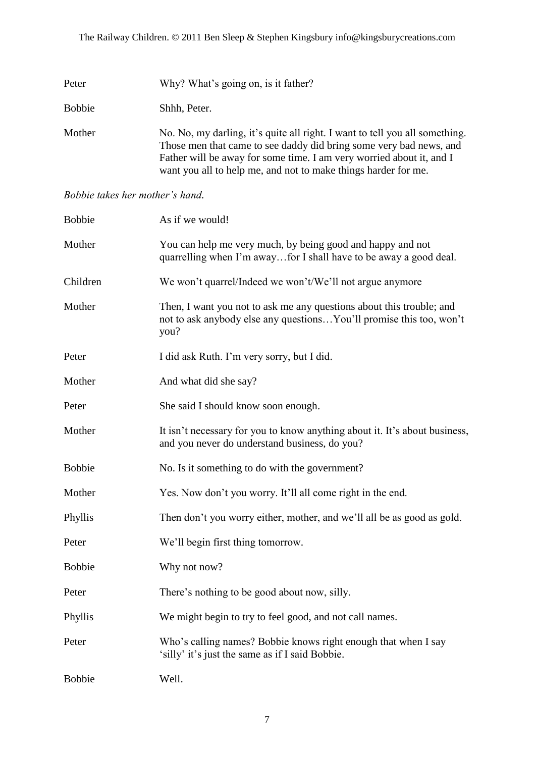| Peter         | Why? What's going on, is it father?                                                                                                                                                                                                                                                         |
|---------------|---------------------------------------------------------------------------------------------------------------------------------------------------------------------------------------------------------------------------------------------------------------------------------------------|
| <b>Bobbie</b> | Shhh, Peter.                                                                                                                                                                                                                                                                                |
| Mother        | No. No, my darling, it's quite all right. I want to tell you all something.<br>Those men that came to see daddy did bring some very bad news, and<br>Father will be away for some time. I am very worried about it, and I<br>want you all to help me, and not to make things harder for me. |

#### *Bobbie takes her mother's hand.*

| <b>Bobbie</b> | As if we would!                                                                                                                                      |
|---------------|------------------------------------------------------------------------------------------------------------------------------------------------------|
| Mother        | You can help me very much, by being good and happy and not<br>quarrelling when I'm awayfor I shall have to be away a good deal.                      |
| Children      | We won't quarrel/Indeed we won't/We'll not argue anymore                                                                                             |
| Mother        | Then, I want you not to ask me any questions about this trouble; and<br>not to ask anybody else any questions You'll promise this too, won't<br>you? |
| Peter         | I did ask Ruth. I'm very sorry, but I did.                                                                                                           |
| Mother        | And what did she say?                                                                                                                                |
| Peter         | She said I should know soon enough.                                                                                                                  |
| Mother        | It isn't necessary for you to know anything about it. It's about business,<br>and you never do understand business, do you?                          |
| <b>Bobbie</b> | No. Is it something to do with the government?                                                                                                       |
| Mother        | Yes. Now don't you worry. It'll all come right in the end.                                                                                           |
| Phyllis       | Then don't you worry either, mother, and we'll all be as good as gold.                                                                               |
| Peter         | We'll begin first thing tomorrow.                                                                                                                    |
| <b>Bobbie</b> | Why not now?                                                                                                                                         |
| Peter         | There's nothing to be good about now, silly.                                                                                                         |
| Phyllis       | We might begin to try to feel good, and not call names.                                                                                              |
| Peter         | Who's calling names? Bobbie knows right enough that when I say<br>'silly' it's just the same as if I said Bobbie.                                    |
| <b>Bobbie</b> | Well.                                                                                                                                                |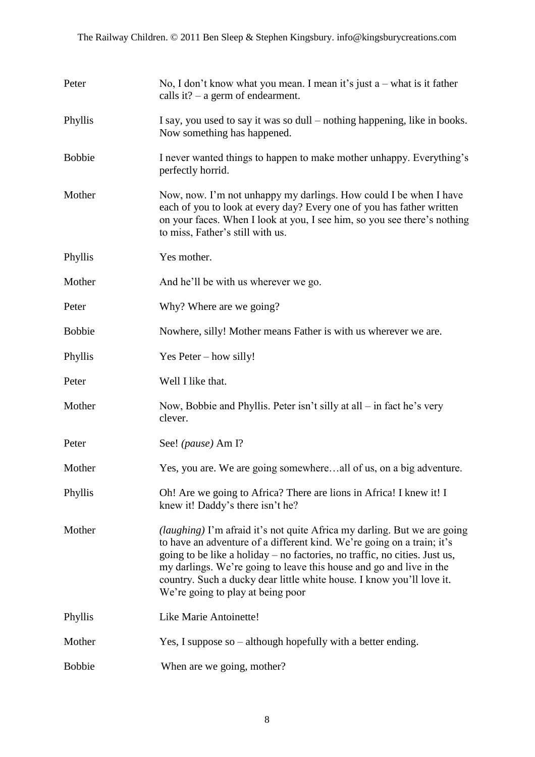| Peter         | No, I don't know what you mean. I mean it's just $a$ – what is it father<br>calls it? $-$ a germ of endearment.                                                                                                                                                                                                                                                                                                              |
|---------------|------------------------------------------------------------------------------------------------------------------------------------------------------------------------------------------------------------------------------------------------------------------------------------------------------------------------------------------------------------------------------------------------------------------------------|
| Phyllis       | I say, you used to say it was so dull – nothing happening, like in books.<br>Now something has happened.                                                                                                                                                                                                                                                                                                                     |
| <b>Bobbie</b> | I never wanted things to happen to make mother unhappy. Everything's<br>perfectly horrid.                                                                                                                                                                                                                                                                                                                                    |
| Mother        | Now, now. I'm not unhappy my darlings. How could I be when I have<br>each of you to look at every day? Every one of you has father written<br>on your faces. When I look at you, I see him, so you see there's nothing<br>to miss, Father's still with us.                                                                                                                                                                   |
| Phyllis       | Yes mother.                                                                                                                                                                                                                                                                                                                                                                                                                  |
| Mother        | And he'll be with us wherever we go.                                                                                                                                                                                                                                                                                                                                                                                         |
| Peter         | Why? Where are we going?                                                                                                                                                                                                                                                                                                                                                                                                     |
| <b>Bobbie</b> | Nowhere, silly! Mother means Father is with us wherever we are.                                                                                                                                                                                                                                                                                                                                                              |
| Phyllis       | Yes Peter – how silly!                                                                                                                                                                                                                                                                                                                                                                                                       |
| Peter         | Well I like that.                                                                                                                                                                                                                                                                                                                                                                                                            |
| Mother        | Now, Bobbie and Phyllis. Peter isn't silly at all – in fact he's very<br>clever.                                                                                                                                                                                                                                                                                                                                             |
| Peter         | See! (pause) Am I?                                                                                                                                                                                                                                                                                                                                                                                                           |
| Mother        | Yes, you are. We are going somewhereall of us, on a big adventure.                                                                                                                                                                                                                                                                                                                                                           |
| Phyllis       | Oh! Are we going to Africa? There are lions in Africa! I knew it! I<br>knew it! Daddy's there isn't he?                                                                                                                                                                                                                                                                                                                      |
| Mother        | <i>(laughing)</i> I'm afraid it's not quite Africa my darling. But we are going<br>to have an adventure of a different kind. We're going on a train; it's<br>going to be like a holiday – no factories, no traffic, no cities. Just us,<br>my darlings. We're going to leave this house and go and live in the<br>country. Such a ducky dear little white house. I know you'll love it.<br>We're going to play at being poor |
| Phyllis       | Like Marie Antoinette!                                                                                                                                                                                                                                                                                                                                                                                                       |
| Mother        | Yes, I suppose so $-$ although hopefully with a better ending.                                                                                                                                                                                                                                                                                                                                                               |
| <b>Bobbie</b> | When are we going, mother?                                                                                                                                                                                                                                                                                                                                                                                                   |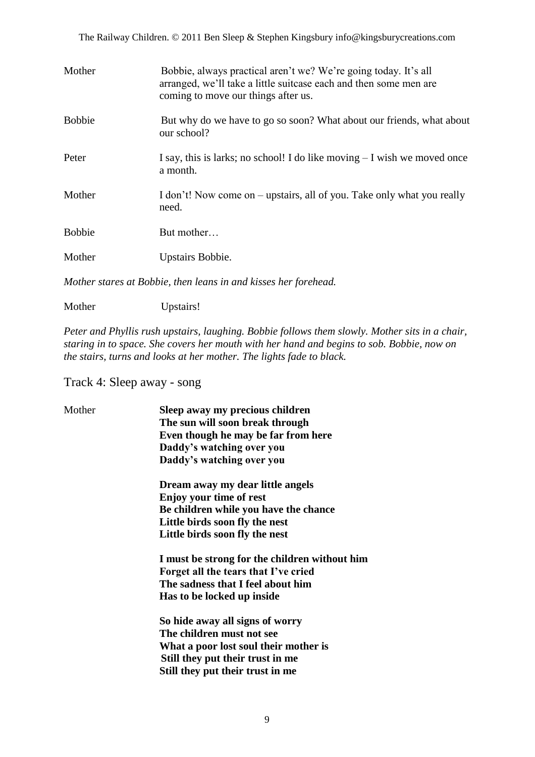The Railway Children. © 2011 Ben Sleep & Stephen Kingsbury info@kingsburycreations.com

| Mother        | Bobbie, always practical aren't we? We're going today. It's all<br>arranged, we'll take a little suitcase each and then some men are<br>coming to move our things after us. |
|---------------|-----------------------------------------------------------------------------------------------------------------------------------------------------------------------------|
| <b>Bobbie</b> | But why do we have to go so soon? What about our friends, what about<br>our school?                                                                                         |
| Peter         | I say, this is larks; no school! I do like moving $-I$ wish we moved once<br>a month.                                                                                       |
| Mother        | I don't! Now come on – upstairs, all of you. Take only what you really<br>need.                                                                                             |
| <b>Bobbie</b> | But mother                                                                                                                                                                  |
| Mother        | Upstairs Bobbie.                                                                                                                                                            |
|               |                                                                                                                                                                             |

*Mother stares at Bobbie, then leans in and kisses her forehead.*

Mother Upstairs!

*Peter and Phyllis rush upstairs, laughing. Bobbie follows them slowly. Mother sits in a chair, staring in to space. She covers her mouth with her hand and begins to sob. Bobbie, now on the stairs, turns and looks at her mother. The lights fade to black.*

Track 4: Sleep away - song

| Mother | Sleep away my precious children<br>The sun will soon break through |
|--------|--------------------------------------------------------------------|
|        | Even though he may be far from here                                |
|        |                                                                    |
|        | Daddy's watching over you                                          |
|        | Daddy's watching over you                                          |
|        | Dream away my dear little angels                                   |
|        | <b>Enjoy your time of rest</b>                                     |
|        | Be children while you have the chance                              |
|        | Little birds soon fly the nest                                     |
|        | Little birds soon fly the nest                                     |
|        | I must be strong for the children without him                      |
|        | Forget all the tears that I've cried                               |
|        | The sadness that I feel about him                                  |
|        | Has to be locked up inside                                         |
|        | So hide away all signs of worry                                    |
|        | The children must not see                                          |
|        | What a poor lost soul their mother is                              |
|        | Still they put their trust in me                                   |
|        | Still they put their trust in me                                   |
|        |                                                                    |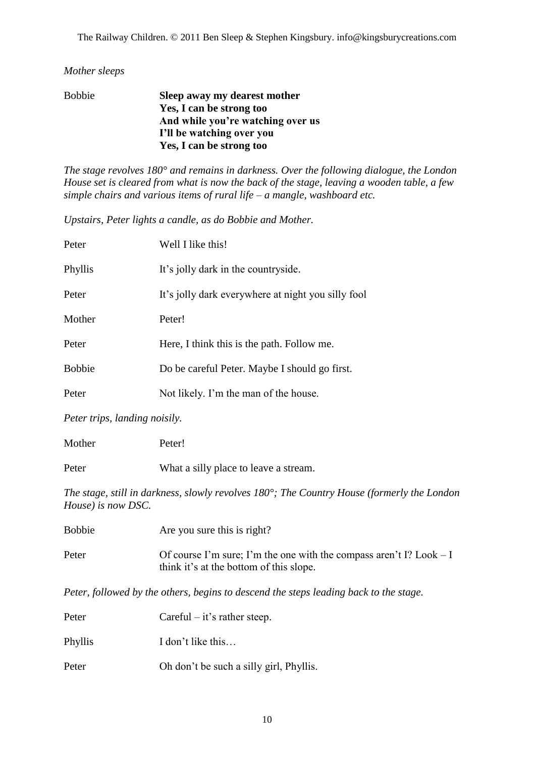#### *Mother sleeps*

| <b>Bobbie</b> | Sleep away my dearest mother      |
|---------------|-----------------------------------|
|               | Yes, I can be strong too          |
|               | And while you're watching over us |
|               | I'll be watching over you         |
|               | Yes, I can be strong too          |

*The stage revolves 180° and remains in darkness. Over the following dialogue, the London House set is cleared from what is now the back of the stage, leaving a wooden table, a few simple chairs and various items of rural life – a mangle, washboard etc.*

*Upstairs, Peter lights a candle, as do Bobbie and Mother.*

| Peter         | Well I like this!                                  |
|---------------|----------------------------------------------------|
| Phyllis       | It's jolly dark in the countryside.                |
| Peter         | It's jolly dark everywhere at night you silly fool |
| Mother        | Peter!                                             |
| Peter         | Here, I think this is the path. Follow me.         |
| <b>Bobbie</b> | Do be careful Peter. Maybe I should go first.      |
| Peter         | Not likely. I'm the man of the house.              |
|               |                                                    |

*Peter trips, landing noisily.*

| Mother | Peter!                                |
|--------|---------------------------------------|
| Peter  | What a silly place to leave a stream. |

*The stage, still in darkness, slowly revolves 180°; The Country House (formerly the London House) is now DSC.*

| <b>Bobbie</b> | Are you sure this is right?                                                                                     |
|---------------|-----------------------------------------------------------------------------------------------------------------|
| Peter         | Of course I'm sure; I'm the one with the compass aren't I? Look $-I$<br>think it's at the bottom of this slope. |

*Peter, followed by the others, begins to descend the steps leading back to the stage.*

| Peter   | $Careful - it's rather steep.$          |
|---------|-----------------------------------------|
| Phyllis | I don't like this                       |
| Peter   | Oh don't be such a silly girl, Phyllis. |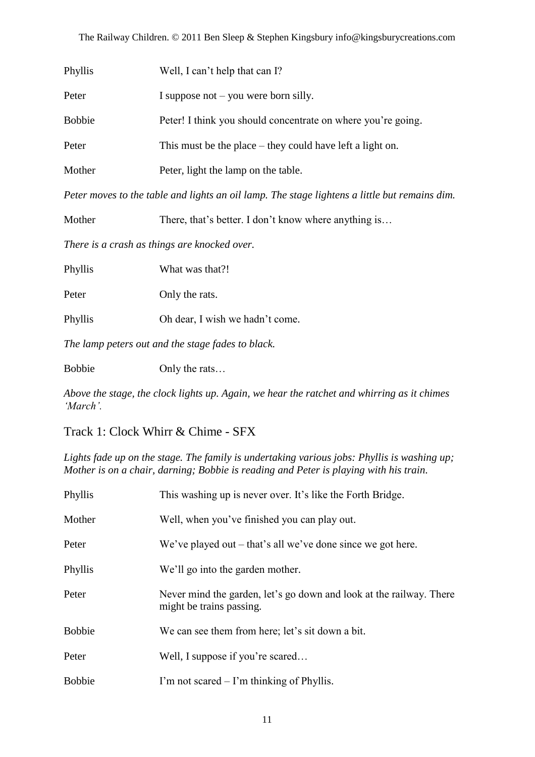| Phyllis       | Well, I can't help that can I?                               |
|---------------|--------------------------------------------------------------|
| Peter         | I suppose not $-$ you were born silly.                       |
| <b>Bobbie</b> | Peter! I think you should concentrate on where you're going. |
| Peter         | This must be the place $-$ they could have left a light on.  |
| Mother        | Peter, light the lamp on the table.                          |
|               |                                                              |

*Peter moves to the table and lights an oil lamp. The stage lightens a little but remains dim.*

Mother There, that's better. I don't know where anything is...

*There is a crash as things are knocked over.*

Phyllis What was that?!

Peter Only the rats.

Phyllis Oh dear, I wish we hadn"t come.

*The lamp peters out and the stage fades to black.*

Bobbie Only the rats...

*Above the stage, the clock lights up. Again, we hear the ratchet and whirring as it chimes 'March'.*

Track 1: Clock Whirr & Chime - SFX

*Lights fade up on the stage. The family is undertaking various jobs: Phyllis is washing up; Mother is on a chair, darning; Bobbie is reading and Peter is playing with his train.*

| Phyllis       | This washing up is never over. It's like the Forth Bridge.                                      |
|---------------|-------------------------------------------------------------------------------------------------|
| Mother        | Well, when you've finished you can play out.                                                    |
| Peter         | We've played out $-$ that's all we've done since we got here.                                   |
| Phyllis       | We'll go into the garden mother.                                                                |
| Peter         | Never mind the garden, let's go down and look at the railway. There<br>might be trains passing. |
| <b>Bobbie</b> | We can see them from here; let's sit down a bit.                                                |
| Peter         | Well, I suppose if you're scared                                                                |
| <b>Bobbie</b> | I'm not scared $-$ I'm thinking of Phyllis.                                                     |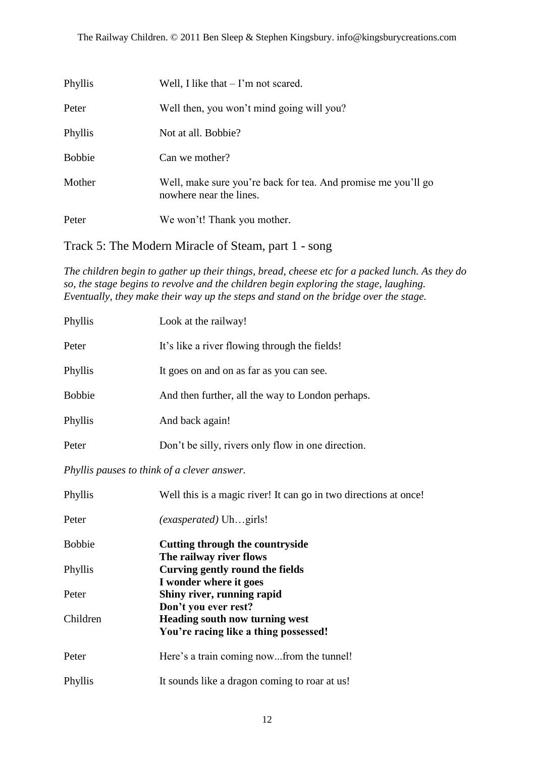| Phyllis       | Well, I like that $-1$ 'm not scared.                                                    |
|---------------|------------------------------------------------------------------------------------------|
| Peter         | Well then, you won't mind going will you?                                                |
| Phyllis       | Not at all. Bobbie?                                                                      |
| <b>Bobbie</b> | Can we mother?                                                                           |
| Mother        | Well, make sure you're back for tea. And promise me you'll go<br>nowhere near the lines. |
| Peter         | We won't! Thank you mother.                                                              |

Track 5: The Modern Miracle of Steam, part 1 - song

*The children begin to gather up their things, bread, cheese etc for a packed lunch. As they do so, the stage begins to revolve and the children begin exploring the stage, laughing. Eventually, they make their way up the steps and stand on the bridge over the stage.*

| Phyllis       | Look at the railway!                               |
|---------------|----------------------------------------------------|
| Peter         | It's like a river flowing through the fields!      |
| Phyllis       | It goes on and on as far as you can see.           |
| <b>Bobbie</b> | And then further, all the way to London perhaps.   |
| Phyllis       | And back again!                                    |
| Peter         | Don't be silly, rivers only flow in one direction. |

*Phyllis pauses to think of a clever answer.*

| Phyllis       | Well this is a magic river! It can go in two directions at once! |
|---------------|------------------------------------------------------------------|
| Peter         | <i>(exasperated)</i> Uhgirls!                                    |
| <b>Bobbie</b> | Cutting through the countryside                                  |
|               | The railway river flows                                          |
| Phyllis       | Curving gently round the fields                                  |
|               | I wonder where it goes                                           |
| Peter         | Shiny river, running rapid                                       |
|               | Don't you ever rest?                                             |
| Children      | <b>Heading south now turning west</b>                            |
|               | You're racing like a thing possessed!                            |
| Peter         | Here's a train coming nowfrom the tunnel!                        |
| Phyllis       | It sounds like a dragon coming to roar at us!                    |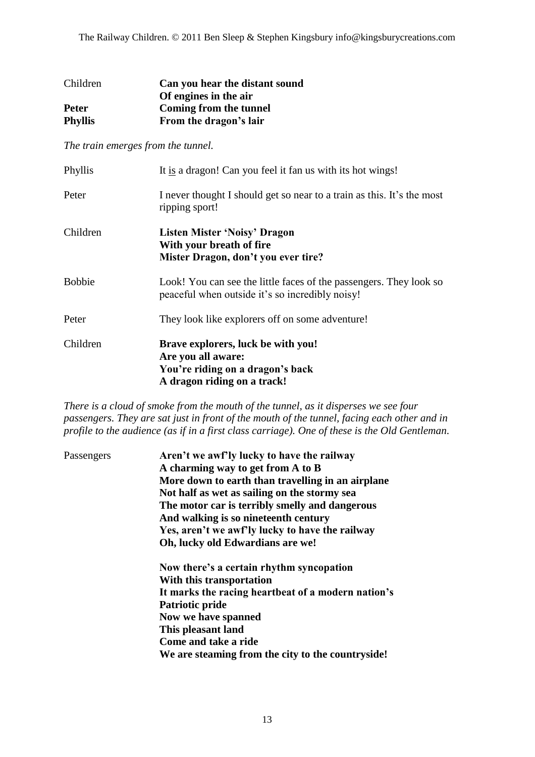| Children       | Can you hear the distant sound |
|----------------|--------------------------------|
|                | Of engines in the air          |
| <b>Peter</b>   | Coming from the tunnel         |
| <b>Phyllis</b> | From the dragon's lair         |

*The train emerges from the tunnel.*

| Phyllis       | It is a dragon! Can you feel it fan us with its hot wings!                                                                  |
|---------------|-----------------------------------------------------------------------------------------------------------------------------|
| Peter         | I never thought I should get so near to a train as this. It's the most<br>ripping sport!                                    |
| Children      | Listen Mister 'Noisy' Dragon<br>With your breath of fire<br>Mister Dragon, don't you ever tire?                             |
| <b>Bobbie</b> | Look! You can see the little faces of the passengers. They look so<br>peaceful when outside it's so incredibly noisy!       |
| Peter         | They look like explorers off on some adventure!                                                                             |
| Children      | Brave explorers, luck be with you!<br>Are you all aware:<br>You're riding on a dragon's back<br>A dragon riding on a track! |

*There is a cloud of smoke from the mouth of the tunnel, as it disperses we see four passengers. They are sat just in front of the mouth of the tunnel, facing each other and in profile to the audience (as if in a first class carriage). One of these is the Old Gentleman.*

| Passengers | Aren't we awf'ly lucky to have the railway         |
|------------|----------------------------------------------------|
|            | A charming way to get from A to B                  |
|            | More down to earth than travelling in an airplane  |
|            | Not half as wet as sailing on the stormy sea       |
|            | The motor car is terribly smelly and dangerous     |
|            | And walking is so nineteenth century               |
|            | Yes, aren't we awf'ly lucky to have the railway    |
|            | Oh, lucky old Edwardians are we!                   |
|            | Now there's a certain rhythm syncopation           |
|            | With this transportation                           |
|            | It marks the racing heartbeat of a modern nation's |
|            | Patriotic pride                                    |
|            | Now we have spanned                                |
|            | This pleasant land                                 |
|            | Come and take a ride                               |
|            | We are steaming from the city to the countryside!  |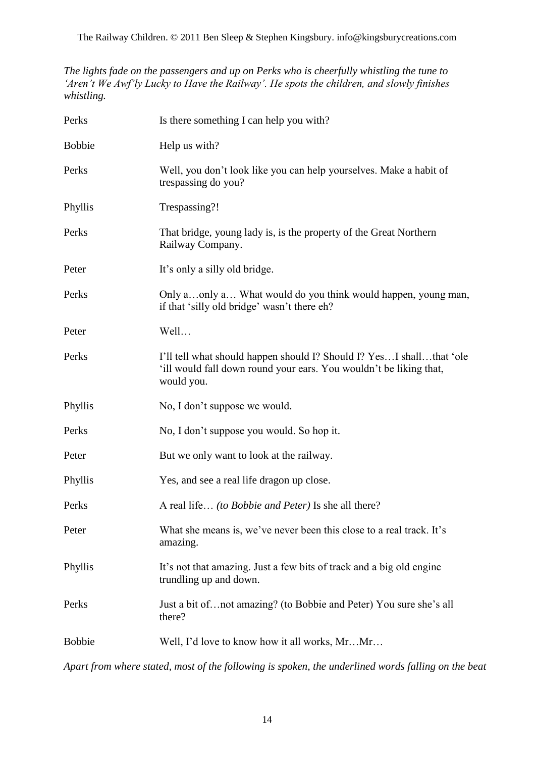The Railway Children. © 2011 Ben Sleep & Stephen Kingsbury. info@kingsburycreations.com

*The lights fade on the passengers and up on Perks who is cheerfully whistling the tune to 'Aren't We Awf'ly Lucky to Have the Railway'. He spots the children, and slowly finishes whistling.*

| Perks         | Is there something I can help you with?                                                                                                                  |
|---------------|----------------------------------------------------------------------------------------------------------------------------------------------------------|
| <b>Bobbie</b> | Help us with?                                                                                                                                            |
| Perks         | Well, you don't look like you can help yourselves. Make a habit of<br>trespassing do you?                                                                |
| Phyllis       | Trespassing?!                                                                                                                                            |
| Perks         | That bridge, young lady is, is the property of the Great Northern<br>Railway Company.                                                                    |
| Peter         | It's only a silly old bridge.                                                                                                                            |
| Perks         | Only aonly a What would do you think would happen, young man,<br>if that 'silly old bridge' wasn't there eh?                                             |
| Peter         | Well                                                                                                                                                     |
| Perks         | I'll tell what should happen should I? Should I? YesI shallthat 'ole<br>'ill would fall down round your ears. You wouldn't be liking that,<br>would you. |
| Phyllis       | No, I don't suppose we would.                                                                                                                            |
| Perks         | No, I don't suppose you would. So hop it.                                                                                                                |
| Peter         | But we only want to look at the railway.                                                                                                                 |
| Phyllis       | Yes, and see a real life dragon up close.                                                                                                                |
| Perks         | A real life <i>(to Bobbie and Peter)</i> Is she all there?                                                                                               |
| Peter         | What she means is, we've never been this close to a real track. It's<br>amazing.                                                                         |
| Phyllis       | It's not that amazing. Just a few bits of track and a big old engine<br>trundling up and down.                                                           |
| Perks         | Just a bit of not amazing? (to Bobbie and Peter) You sure she's all<br>there?                                                                            |
| <b>Bobbie</b> | Well, I'd love to know how it all works, MrMr                                                                                                            |
|               |                                                                                                                                                          |

*Apart from where stated, most of the following is spoken, the underlined words falling on the beat*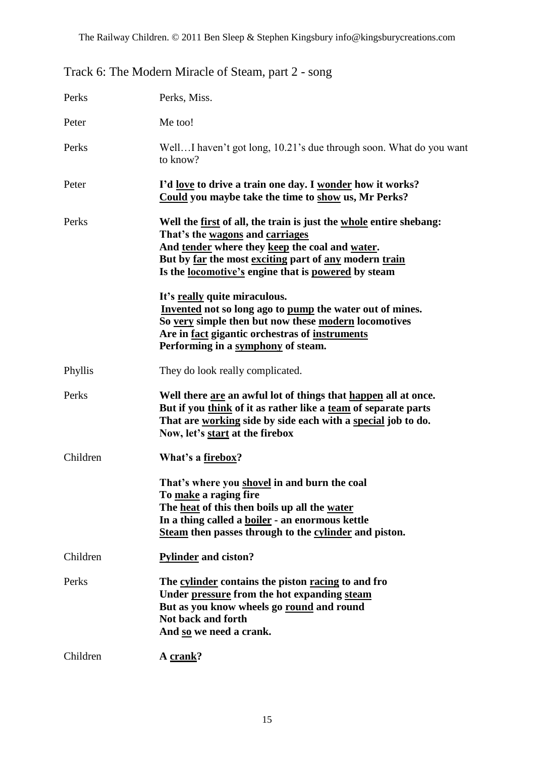| Track 6: The Modern Miracle of Steam, part 2 - song |  |  |
|-----------------------------------------------------|--|--|
|-----------------------------------------------------|--|--|

| Perks    | Perks, Miss.                                                                                                                                                                                                                                                                   |
|----------|--------------------------------------------------------------------------------------------------------------------------------------------------------------------------------------------------------------------------------------------------------------------------------|
| Peter    | Me too!                                                                                                                                                                                                                                                                        |
| Perks    | WellI haven't got long, 10.21's due through soon. What do you want<br>to know?                                                                                                                                                                                                 |
| Peter    | I'd <u>love</u> to drive a train one day. I wonder how it works?<br>Could you maybe take the time to show us, Mr Perks?                                                                                                                                                        |
| Perks    | Well the first of all, the train is just the whole entire shebang:<br>That's the wagons and carriages<br>And tender where they keep the coal and water.<br>But by far the most exciting part of any modern train<br>Is the <u>locomotive's</u> engine that is powered by steam |
|          | It's really quite miraculous.<br>Invented not so long ago to pump the water out of mines.<br>So very simple then but now these modern locomotives<br>Are in <u>fact</u> gigantic orchestras of instruments<br>Performing in a symphony of steam.                               |
| Phyllis  | They do look really complicated.                                                                                                                                                                                                                                               |
| Perks    | Well there are an awful lot of things that happen all at once.<br>But if you think of it as rather like a team of separate parts<br>That are working side by side each with a special job to do.<br>Now, let's start at the firebox                                            |
| Children | What's a firebox?                                                                                                                                                                                                                                                              |
|          | That's where you shovel in and burn the coal<br>To make a raging fire<br>The heat of this then boils up all the water<br>In a thing called a <b>boiler</b> - an enormous kettle<br>Steam then passes through to the cylinder and piston.                                       |
| Children | <b>Pylinder</b> and ciston?                                                                                                                                                                                                                                                    |
| Perks    | The cylinder contains the piston racing to and fro<br>Under pressure from the hot expanding steam<br>But as you know wheels go round and round<br>Not back and forth<br>And so we need a crank.                                                                                |
| Children | A crank?                                                                                                                                                                                                                                                                       |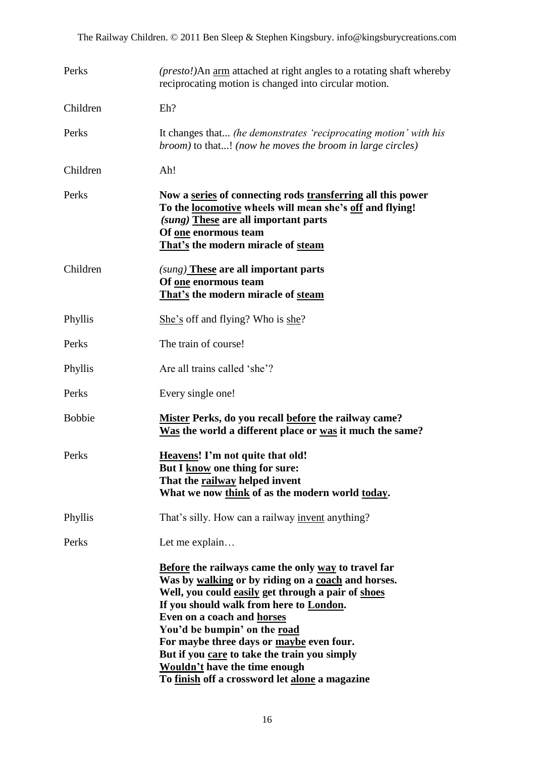| Perks         | ( <i>presto!</i> )An <u>arm</u> attached at right angles to a rotating shaft whereby<br>reciprocating motion is changed into circular motion.                                                                                                                                                                                                                                                                                                                         |
|---------------|-----------------------------------------------------------------------------------------------------------------------------------------------------------------------------------------------------------------------------------------------------------------------------------------------------------------------------------------------------------------------------------------------------------------------------------------------------------------------|
| Children      | Eh?                                                                                                                                                                                                                                                                                                                                                                                                                                                                   |
| Perks         | It changes that (he demonstrates 'reciprocating motion' with his<br><i>broom</i> ) to that! (now he moves the broom in large circles)                                                                                                                                                                                                                                                                                                                                 |
| Children      | Ah!                                                                                                                                                                                                                                                                                                                                                                                                                                                                   |
| Perks         | Now a series of connecting rods transferring all this power<br>To the locomotive wheels will mean she's off and flying!<br>(sung) These are all important parts<br>Of <u>one</u> enormous team<br>That's the modern miracle of steam                                                                                                                                                                                                                                  |
| Children      | (sung) These are all important parts<br>Of one enormous team<br>That's the modern miracle of steam                                                                                                                                                                                                                                                                                                                                                                    |
| Phyllis       | She's off and flying? Who is she?                                                                                                                                                                                                                                                                                                                                                                                                                                     |
| Perks         | The train of course!                                                                                                                                                                                                                                                                                                                                                                                                                                                  |
| Phyllis       | Are all trains called 'she'?                                                                                                                                                                                                                                                                                                                                                                                                                                          |
| Perks         | Every single one!                                                                                                                                                                                                                                                                                                                                                                                                                                                     |
| <b>Bobbie</b> | Mister Perks, do you recall before the railway came?<br>Was the world a different place or was it much the same?                                                                                                                                                                                                                                                                                                                                                      |
| Perks         | <b>Heavens!</b> I'm not quite that old!<br>But I know one thing for sure:<br>That the railway helped invent<br>What we now think of as the modern world today.                                                                                                                                                                                                                                                                                                        |
| Phyllis       | That's silly. How can a railway <u>invent</u> anything?                                                                                                                                                                                                                                                                                                                                                                                                               |
| Perks         | Let me explain                                                                                                                                                                                                                                                                                                                                                                                                                                                        |
|               | <b>Before the railways came the only way to travel far</b><br>Was by walking or by riding on a coach and horses.<br>Well, you could easily get through a pair of shoes<br>If you should walk from here to London.<br>Even on a coach and horses<br>You'd be bumpin' on the road<br>For maybe three days or maybe even four.<br>But if you care to take the train you simply<br><b>Wouldn't have the time enough</b><br>To finish off a crossword let alone a magazine |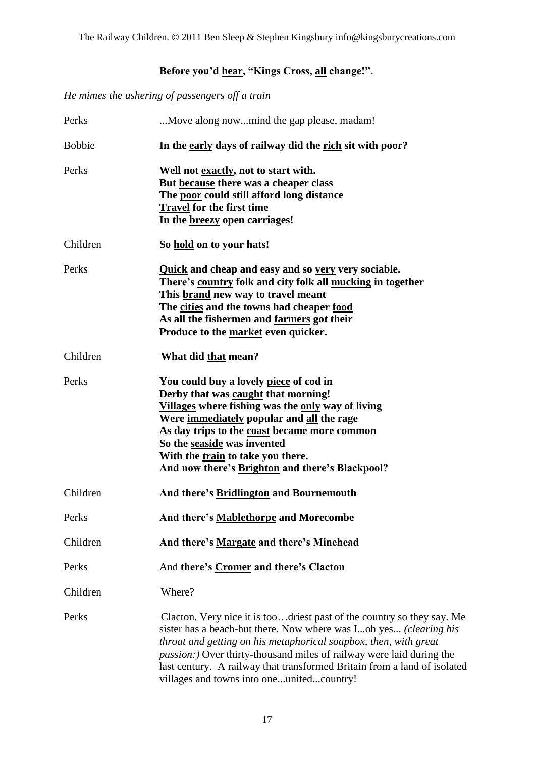### **Before you"d hear, "Kings Cross, all change!".**

*He mimes the ushering of passengers off a train*

| Perks         | Move along nowmind the gap please, madam!                                                                                                                                                                                                                                                                                                                                                                                |
|---------------|--------------------------------------------------------------------------------------------------------------------------------------------------------------------------------------------------------------------------------------------------------------------------------------------------------------------------------------------------------------------------------------------------------------------------|
| <b>Bobbie</b> | In the early days of railway did the rich sit with poor?                                                                                                                                                                                                                                                                                                                                                                 |
| Perks         | Well not exactly, not to start with.<br>But because there was a cheaper class<br>The poor could still afford long distance<br>Travel for the first time<br>In the <b>breezy</b> open carriages!                                                                                                                                                                                                                          |
| Children      | So hold on to your hats!                                                                                                                                                                                                                                                                                                                                                                                                 |
| Perks         | <b>Quick and cheap and easy and so very very sociable.</b><br>There's country folk and city folk all mucking in together<br>This <b>brand</b> new way to travel meant<br>The cities and the towns had cheaper food<br>As all the fishermen and farmers got their<br>Produce to the market even quicker.                                                                                                                  |
| Children      | What did that mean?                                                                                                                                                                                                                                                                                                                                                                                                      |
| Perks         | You could buy a lovely piece of cod in<br>Derby that was caught that morning!<br>Villages where fishing was the only way of living<br>Were immediately popular and all the rage<br>As day trips to the coast became more common<br>So the seaside was invented<br>With the train to take you there.<br>And now there's Brighton and there's Blackpool?                                                                   |
| Children      | And there's Bridlington and Bournemouth                                                                                                                                                                                                                                                                                                                                                                                  |
| Perks         | And there's Mablethorpe and Morecombe                                                                                                                                                                                                                                                                                                                                                                                    |
| Children      | And there's Margate and there's Minehead                                                                                                                                                                                                                                                                                                                                                                                 |
| Perks         | And there's Cromer and there's Clacton                                                                                                                                                                                                                                                                                                                                                                                   |
| Children      | Where?                                                                                                                                                                                                                                                                                                                                                                                                                   |
| Perks         | Clacton. Very nice it is toodriest past of the country so they say. Me<br>sister has a beach-hut there. Now where was Ioh yes (clearing his<br>throat and getting on his metaphorical soapbox, then, with great<br><i>passion:</i> ) Over thirty-thousand miles of railway were laid during the<br>last century. A railway that transformed Britain from a land of isolated<br>villages and towns into oneunitedcountry! |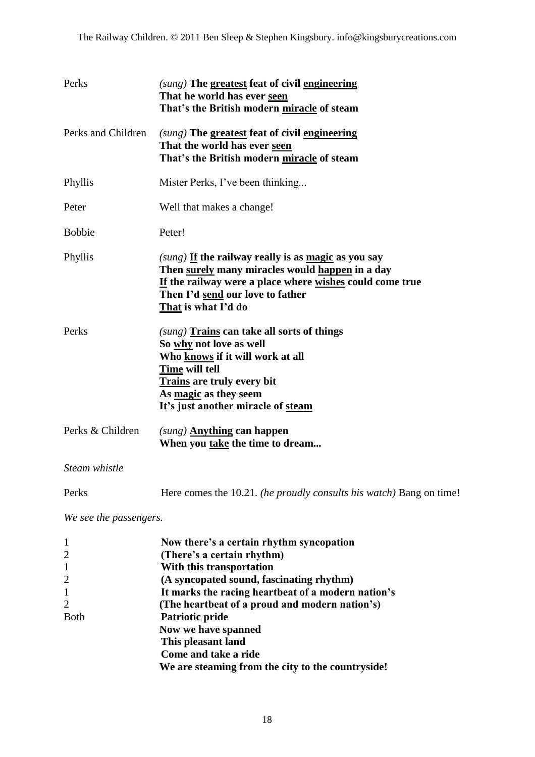| Perks                                                                                                              | (sung) The greatest feat of civil engineering<br>That he world has ever seen<br>That's the British modern miracle of steam                                                                                                                                                                                                                                                                          |
|--------------------------------------------------------------------------------------------------------------------|-----------------------------------------------------------------------------------------------------------------------------------------------------------------------------------------------------------------------------------------------------------------------------------------------------------------------------------------------------------------------------------------------------|
| Perks and Children                                                                                                 | (sung) The greatest feat of civil engineering<br>That the world has ever seen<br>That's the British modern miracle of steam                                                                                                                                                                                                                                                                         |
| Phyllis                                                                                                            | Mister Perks, I've been thinking                                                                                                                                                                                                                                                                                                                                                                    |
| Peter                                                                                                              | Well that makes a change!                                                                                                                                                                                                                                                                                                                                                                           |
| <b>Bobbie</b>                                                                                                      | Peter!                                                                                                                                                                                                                                                                                                                                                                                              |
| Phyllis                                                                                                            | $(sung)$ If the railway really is as <u>magic</u> as you say<br>Then surely many miracles would happen in a day<br>If the railway were a place where wishes could come true<br>Then I'd send our love to father<br>That is what I'd do                                                                                                                                                              |
| Perks                                                                                                              | (sung) Trains can take all sorts of things<br>So why not love as well<br>Who knows if it will work at all<br>Time will tell<br><b>Trains are truly every bit</b><br>As magic as they seem<br>It's just another miracle of steam                                                                                                                                                                     |
| Perks & Children                                                                                                   | $(sung)$ Anything can happen<br>When you take the time to dream                                                                                                                                                                                                                                                                                                                                     |
| Steam whistle                                                                                                      |                                                                                                                                                                                                                                                                                                                                                                                                     |
| Perks                                                                                                              | Here comes the 10.21. (he proudly consults his watch) Bang on time!                                                                                                                                                                                                                                                                                                                                 |
| We see the passengers.                                                                                             |                                                                                                                                                                                                                                                                                                                                                                                                     |
| $\mathbf{1}$<br>$\overline{2}$<br>$\mathbf{1}$<br>$\overline{2}$<br>$\mathbf{1}$<br>$\overline{2}$<br><b>B</b> oth | Now there's a certain rhythm syncopation<br>(There's a certain rhythm)<br>With this transportation<br>(A syncopated sound, fascinating rhythm)<br>It marks the racing heartbeat of a modern nation's<br>(The heartbeat of a proud and modern nation's)<br>Patriotic pride<br>Now we have spanned<br>This pleasant land<br>Come and take a ride<br>We are steaming from the city to the countryside! |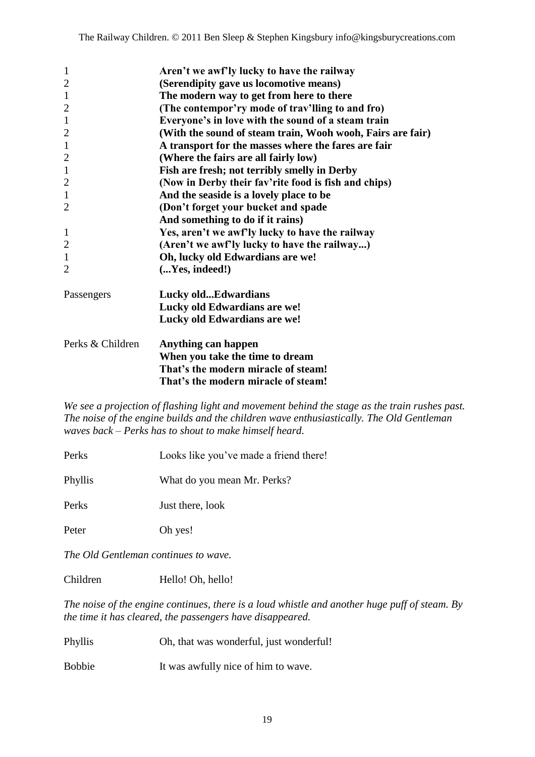| $\mathbf{1}$     | Aren't we awf'ly lucky to have the railway                 |
|------------------|------------------------------------------------------------|
| $\overline{2}$   | (Serendipity gave us locomotive means)                     |
| $\mathbf{1}$     | The modern way to get from here to there                   |
| $\overline{2}$   | (The contempor'ry mode of trav'lling to and fro)           |
| $\mathbf{1}$     | Everyone's in love with the sound of a steam train         |
| $\overline{2}$   | (With the sound of steam train, Wooh wooh, Fairs are fair) |
| $\mathbf{1}$     | A transport for the masses where the fares are fair        |
| $\overline{2}$   | (Where the fairs are all fairly low)                       |
| $\mathbf{1}$     | Fish are fresh; not terribly smelly in Derby               |
| $\overline{2}$   | (Now in Derby their fav'rite food is fish and chips)       |
| $\mathbf{1}$     | And the seaside is a lovely place to be                    |
| $\overline{2}$   | (Don't forget your bucket and spade                        |
|                  | And something to do if it rains)                           |
| $\mathbf{1}$     | Yes, aren't we awf'ly lucky to have the railway            |
| $\overline{2}$   | (Aren't we awf'ly lucky to have the railway)               |
| $\mathbf{1}$     | Oh, lucky old Edwardians are we!                           |
| $\overline{2}$   | (Yes, indeed!)                                             |
| Passengers       | Lucky oldEdwardians                                        |
|                  | Lucky old Edwardians are we!                               |
|                  | Lucky old Edwardians are we!                               |
| Perks & Children | Anything can happen                                        |
|                  | When you take the time to dream                            |
|                  | That's the modern miracle of steam!                        |
|                  | That's the modern miracle of steam!                        |

*We see a projection of flashing light and movement behind the stage as the train rushes past. The noise of the engine builds and the children wave enthusiastically. The Old Gentleman waves back – Perks has to shout to make himself heard.*

- Perks Looks like you"ve made a friend there!
- Phyllis What do you mean Mr. Perks?

Perks Just there, look

Peter Oh yes!

*The Old Gentleman continues to wave.*

Children Hello! Oh, hello!

*The noise of the engine continues, there is a loud whistle and another huge puff of steam. By the time it has cleared, the passengers have disappeared.*

Phyllis Oh, that was wonderful, just wonderful!

Bobbie It was awfully nice of him to wave.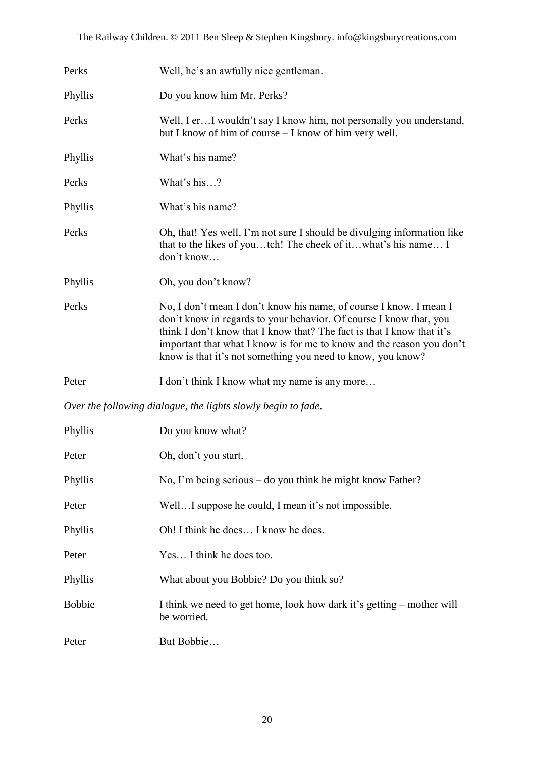| Perks                                                         | Well, he's an awfully nice gentleman.                                                                                                                                                                                                                                                                                                                      |  |
|---------------------------------------------------------------|------------------------------------------------------------------------------------------------------------------------------------------------------------------------------------------------------------------------------------------------------------------------------------------------------------------------------------------------------------|--|
| Phyllis                                                       | Do you know him Mr. Perks?                                                                                                                                                                                                                                                                                                                                 |  |
| Perks                                                         | Well, I er I wouldn't say I know him, not personally you understand,<br>but I know of him of course – I know of him very well.                                                                                                                                                                                                                             |  |
| Phyllis                                                       | What's his name?                                                                                                                                                                                                                                                                                                                                           |  |
| Perks                                                         | What's his?                                                                                                                                                                                                                                                                                                                                                |  |
| Phyllis                                                       | What's his name?                                                                                                                                                                                                                                                                                                                                           |  |
| Perks                                                         | Oh, that! Yes well, I'm not sure I should be divulging information like<br>that to the likes of youtch! The cheek of itwhat's his name I<br>don't know                                                                                                                                                                                                     |  |
| Phyllis                                                       | Oh, you don't know?                                                                                                                                                                                                                                                                                                                                        |  |
| Perks                                                         | No, I don't mean I don't know his name, of course I know. I mean I<br>don't know in regards to your behavior. Of course I know that, you<br>think I don't know that I know that? The fact is that I know that it's<br>important that what I know is for me to know and the reason you don't<br>know is that it's not something you need to know, you know? |  |
| Peter                                                         | I don't think I know what my name is any more                                                                                                                                                                                                                                                                                                              |  |
| Over the following dialogue, the lights slowly begin to fade. |                                                                                                                                                                                                                                                                                                                                                            |  |
| Phyllis                                                       | Do you know what?                                                                                                                                                                                                                                                                                                                                          |  |
| Peter                                                         | Oh, don't you start.                                                                                                                                                                                                                                                                                                                                       |  |
| Phyllis                                                       | No, I'm being serious – do you think he might know Father?                                                                                                                                                                                                                                                                                                 |  |
| Peter                                                         | WellI suppose he could, I mean it's not impossible.                                                                                                                                                                                                                                                                                                        |  |
| Phyllis                                                       | Oh! I think he does I know he does.                                                                                                                                                                                                                                                                                                                        |  |
| Peter                                                         | Yes I think he does too.                                                                                                                                                                                                                                                                                                                                   |  |
| Phyllis                                                       | What about you Bobbie? Do you think so?                                                                                                                                                                                                                                                                                                                    |  |
| <b>Bobbie</b>                                                 | I think we need to get home, look how dark it's getting – mother will<br>be worried.                                                                                                                                                                                                                                                                       |  |
| Peter                                                         | But Bobbie                                                                                                                                                                                                                                                                                                                                                 |  |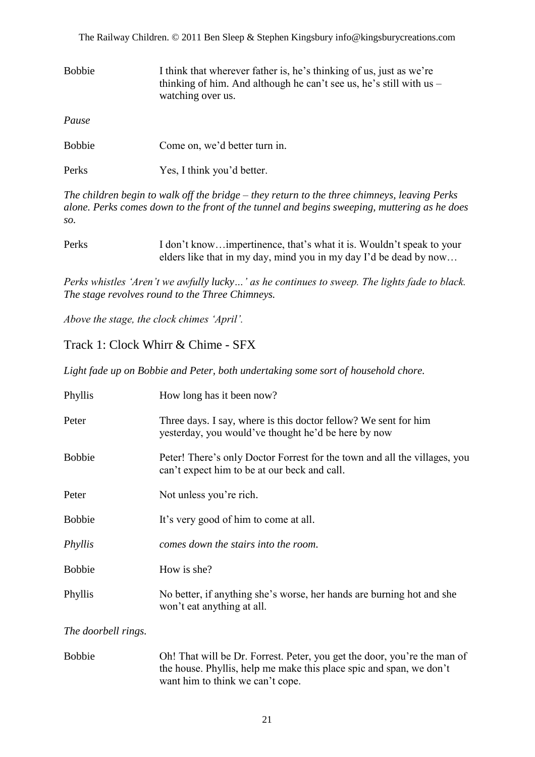The Railway Children. © 2011 Ben Sleep & Stephen Kingsbury info@kingsburycreations.com

| <b>Bobbie</b> | I think that wherever father is, he's thinking of us, just as we're<br>thinking of him. And although he can't see us, he's still with us $-$<br>watching over us. |
|---------------|-------------------------------------------------------------------------------------------------------------------------------------------------------------------|
| Pause         |                                                                                                                                                                   |
| <b>Bobbie</b> | Come on, we'd better turn in.                                                                                                                                     |

| Yes, I think you'd better. |
|----------------------------|
|                            |

*The children begin to walk off the bridge – they return to the three chimneys, leaving Perks alone. Perks comes down to the front of the tunnel and begins sweeping, muttering as he does so.*

| Perks | I don't knowimpertinence, that's what it is. Wouldn't speak to your |
|-------|---------------------------------------------------------------------|
|       | elders like that in my day, mind you in my day I'd be dead by now   |

*Perks whistles 'Aren't we awfully lucky…' as he continues to sweep. The lights fade to black. The stage revolves round to the Three Chimneys.* 

*Above the stage, the clock chimes 'April'.*

#### Track 1: Clock Whirr & Chime - SFX

*Light fade up on Bobbie and Peter, both undertaking some sort of household chore.*

| Phyllis             | How long has it been now?                                                                                                 |
|---------------------|---------------------------------------------------------------------------------------------------------------------------|
| Peter               | Three days. I say, where is this doctor fellow? We sent for him<br>yesterday, you would've thought he'd be here by now    |
| <b>Bobbie</b>       | Peter! There's only Doctor Forrest for the town and all the villages, you<br>can't expect him to be at our beck and call. |
| Peter               | Not unless you're rich.                                                                                                   |
| <b>Bobbie</b>       | It's very good of him to come at all.                                                                                     |
| Phyllis             | comes down the stairs into the room.                                                                                      |
| <b>Bobbie</b>       | How is she?                                                                                                               |
| Phyllis             | No better, if anything she's worse, her hands are burning hot and she<br>won't eat anything at all.                       |
| The doorbell rings. |                                                                                                                           |

Bobbie Oh! That will be Dr. Forrest. Peter, you get the door, you"re the man of the house. Phyllis, help me make this place spic and span, we don"t want him to think we can't cope.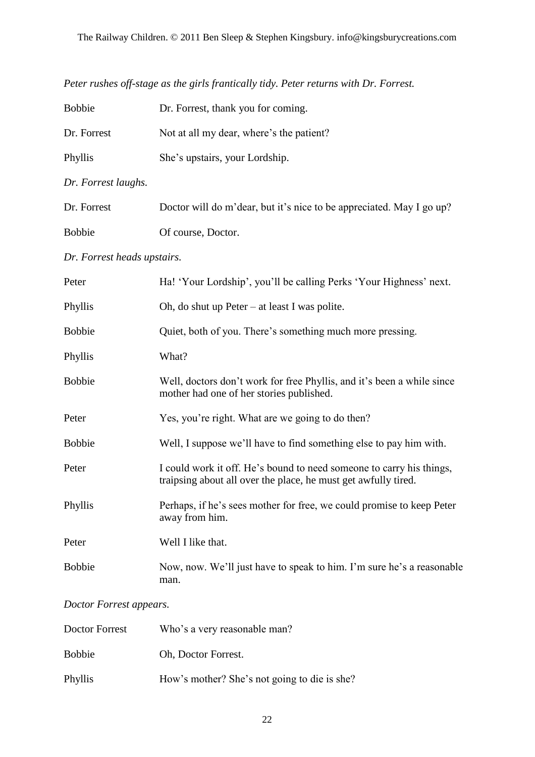| <b>Bobbie</b>               | Dr. Forrest, thank you for coming.                                                                                                     |  |
|-----------------------------|----------------------------------------------------------------------------------------------------------------------------------------|--|
| Dr. Forrest                 | Not at all my dear, where's the patient?                                                                                               |  |
| Phyllis                     | She's upstairs, your Lordship.                                                                                                         |  |
| Dr. Forrest laughs.         |                                                                                                                                        |  |
| Dr. Forrest                 | Doctor will do m'dear, but it's nice to be appreciated. May I go up?                                                                   |  |
| <b>Bobbie</b>               | Of course, Doctor.                                                                                                                     |  |
| Dr. Forrest heads upstairs. |                                                                                                                                        |  |
| Peter                       | Ha! 'Your Lordship', you'll be calling Perks 'Your Highness' next.                                                                     |  |
| Phyllis                     | Oh, do shut up Peter $-$ at least I was polite.                                                                                        |  |
| <b>Bobbie</b>               | Quiet, both of you. There's something much more pressing.                                                                              |  |
| Phyllis                     | What?                                                                                                                                  |  |
| <b>Bobbie</b>               | Well, doctors don't work for free Phyllis, and it's been a while since<br>mother had one of her stories published.                     |  |
| Peter                       | Yes, you're right. What are we going to do then?                                                                                       |  |
| <b>Bobbie</b>               | Well, I suppose we'll have to find something else to pay him with.                                                                     |  |
| Peter                       | I could work it off. He's bound to need someone to carry his things,<br>traipsing about all over the place, he must get awfully tired. |  |
| Phyllis                     | Perhaps, if he's sees mother for free, we could promise to keep Peter<br>away from him.                                                |  |
| Peter                       | Well I like that.                                                                                                                      |  |
| <b>Bobbie</b>               | Now, now. We'll just have to speak to him. I'm sure he's a reasonable<br>man.                                                          |  |

*Peter rushes off-stage as the girls frantically tidy. Peter returns with Dr. Forrest.*

#### *Doctor Forrest appears.*

| Doctor Forrest | Who's a very reasonable man?                 |
|----------------|----------------------------------------------|
| <b>Bobbie</b>  | Oh, Doctor Forrest.                          |
| Phyllis        | How's mother? She's not going to die is she? |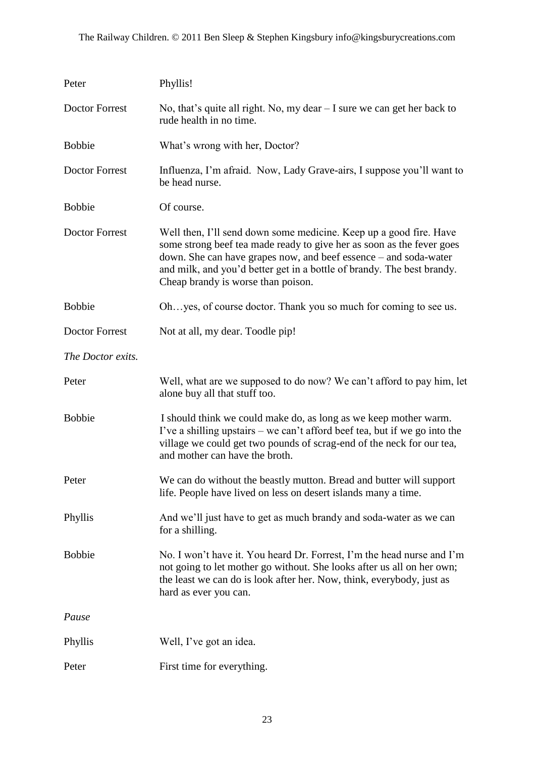| Peter                 | Phyllis!                                                                                                                                                                                                                                                                                                                        |
|-----------------------|---------------------------------------------------------------------------------------------------------------------------------------------------------------------------------------------------------------------------------------------------------------------------------------------------------------------------------|
| Doctor Forrest        | No, that's quite all right. No, my dear $-$ I sure we can get her back to<br>rude health in no time.                                                                                                                                                                                                                            |
| <b>Bobbie</b>         | What's wrong with her, Doctor?                                                                                                                                                                                                                                                                                                  |
| <b>Doctor Forrest</b> | Influenza, I'm afraid. Now, Lady Grave-airs, I suppose you'll want to<br>be head nurse.                                                                                                                                                                                                                                         |
| <b>Bobbie</b>         | Of course.                                                                                                                                                                                                                                                                                                                      |
| <b>Doctor Forrest</b> | Well then, I'll send down some medicine. Keep up a good fire. Have<br>some strong beef tea made ready to give her as soon as the fever goes<br>down. She can have grapes now, and beef essence – and soda-water<br>and milk, and you'd better get in a bottle of brandy. The best brandy.<br>Cheap brandy is worse than poison. |
| <b>Bobbie</b>         | Ohyes, of course doctor. Thank you so much for coming to see us.                                                                                                                                                                                                                                                                |
| <b>Doctor Forrest</b> | Not at all, my dear. Toodle pip!                                                                                                                                                                                                                                                                                                |
| The Doctor exits.     |                                                                                                                                                                                                                                                                                                                                 |
| Peter                 | Well, what are we supposed to do now? We can't afford to pay him, let<br>alone buy all that stuff too.                                                                                                                                                                                                                          |
| <b>Bobbie</b>         | I should think we could make do, as long as we keep mother warm.<br>I've a shilling upstairs – we can't afford beef tea, but if we go into the<br>village we could get two pounds of scrag-end of the neck for our tea,<br>and mother can have the broth.                                                                       |
| Peter                 | We can do without the beastly mutton. Bread and butter will support<br>life. People have lived on less on desert islands many a time.                                                                                                                                                                                           |
| Phyllis               | And we'll just have to get as much brandy and soda-water as we can<br>for a shilling.                                                                                                                                                                                                                                           |
| <b>Bobbie</b>         | No. I won't have it. You heard Dr. Forrest, I'm the head nurse and I'm<br>not going to let mother go without. She looks after us all on her own;<br>the least we can do is look after her. Now, think, everybody, just as<br>hard as ever you can.                                                                              |
| Pause                 |                                                                                                                                                                                                                                                                                                                                 |
| Phyllis               | Well, I've got an idea.                                                                                                                                                                                                                                                                                                         |
| Peter                 | First time for everything.                                                                                                                                                                                                                                                                                                      |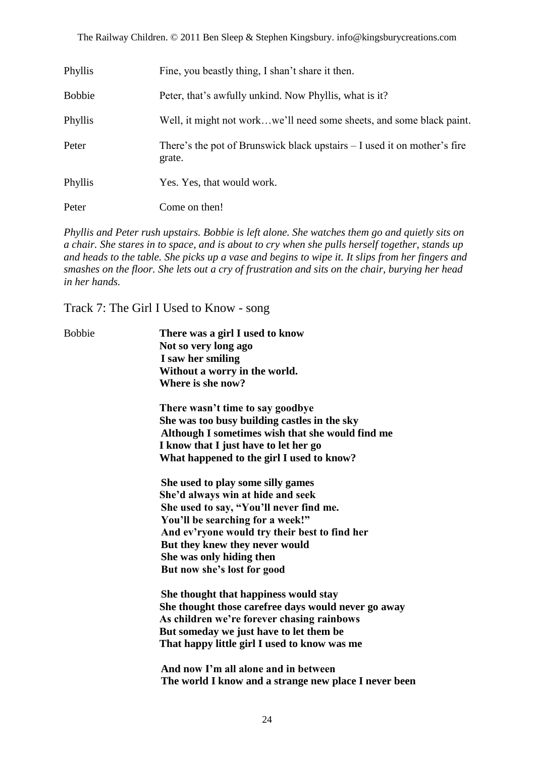| Phyllis       | Fine, you beastly thing, I shan't share it then.                                     |
|---------------|--------------------------------------------------------------------------------------|
| <b>Bobbie</b> | Peter, that's awfully unkind. Now Phyllis, what is it?                               |
| Phyllis       | Well, it might not workwe'll need some sheets, and some black paint.                 |
| Peter         | There's the pot of Brunswick black upstairs $- I$ used it on mother's fire<br>grate. |
| Phyllis       | Yes. Yes, that would work.                                                           |
| Peter         | Come on then!                                                                        |

*Phyllis and Peter rush upstairs. Bobbie is left alone. She watches them go and quietly sits on a chair. She stares in to space, and is about to cry when she pulls herself together, stands up and heads to the table. She picks up a vase and begins to wipe it. It slips from her fingers and smashes on the floor. She lets out a cry of frustration and sits on the chair, burying her head in her hands.*

Track 7: The Girl I Used to Know - song

| <b>Bobbie</b> | There was a girl I used to know                       |
|---------------|-------------------------------------------------------|
|               | Not so very long ago                                  |
|               | I saw her smiling                                     |
|               | Without a worry in the world.                         |
|               | Where is she now?                                     |
|               | There wasn't time to say goodbye                      |
|               | She was too busy building castles in the sky          |
|               | Although I sometimes wish that she would find me      |
|               | I know that I just have to let her go                 |
|               | What happened to the girl I used to know?             |
|               | She used to play some silly games                     |
|               | She'd always win at hide and seek                     |
|               | She used to say, "You'll never find me.               |
|               | You'll be searching for a week!"                      |
|               | And ev'ryone would try their best to find her         |
|               | But they knew they never would                        |
|               | She was only hiding then                              |
|               | But now she's lost for good                           |
|               | She thought that happiness would stay                 |
|               | She thought those carefree days would never go away   |
|               | As children we're forever chasing rainbows            |
|               | But someday we just have to let them be               |
|               | That happy little girl I used to know was me          |
|               | And now I'm all alone and in between                  |
|               | The world I know and a strange new place I never been |
|               |                                                       |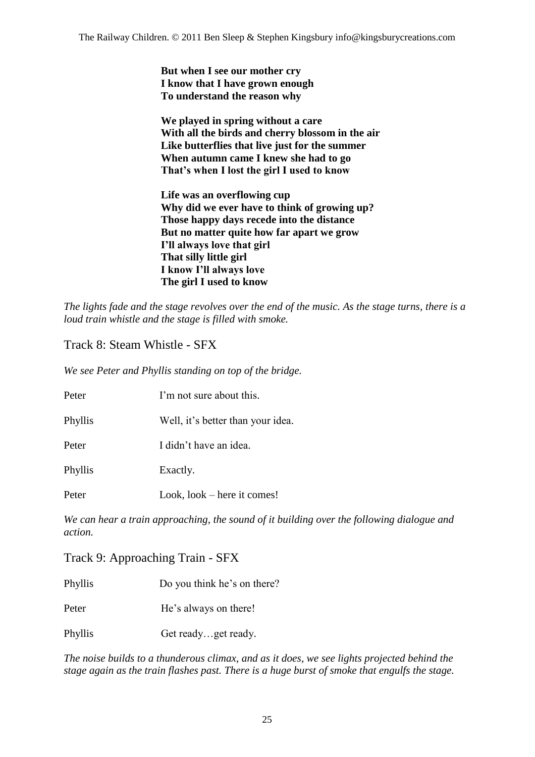**But when I see our mother cry I know that I have grown enough To understand the reason why**

**We played in spring without a care With all the birds and cherry blossom in the air Like butterflies that live just for the summer When autumn came I knew she had to go That"s when I lost the girl I used to know**

**Life was an overflowing cup Why did we ever have to think of growing up? Those happy days recede into the distance But no matter quite how far apart we grow I"ll always love that girl That silly little girl I know I"ll always love The girl I used to know**

*The lights fade and the stage revolves over the end of the music. As the stage turns, there is a loud train whistle and the stage is filled with smoke.*

Track 8: Steam Whistle - SFX

*We see Peter and Phyllis standing on top of the bridge.*

| Peter   | I'm not sure about this.          |
|---------|-----------------------------------|
| Phyllis | Well, it's better than your idea. |
| Peter   | I didn't have an idea.            |
| Phyllis | Exactly.                          |
| Peter   | Look, $look - here$ it comes!     |

*We can hear a train approaching, the sound of it building over the following dialogue and action.*

Track 9: Approaching Train - SFX

Phyllis Do you think he's on there?

Peter He's always on there!

Phyllis Get ready...get ready.

*The noise builds to a thunderous climax, and as it does, we see lights projected behind the stage again as the train flashes past. There is a huge burst of smoke that engulfs the stage.*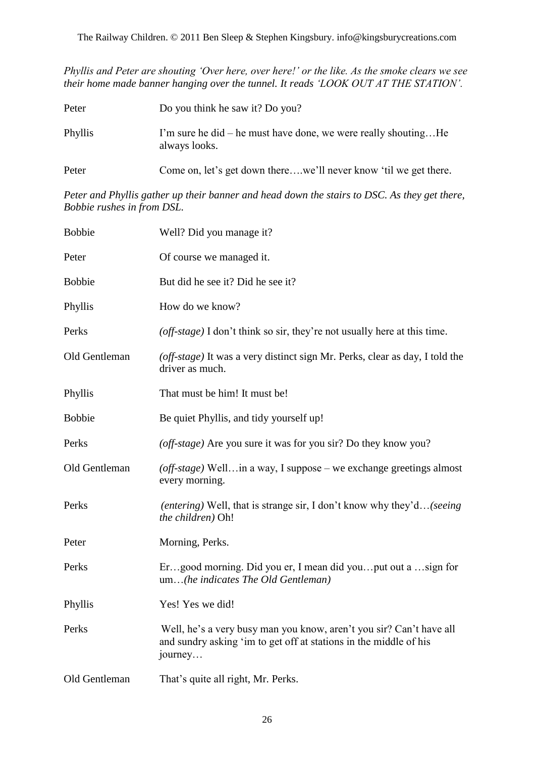*Phyllis and Peter are shouting 'Over here, over here!' or the like. As the smoke clears we see their home made banner hanging over the tunnel. It reads 'LOOK OUT AT THE STATION'.*

| Peter   | Do you think he saw it? Do you?                                                 |
|---------|---------------------------------------------------------------------------------|
| Phyllis | I'm sure he did – he must have done, we were really shoutingHe<br>always looks. |
| Peter   | Come on, let's get down therewe'll never know 'til we get there.                |

*Peter and Phyllis gather up their banner and head down the stairs to DSC. As they get there, Bobbie rushes in from DSL.*

| <b>Bobbie</b> | Well? Did you manage it?                                                                                                                            |
|---------------|-----------------------------------------------------------------------------------------------------------------------------------------------------|
| Peter         | Of course we managed it.                                                                                                                            |
| <b>Bobbie</b> | But did he see it? Did he see it?                                                                                                                   |
| Phyllis       | How do we know?                                                                                                                                     |
| Perks         | (off-stage) I don't think so sir, they're not usually here at this time.                                                                            |
| Old Gentleman | (off-stage) It was a very distinct sign Mr. Perks, clear as day, I told the<br>driver as much.                                                      |
| Phyllis       | That must be him! It must be!                                                                                                                       |
| <b>Bobbie</b> | Be quiet Phyllis, and tidy yourself up!                                                                                                             |
| Perks         | (off-stage) Are you sure it was for you sir? Do they know you?                                                                                      |
| Old Gentleman | (off-stage) Wellin a way, I suppose - we exchange greetings almost<br>every morning.                                                                |
| Perks         | <i>(entering)</i> Well, that is strange sir, I don't know why they'd <i>(seeing</i> )<br>the children) Oh!                                          |
| Peter         | Morning, Perks.                                                                                                                                     |
| Perks         | Ergood morning. Did you er, I mean did youput out a sign for<br>um(he indicates The Old Gentleman)                                                  |
| Phyllis       | Yes! Yes we did!                                                                                                                                    |
| Perks         | Well, he's a very busy man you know, aren't you sir? Can't have all<br>and sundry asking 'im to get off at stations in the middle of his<br>journey |
| Old Gentleman | That's quite all right, Mr. Perks.                                                                                                                  |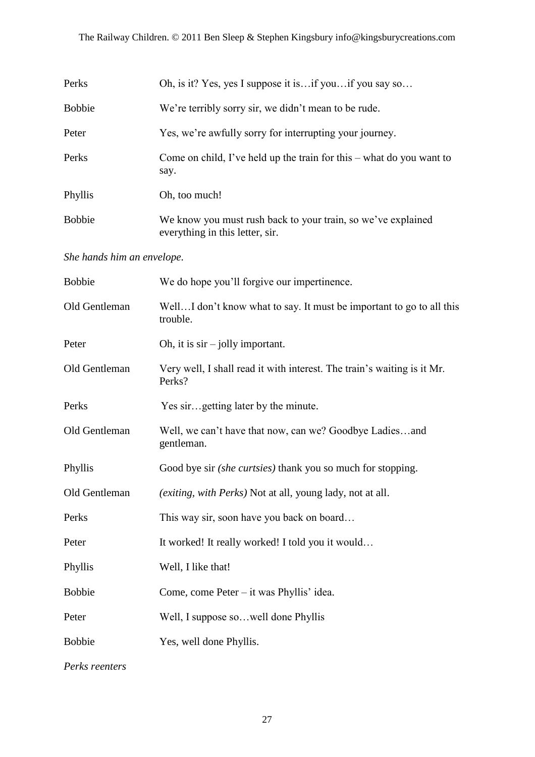| Perks                      | Oh, is it? Yes, yes I suppose it is if you if you say so                                        |
|----------------------------|-------------------------------------------------------------------------------------------------|
| <b>Bobbie</b>              | We're terribly sorry sir, we didn't mean to be rude.                                            |
| Peter                      | Yes, we're awfully sorry for interrupting your journey.                                         |
| Perks                      | Come on child, I've held up the train for this $-$ what do you want to<br>say.                  |
| Phyllis                    | Oh, too much!                                                                                   |
| <b>Bobbie</b>              | We know you must rush back to your train, so we've explained<br>everything in this letter, sir. |
| She hands him an envelope. |                                                                                                 |
| <b>Bobbie</b>              | We do hope you'll forgive our impertinence.                                                     |
| Old Gentleman              | WellI don't know what to say. It must be important to go to all this<br>trouble.                |
| Peter                      | Oh, it is $\sin$ – jolly important.                                                             |
| Old Gentleman              | Very well, I shall read it with interest. The train's waiting is it Mr.<br>Perks?               |
| Perks                      | Yes sirgetting later by the minute.                                                             |
| Old Gentleman              | Well, we can't have that now, can we? Goodbye Ladiesand<br>gentleman.                           |
| Phyllis                    | Good bye sir (she curtsies) thank you so much for stopping.                                     |
| Old Gentleman              | (exiting, with Perks) Not at all, young lady, not at all.                                       |
| Perks                      | This way sir, soon have you back on board                                                       |
| Peter                      | It worked! It really worked! I told you it would                                                |
| Phyllis                    | Well, I like that!                                                                              |
| <b>Bobbie</b>              | Come, come Peter – it was Phyllis' idea.                                                        |
| Peter                      | Well, I suppose sowell done Phyllis                                                             |
| <b>Bobbie</b>              | Yes, well done Phyllis.                                                                         |

*Perks reenters*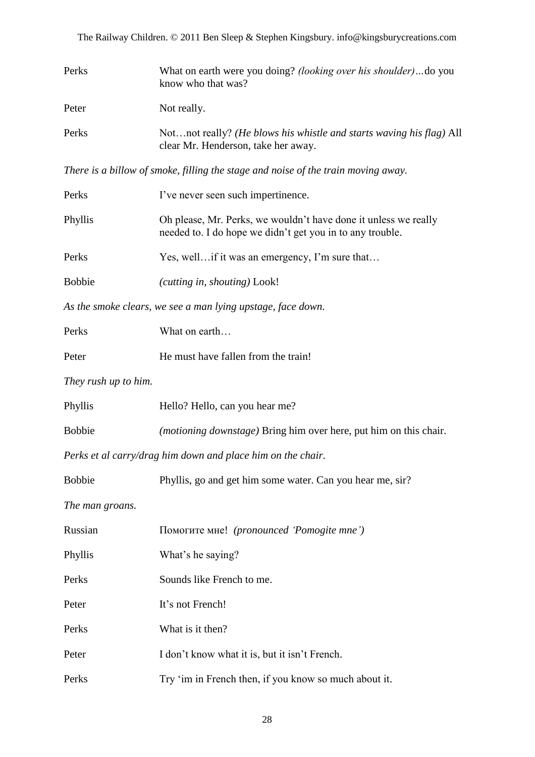| Perks | What on earth were you doing? <i>(looking over his shoulder)</i> do you<br>know who that was?               |
|-------|-------------------------------------------------------------------------------------------------------------|
| Peter | Not really.                                                                                                 |
| Perks | Notnot really? (He blows his whistle and starts waving his flag) All<br>clear Mr. Henderson, take her away. |

*There is a billow of smoke, filling the stage and noise of the train moving away.*

| Perks                                                       | I've never seen such impertinence.                                                                                           |  |
|-------------------------------------------------------------|------------------------------------------------------------------------------------------------------------------------------|--|
| Phyllis                                                     | Oh please, Mr. Perks, we wouldn't have done it unless we really<br>needed to. I do hope we didn't get you in to any trouble. |  |
| Perks                                                       | Yes, well if it was an emergency, I'm sure that                                                                              |  |
| <b>Bobbie</b>                                               | (cutting in, shouting) Look!                                                                                                 |  |
| As the smoke clears, we see a man lying upstage, face down. |                                                                                                                              |  |
| Perks                                                       | What on earth                                                                                                                |  |
| Peter                                                       | He must have fallen from the train!                                                                                          |  |
| They rush up to him.                                        |                                                                                                                              |  |
| Phyllis                                                     | Hello? Hello, can you hear me?                                                                                               |  |
| <b>Bobbie</b>                                               | <i>(motioning downstage)</i> Bring him over here, put him on this chair.                                                     |  |
| Perks et al carry/drag him down and place him on the chair. |                                                                                                                              |  |
| <b>Bobbie</b>                                               | Phyllis, go and get him some water. Can you hear me, sir?                                                                    |  |
| The man groans.                                             |                                                                                                                              |  |
| Russian                                                     | Помогите мне! (pronounced 'Pomogite mne')                                                                                    |  |
| Phyllis                                                     | What's he saying?                                                                                                            |  |
| Perks                                                       | Sounds like French to me.                                                                                                    |  |
| Peter                                                       | It's not French!                                                                                                             |  |
| Perks                                                       | What is it then?                                                                                                             |  |
| Peter                                                       | I don't know what it is, but it isn't French.                                                                                |  |
| Perks                                                       | Try 'im in French then, if you know so much about it.                                                                        |  |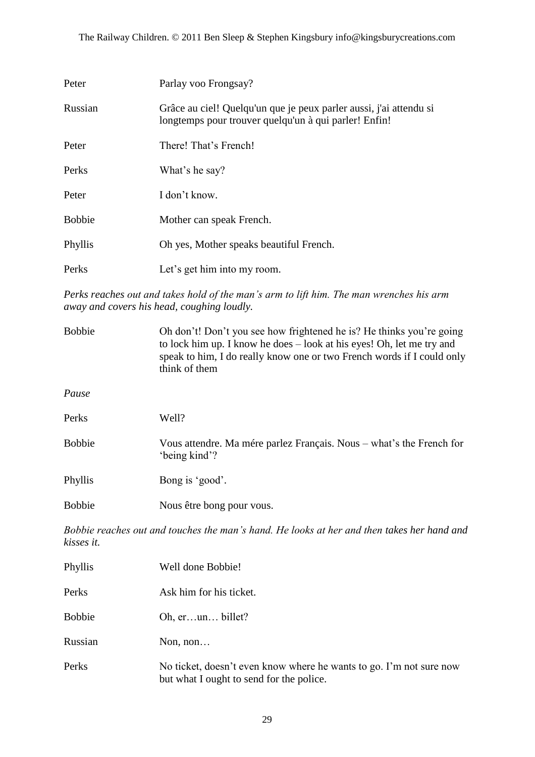| Peter         | Parlay voo Frongsay?                                                                                                        |
|---------------|-----------------------------------------------------------------------------------------------------------------------------|
| Russian       | Grâce au ciel! Quelqu'un que je peux parler aussi, j'ai attendu si<br>longtemps pour trouver quelqu'un à qui parler! Enfin! |
| Peter         | There! That's French!                                                                                                       |
| Perks         | What's he say?                                                                                                              |
| Peter         | I don't know.                                                                                                               |
| <b>Bobbie</b> | Mother can speak French.                                                                                                    |
| Phyllis       | Oh yes, Mother speaks beautiful French.                                                                                     |
| Perks         | Let's get him into my room.                                                                                                 |

*Perks reaches out and takes hold of the man's arm to lift him. The man wrenches his arm away and covers his head, coughing loudly.*

| <b>Bobbie</b> | Oh don't! Don't you see how frightened he is? He thinks you're going<br>to lock him up. I know he does – look at his eyes! Oh, let me try and<br>speak to him, I do really know one or two French words if I could only<br>think of them |
|---------------|------------------------------------------------------------------------------------------------------------------------------------------------------------------------------------------------------------------------------------------|
| Pause         |                                                                                                                                                                                                                                          |
| Perks         | Well?                                                                                                                                                                                                                                    |
| <b>Bobbie</b> | Vous attendre. Ma mére parlez Français. Nous – what's the French for<br>'being kind'?                                                                                                                                                    |
| Phyllis       | Bong is 'good'.                                                                                                                                                                                                                          |
| <b>Bobbie</b> | Nous être bong pour vous.                                                                                                                                                                                                                |

*Bobbie reaches out and touches the man's hand. He looks at her and then takes her hand and kisses it.*

| Phyllis       | Well done Bobbie!                                                                                               |
|---------------|-----------------------------------------------------------------------------------------------------------------|
| Perks         | Ask him for his ticket.                                                                                         |
| <b>Bobbie</b> | Oh, $erun$ billet?                                                                                              |
| Russian       | Non, $non$                                                                                                      |
| Perks         | No ticket, doesn't even know where he wants to go. I'm not sure now<br>but what I ought to send for the police. |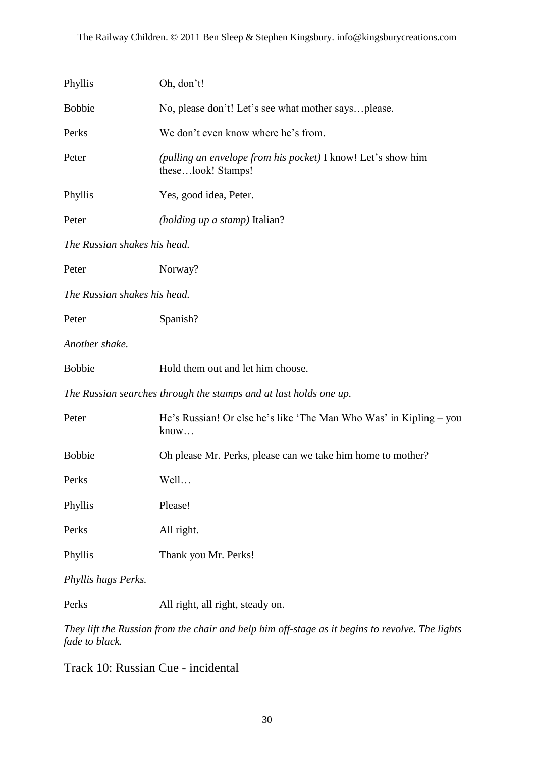| Phyllis                                                           | Oh, don't!                                                                         |  |
|-------------------------------------------------------------------|------------------------------------------------------------------------------------|--|
| <b>Bobbie</b>                                                     | No, please don't! Let's see what mother saysplease.                                |  |
| Perks                                                             | We don't even know where he's from.                                                |  |
| Peter                                                             | (pulling an envelope from his pocket) I know! Let's show him<br>theselook! Stamps! |  |
| Phyllis                                                           | Yes, good idea, Peter.                                                             |  |
| Peter                                                             | (holding up a stamp) Italian?                                                      |  |
| The Russian shakes his head.                                      |                                                                                    |  |
| Peter                                                             | Norway?                                                                            |  |
| The Russian shakes his head.                                      |                                                                                    |  |
| Peter                                                             | Spanish?                                                                           |  |
| Another shake.                                                    |                                                                                    |  |
| <b>Bobbie</b>                                                     | Hold them out and let him choose.                                                  |  |
| The Russian searches through the stamps and at last holds one up. |                                                                                    |  |
| Peter                                                             | He's Russian! Or else he's like 'The Man Who Was' in Kipling – you<br>know         |  |
| <b>Bobbie</b>                                                     | Oh please Mr. Perks, please can we take him home to mother?                        |  |
| Perks                                                             | Well                                                                               |  |
| Phyllis                                                           | Please!                                                                            |  |
| Perks                                                             | All right.                                                                         |  |
| Phyllis                                                           | Thank you Mr. Perks!                                                               |  |
| Phyllis hugs Perks.                                               |                                                                                    |  |

Perks All right, all right, steady on.

*They lift the Russian from the chair and help him off-stage as it begins to revolve. The lights fade to black.*

Track 10: Russian Cue - incidental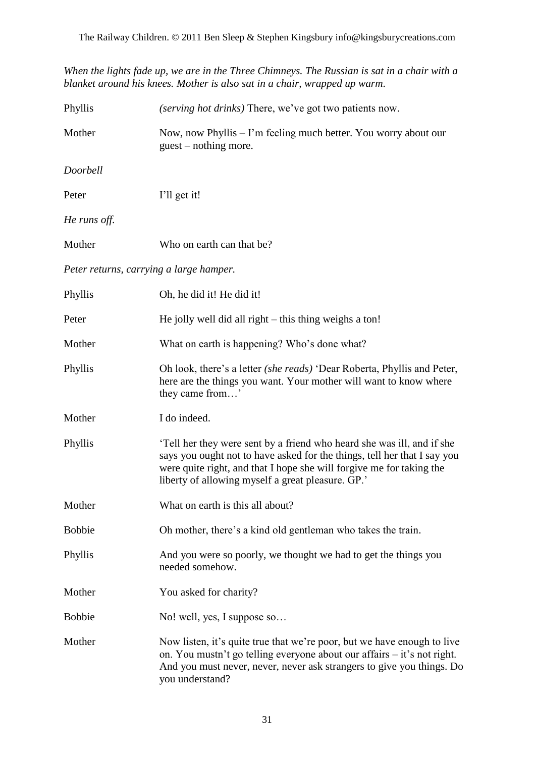*When the lights fade up, we are in the Three Chimneys. The Russian is sat in a chair with a blanket around his knees. Mother is also sat in a chair, wrapped up warm.*

| Phyllis       | <i>(serving hot drinks)</i> There, we've got two patients now.                                                                                                                                                                                                                 |
|---------------|--------------------------------------------------------------------------------------------------------------------------------------------------------------------------------------------------------------------------------------------------------------------------------|
| Mother        | Now, now Phyllis - I'm feeling much better. You worry about our<br>guest – nothing more.                                                                                                                                                                                       |
| Doorbell      |                                                                                                                                                                                                                                                                                |
| Peter         | I'll get it!                                                                                                                                                                                                                                                                   |
| He runs off.  |                                                                                                                                                                                                                                                                                |
| Mother        | Who on earth can that be?                                                                                                                                                                                                                                                      |
|               | Peter returns, carrying a large hamper.                                                                                                                                                                                                                                        |
| Phyllis       | Oh, he did it! He did it!                                                                                                                                                                                                                                                      |
| Peter         | He jolly well did all right $-$ this thing weighs a ton!                                                                                                                                                                                                                       |
| Mother        | What on earth is happening? Who's done what?                                                                                                                                                                                                                                   |
| Phyllis       | Oh look, there's a letter (she reads) 'Dear Roberta, Phyllis and Peter,<br>here are the things you want. Your mother will want to know where<br>they came from'                                                                                                                |
| Mother        | I do indeed.                                                                                                                                                                                                                                                                   |
| Phyllis       | Tell her they were sent by a friend who heard she was ill, and if she<br>says you ought not to have asked for the things, tell her that I say you<br>were quite right, and that I hope she will forgive me for taking the<br>liberty of allowing myself a great pleasure. GP.' |
| Mother        | What on earth is this all about?                                                                                                                                                                                                                                               |
| <b>Bobbie</b> | Oh mother, there's a kind old gentleman who takes the train.                                                                                                                                                                                                                   |
| Phyllis       | And you were so poorly, we thought we had to get the things you<br>needed somehow.                                                                                                                                                                                             |
| Mother        | You asked for charity?                                                                                                                                                                                                                                                         |
| <b>Bobbie</b> | No! well, yes, I suppose so                                                                                                                                                                                                                                                    |
| Mother        | Now listen, it's quite true that we're poor, but we have enough to live<br>on. You mustn't go telling everyone about our affairs – it's not right.<br>And you must never, never, never ask strangers to give you things. Do<br>you understand?                                 |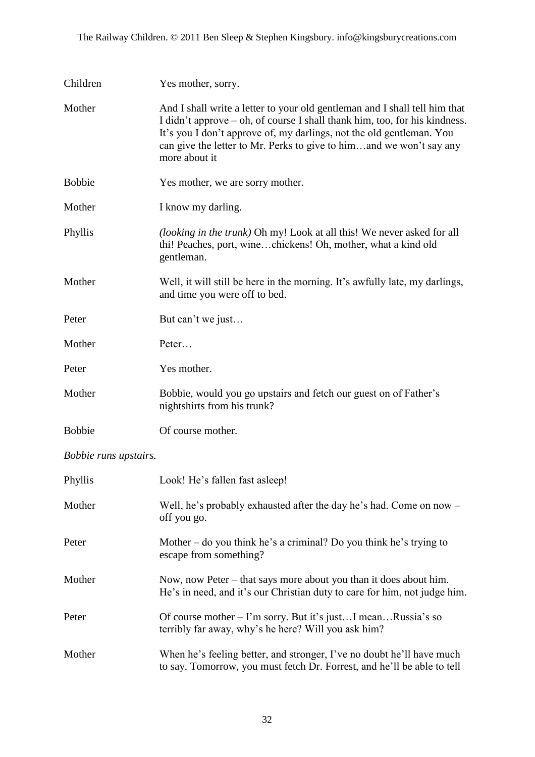| Children                     | Yes mother, sorry.                                                                                                                                                                                                                                                                                                       |
|------------------------------|--------------------------------------------------------------------------------------------------------------------------------------------------------------------------------------------------------------------------------------------------------------------------------------------------------------------------|
| Mother                       | And I shall write a letter to your old gentleman and I shall tell him that<br>I didn't approve – oh, of course I shall thank him, too, for his kindness.<br>It's you I don't approve of, my darlings, not the old gentleman. You<br>can give the letter to Mr. Perks to give to himand we won't say any<br>more about it |
| <b>Bobbie</b>                | Yes mother, we are sorry mother.                                                                                                                                                                                                                                                                                         |
| Mother                       | I know my darling.                                                                                                                                                                                                                                                                                                       |
| Phyllis                      | (looking in the trunk) Oh my! Look at all this! We never asked for all<br>thi! Peaches, port, winechickens! Oh, mother, what a kind old<br>gentleman.                                                                                                                                                                    |
| Mother                       | Well, it will still be here in the morning. It's awfully late, my darlings,<br>and time you were off to bed.                                                                                                                                                                                                             |
| Peter                        | But can't we just                                                                                                                                                                                                                                                                                                        |
| Mother                       | Peter                                                                                                                                                                                                                                                                                                                    |
| Peter                        | Yes mother.                                                                                                                                                                                                                                                                                                              |
| Mother                       | Bobbie, would you go upstairs and fetch our guest on of Father's<br>nightshirts from his trunk?                                                                                                                                                                                                                          |
| <b>Bobbie</b>                | Of course mother.                                                                                                                                                                                                                                                                                                        |
| <i>Bobbie runs upstairs.</i> |                                                                                                                                                                                                                                                                                                                          |

| Phyllis | Look! He's fallen fast asleep!                                                                                                                   |
|---------|--------------------------------------------------------------------------------------------------------------------------------------------------|
| Mother  | Well, he's probably exhausted after the day he's had. Come on now -<br>off you go.                                                               |
| Peter   | Mother – do you think he's a criminal? Do you think he's trying to<br>escape from something?                                                     |
| Mother  | Now, now Peter – that says more about you than it does about him.<br>He's in need, and it's our Christian duty to care for him, not judge him.   |
| Peter   | Of course mother – I'm sorry. But it's justI meanRussia's so<br>terribly far away, why's he here? Will you ask him?                              |
| Mother  | When he's feeling better, and stronger, I've no doubt he'll have much<br>to say. Tomorrow, you must fetch Dr. Forrest, and he'll be able to tell |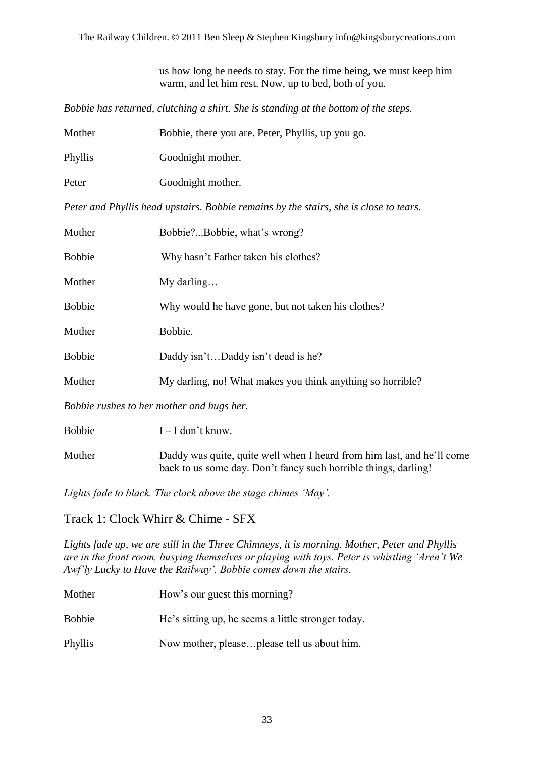The Railway Children. © 2011 Ben Sleep & Stephen Kingsbury info@kingsburycreations.com

us how long he needs to stay. For the time being, we must keep him warm, and let him rest. Now, up to bed, both of you.

*Bobbie has returned, clutching a shirt. She is standing at the bottom of the steps.*

| Mother  | Bobbie, there you are. Peter, Phyllis, up you go. |
|---------|---------------------------------------------------|
| Phyllis | Goodnight mother.                                 |
| Peter   | Goodnight mother.                                 |

*Peter and Phyllis head upstairs. Bobbie remains by the stairs, she is close to tears.*

| Mother                                    | Bobbie?Bobbie, what's wrong?                               |  |
|-------------------------------------------|------------------------------------------------------------|--|
| <b>Bobbie</b>                             | Why hasn't Father taken his clothes?                       |  |
| Mother                                    | My darling                                                 |  |
| <b>Bobbie</b>                             | Why would he have gone, but not taken his clothes?         |  |
| Mother                                    | Bobbie.                                                    |  |
| <b>Bobbie</b>                             | Daddy isn'tDaddy isn't dead is he?                         |  |
| Mother                                    | My darling, no! What makes you think anything so horrible? |  |
| Bobbie rushes to her mother and hugs her. |                                                            |  |
| <b>Bobbie</b>                             | $I - I$ don't know.                                        |  |

Mother Daddy was quite, quite well when I heard from him last, and he'll come back to us some day. Don"t fancy such horrible things, darling!

*Lights fade to black. The clock above the stage chimes 'May'.*

Track 1: Clock Whirr & Chime - SFX

*Lights fade up, we are still in the Three Chimneys, it is morning. Mother, Peter and Phyllis are in the front room, busying themselves or playing with toys. Peter is whistling 'Aren't We Awf'ly Lucky to Have the Railway'. Bobbie comes down the stairs.*

| Mother        | How's our guest this morning?                      |
|---------------|----------------------------------------------------|
| <b>Bobbie</b> | He's sitting up, he seems a little stronger today. |
| Phyllis       | Now mother, pleaseplease tell us about him.        |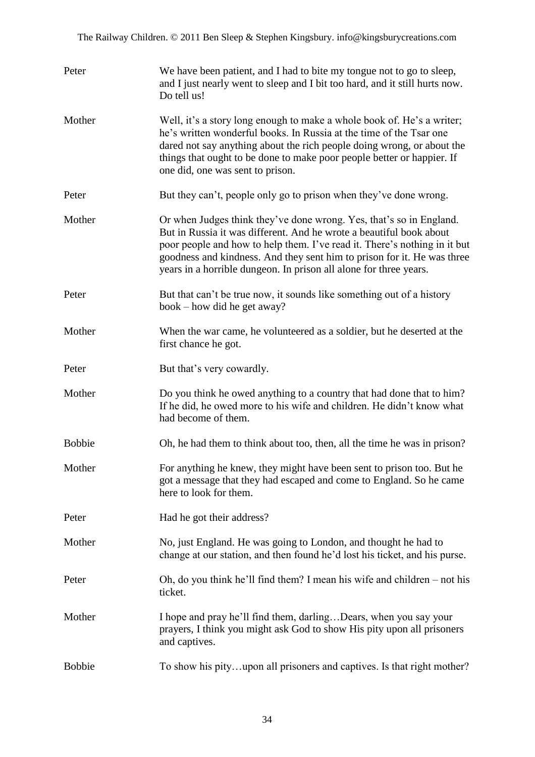| Peter         | We have been patient, and I had to bite my tongue not to go to sleep,<br>and I just nearly went to sleep and I bit too hard, and it still hurts now.<br>Do tell us!                                                                                                                                                                                                     |
|---------------|-------------------------------------------------------------------------------------------------------------------------------------------------------------------------------------------------------------------------------------------------------------------------------------------------------------------------------------------------------------------------|
| Mother        | Well, it's a story long enough to make a whole book of. He's a writer;<br>he's written wonderful books. In Russia at the time of the Tsar one<br>dared not say anything about the rich people doing wrong, or about the<br>things that ought to be done to make poor people better or happier. If<br>one did, one was sent to prison.                                   |
| Peter         | But they can't, people only go to prison when they've done wrong.                                                                                                                                                                                                                                                                                                       |
| Mother        | Or when Judges think they've done wrong. Yes, that's so in England.<br>But in Russia it was different. And he wrote a beautiful book about<br>poor people and how to help them. I've read it. There's nothing in it but<br>goodness and kindness. And they sent him to prison for it. He was three<br>years in a horrible dungeon. In prison all alone for three years. |
| Peter         | But that can't be true now, it sounds like something out of a history<br>book – how did he get away?                                                                                                                                                                                                                                                                    |
| Mother        | When the war came, he volunteered as a soldier, but he deserted at the<br>first chance he got.                                                                                                                                                                                                                                                                          |
| Peter         | But that's very cowardly.                                                                                                                                                                                                                                                                                                                                               |
| Mother        | Do you think he owed anything to a country that had done that to him?<br>If he did, he owed more to his wife and children. He didn't know what<br>had become of them.                                                                                                                                                                                                   |
| <b>Bobbie</b> | Oh, he had them to think about too, then, all the time he was in prison?                                                                                                                                                                                                                                                                                                |
| Mother        | For anything he knew, they might have been sent to prison too. But he<br>got a message that they had escaped and come to England. So he came<br>here to look for them.                                                                                                                                                                                                  |
| Peter         | Had he got their address?                                                                                                                                                                                                                                                                                                                                               |
| Mother        | No, just England. He was going to London, and thought he had to<br>change at our station, and then found he'd lost his ticket, and his purse.                                                                                                                                                                                                                           |
| Peter         | Oh, do you think he'll find them? I mean his wife and children $-$ not his<br>ticket.                                                                                                                                                                                                                                                                                   |
| Mother        | I hope and pray he'll find them, darlingDears, when you say your<br>prayers, I think you might ask God to show His pity upon all prisoners<br>and captives.                                                                                                                                                                                                             |
| <b>Bobbie</b> | To show his pityupon all prisoners and captives. Is that right mother?                                                                                                                                                                                                                                                                                                  |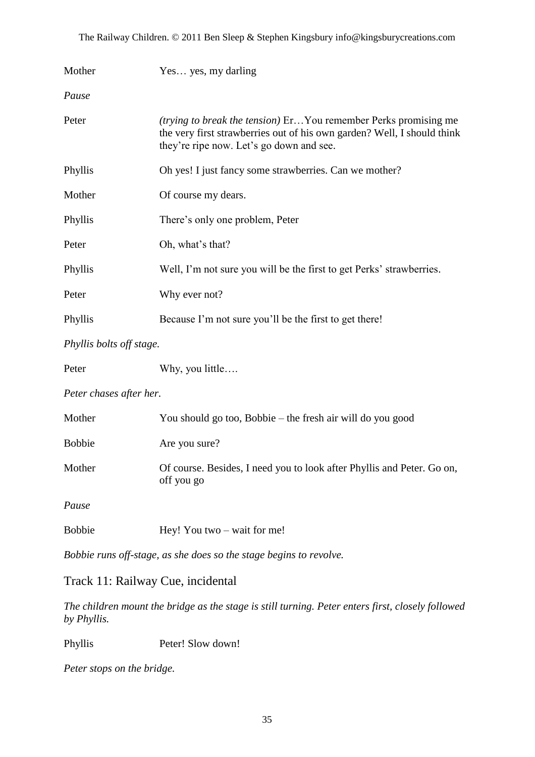The Railway Children. © 2011 Ben Sleep & Stephen Kingsbury info@kingsburycreations.com

| Mother                   | Yes yes, my darling                                                                                                                                                                           |  |
|--------------------------|-----------------------------------------------------------------------------------------------------------------------------------------------------------------------------------------------|--|
| Pause                    |                                                                                                                                                                                               |  |
| Peter                    | <i>(trying to break the tension)</i> ErYou remember Perks promising me<br>the very first strawberries out of his own garden? Well, I should think<br>they're ripe now. Let's go down and see. |  |
| Phyllis                  | Oh yes! I just fancy some strawberries. Can we mother?                                                                                                                                        |  |
| Mother                   | Of course my dears.                                                                                                                                                                           |  |
| Phyllis                  | There's only one problem, Peter                                                                                                                                                               |  |
| Peter                    | Oh, what's that?                                                                                                                                                                              |  |
| Phyllis                  | Well, I'm not sure you will be the first to get Perks' strawberries.                                                                                                                          |  |
| Peter                    | Why ever not?                                                                                                                                                                                 |  |
| Phyllis                  | Because I'm not sure you'll be the first to get there!                                                                                                                                        |  |
| Phyllis bolts off stage. |                                                                                                                                                                                               |  |
| Peter                    | Why, you little                                                                                                                                                                               |  |
| Peter chases after her.  |                                                                                                                                                                                               |  |
| Mother                   | You should go too, Bobbie – the fresh air will do you good                                                                                                                                    |  |
| <b>Bobbie</b>            | Are you sure?                                                                                                                                                                                 |  |
| Mother                   | Of course. Besides, I need you to look after Phyllis and Peter. Go on,                                                                                                                        |  |

*Pause*

| <b>Bobbie</b> | Hey! You two $-$ wait for me! |  |
|---------------|-------------------------------|--|
|---------------|-------------------------------|--|

off you go

*Bobbie runs off-stage, as she does so the stage begins to revolve.*

#### Track 11: Railway Cue, incidental

*The children mount the bridge as the stage is still turning. Peter enters first, closely followed by Phyllis.*

Phyllis Peter! Slow down!

*Peter stops on the bridge.*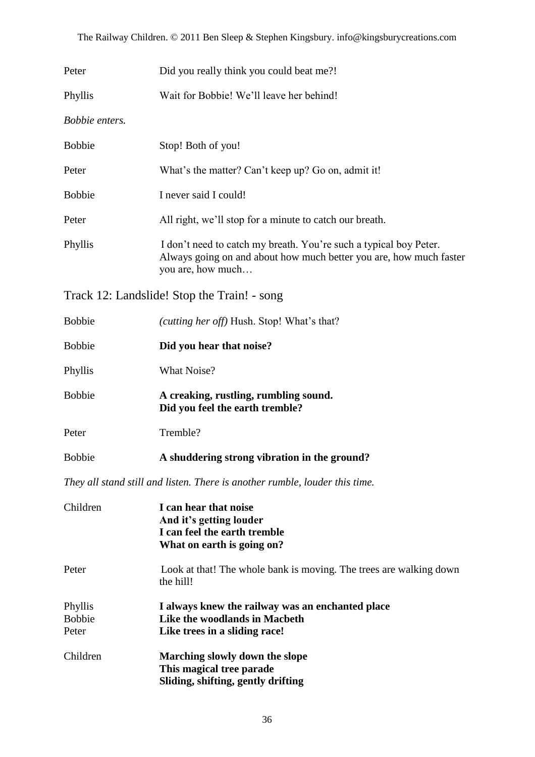| Peter                             | Did you really think you could beat me?!                                                                                                                     |
|-----------------------------------|--------------------------------------------------------------------------------------------------------------------------------------------------------------|
| Phyllis                           | Wait for Bobbie! We'll leave her behind!                                                                                                                     |
| Bobbie enters.                    |                                                                                                                                                              |
| <b>Bobbie</b>                     | Stop! Both of you!                                                                                                                                           |
| Peter                             | What's the matter? Can't keep up? Go on, admit it!                                                                                                           |
| <b>Bobbie</b>                     | I never said I could!                                                                                                                                        |
| Peter                             | All right, we'll stop for a minute to catch our breath.                                                                                                      |
| Phyllis                           | I don't need to catch my breath. You're such a typical boy Peter.<br>Always going on and about how much better you are, how much faster<br>you are, how much |
|                                   | Track 12: Landslide! Stop the Train! - song                                                                                                                  |
| <b>Bobbie</b>                     | (cutting her off) Hush. Stop! What's that?                                                                                                                   |
| <b>Bobbie</b>                     | Did you hear that noise?                                                                                                                                     |
| Phyllis                           | What Noise?                                                                                                                                                  |
| <b>Bobbie</b>                     | A creaking, rustling, rumbling sound.<br>Did you feel the earth tremble?                                                                                     |
| Peter                             | Tremble?                                                                                                                                                     |
| <b>Bobbie</b>                     | A shuddering strong vibration in the ground?                                                                                                                 |
|                                   | They all stand still and listen. There is another rumble, louder this time.                                                                                  |
| Children                          | I can hear that noise<br>And it's getting louder<br>I can feel the earth tremble<br>What on earth is going on?                                               |
| Peter                             | Look at that! The whole bank is moving. The trees are walking down<br>the hill!                                                                              |
| Phyllis<br><b>Bobbie</b><br>Peter | I always knew the railway was an enchanted place<br>Like the woodlands in Macbeth<br>Like trees in a sliding race!                                           |
| Children                          | Marching slowly down the slope<br>This magical tree parade<br>Sliding, shifting, gently drifting                                                             |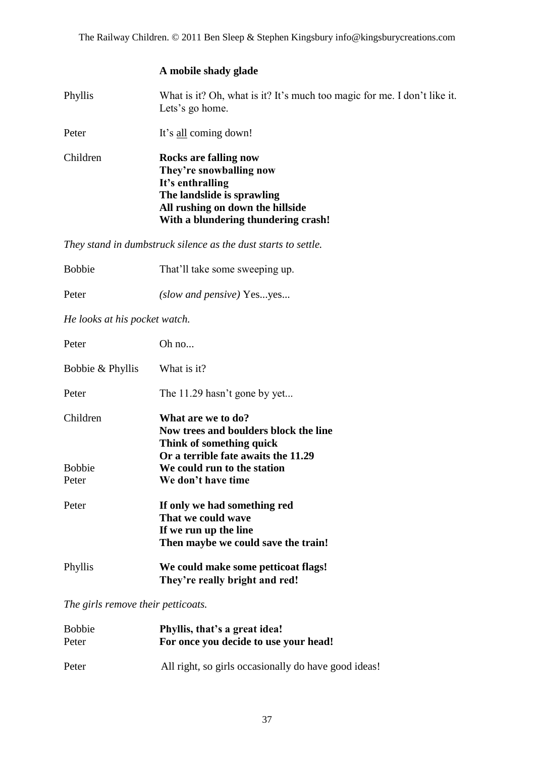#### **A mobile shady glade**

Phyllis What is it? Oh, what is it? It's much too magic for me. I don't like it. Lets's go home.

Peter It's all coming down!

Children **Rocks are falling now They"re snowballing now It"s enthralling The landslide is sprawling All rushing on down the hillside With a blundering thundering crash!**

*They stand in dumbstruck silence as the dust starts to settle.*

| <b>Bobbie</b> | That'll take some sweeping up. |
|---------------|--------------------------------|
|               |                                |

Peter *(slow and pensive)* Yes...yes...

*He looks at his pocket watch.*

| Peter            | Oh no                                                                                                                          |
|------------------|--------------------------------------------------------------------------------------------------------------------------------|
| Bobbie & Phyllis | What is it?                                                                                                                    |
| Peter            | The 11.29 hasn't gone by yet                                                                                                   |
| Children         | What are we to do?<br>Now trees and boulders block the line<br>Think of something quick<br>Or a terrible fate awaits the 11.29 |
| <b>Bobbie</b>    | We could run to the station                                                                                                    |
| Peter            | We don't have time                                                                                                             |
| Peter            | If only we had something red<br>That we could wave<br>If we run up the line<br>Then maybe we could save the train!             |
| Phyllis          | We could make some petticoat flags!<br>They're really bright and red!                                                          |

*The girls remove their petticoats.*

| <b>Bobbie</b> | Phyllis, that's a great idea!                        |
|---------------|------------------------------------------------------|
| Peter         | For once you decide to use your head!                |
| Peter         | All right, so girls occasionally do have good ideas! |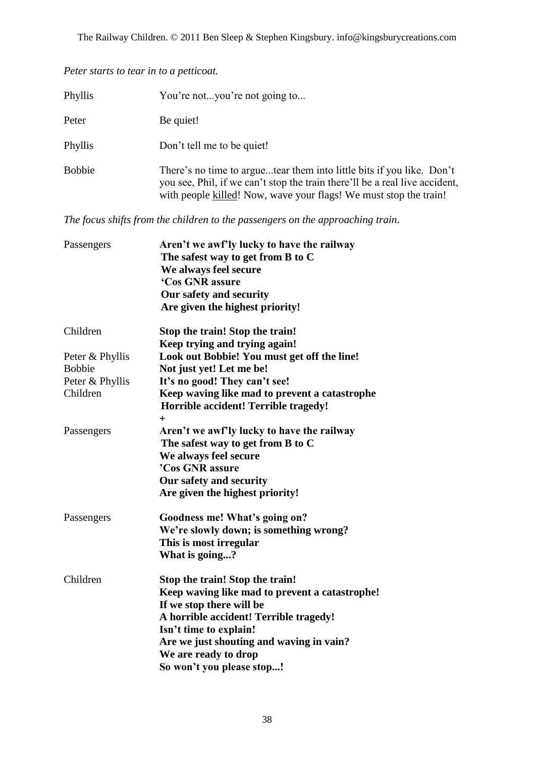*Peter starts to tear in to a petticoat.*

| Phyllis       | You're notyou're not going to                                                                                                                                                                                             |
|---------------|---------------------------------------------------------------------------------------------------------------------------------------------------------------------------------------------------------------------------|
| Peter         | Be quiet!                                                                                                                                                                                                                 |
| Phyllis       | Don't tell me to be quiet!                                                                                                                                                                                                |
| <b>Bobbie</b> | There's no time to arguetear them into little bits if you like. Don't<br>you see, Phil, if we can't stop the train there'll be a real live accident,<br>with people killed! Now, wave your flags! We must stop the train! |

*The focus shifts from the children to the passengers on the approaching train.*

| Passengers                       | Aren't we awf'ly lucky to have the railway<br>The safest way to get from B to C<br>We always feel secure<br>'Cos GNR assure<br>Our safety and security<br>Are given the highest priority!                                                                                          |
|----------------------------------|------------------------------------------------------------------------------------------------------------------------------------------------------------------------------------------------------------------------------------------------------------------------------------|
| Children                         | Stop the train! Stop the train!<br>Keep trying and trying again!                                                                                                                                                                                                                   |
| Peter & Phyllis<br><b>Bobbie</b> | Look out Bobbie! You must get off the line!<br>Not just yet! Let me be!                                                                                                                                                                                                            |
| Peter & Phyllis<br>Children      | It's no good! They can't see!<br>Keep waving like mad to prevent a catastrophe<br>Horrible accident! Terrible tragedy!<br>$\ddot{}$                                                                                                                                                |
| Passengers                       | Aren't we awf'ly lucky to have the railway<br>The safest way to get from B to C<br>We always feel secure<br>'Cos GNR assure<br>Our safety and security<br>Are given the highest priority!                                                                                          |
| Passengers                       | Goodness me! What's going on?<br>We're slowly down; is something wrong?<br>This is most irregular<br>What is going?                                                                                                                                                                |
| Children                         | Stop the train! Stop the train!<br>Keep waving like mad to prevent a catastrophe!<br>If we stop there will be<br>A horrible accident! Terrible tragedy!<br>Isn't time to explain!<br>Are we just shouting and waving in vain?<br>We are ready to drop<br>So won't you please stop! |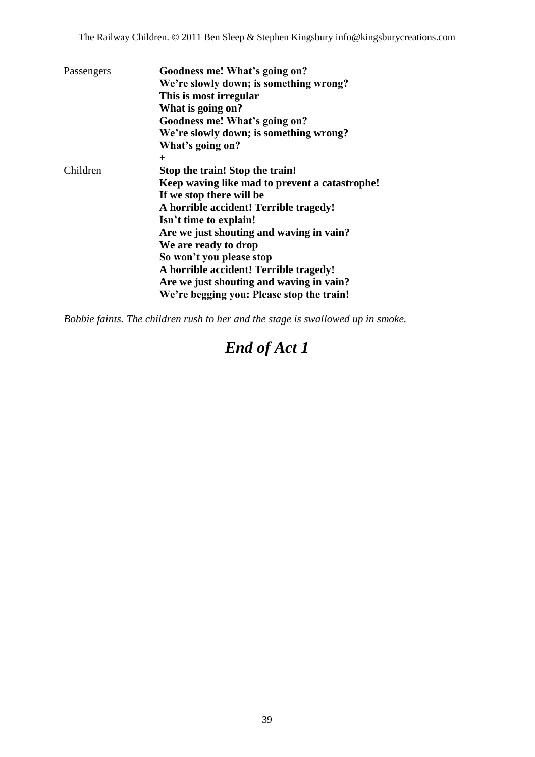| Passengers | Goodness me! What's going on?                  |
|------------|------------------------------------------------|
|            | We're slowly down; is something wrong?         |
|            | This is most irregular                         |
|            | What is going on?                              |
|            | Goodness me! What's going on?                  |
|            | We're slowly down; is something wrong?         |
|            | What's going on?                               |
|            | $\pm$                                          |
| Children   | Stop the train! Stop the train!                |
|            | Keep waving like mad to prevent a catastrophe! |
|            | If we stop there will be                       |
|            | A horrible accident! Terrible tragedy!         |
|            | Isn't time to explain!                         |
|            | Are we just shouting and waving in vain?       |
|            | We are ready to drop                           |
|            | So won't you please stop                       |
|            | A horrible accident! Terrible tragedy!         |
|            | Are we just shouting and waving in vain?       |
|            | We're begging you: Please stop the train!      |

*Bobbie faints. The children rush to her and the stage is swallowed up in smoke.*

## *End of Act 1*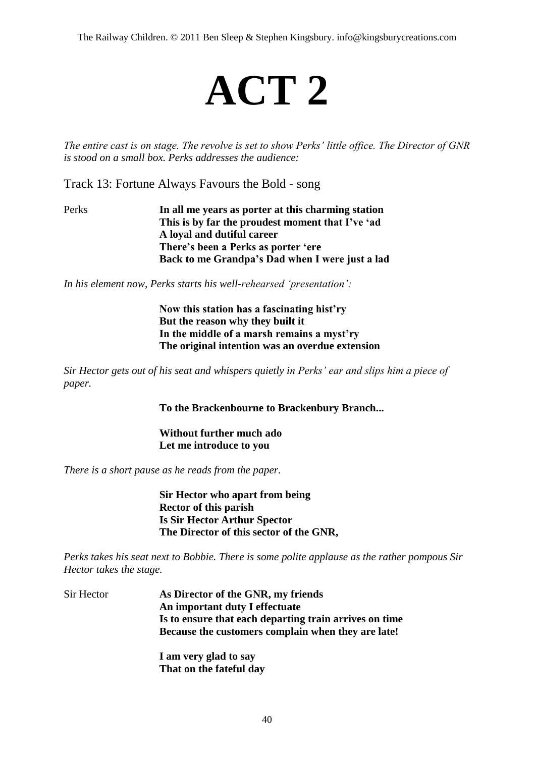The Railway Children. © 2011 Ben Sleep & Stephen Kingsbury. info@kingsburycreations.com

## **ACT 2**

*The entire cast is on stage. The revolve is set to show Perks' little office. The Director of GNR is stood on a small box. Perks addresses the audience:*

Track 13: Fortune Always Favours the Bold - song

Perks **In all me years as porter at this charming station This is by far the proudest moment that I"ve "ad A loyal and dutiful career There"s been a Perks as porter "ere Back to me Grandpa"s Dad when I were just a lad**

*In his element now, Perks starts his well-rehearsed 'presentation':*

**Now this station has a fascinating hist"ry But the reason why they built it In the middle of a marsh remains a myst"ry The original intention was an overdue extension**

*Sir Hector gets out of his seat and whispers quietly in Perks' ear and slips him a piece of paper.*

**To the Brackenbourne to Brackenbury Branch...**

**Without further much ado Let me introduce to you**

*There is a short pause as he reads from the paper.*

**Sir Hector who apart from being Rector of this parish Is Sir Hector Arthur Spector The Director of this sector of the GNR,**

*Perks takes his seat next to Bobbie. There is some polite applause as the rather pompous Sir Hector takes the stage.*

Sir Hector **As Director of the GNR, my friends An important duty I effectuate Is to ensure that each departing train arrives on time Because the customers complain when they are late!**

> **I am very glad to say That on the fateful day**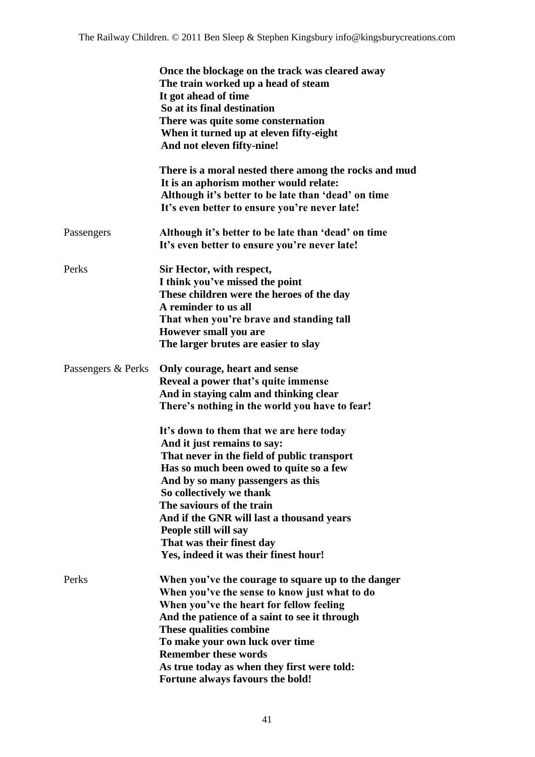|                    | Once the blockage on the track was cleared away<br>The train worked up a head of steam<br>It got ahead of time<br>So at its final destination<br>There was quite some consternation<br>When it turned up at eleven fifty-eight<br>And not eleven fifty-nine!                                                                                                                                                                                                                                                                                                                    |
|--------------------|---------------------------------------------------------------------------------------------------------------------------------------------------------------------------------------------------------------------------------------------------------------------------------------------------------------------------------------------------------------------------------------------------------------------------------------------------------------------------------------------------------------------------------------------------------------------------------|
|                    | There is a moral nested there among the rocks and mud<br>It is an aphorism mother would relate:<br>Although it's better to be late than 'dead' on time<br>It's even better to ensure you're never late!                                                                                                                                                                                                                                                                                                                                                                         |
| Passengers         | Although it's better to be late than 'dead' on time<br>It's even better to ensure you're never late!                                                                                                                                                                                                                                                                                                                                                                                                                                                                            |
| Perks              | Sir Hector, with respect,<br>I think you've missed the point<br>These children were the heroes of the day<br>A reminder to us all<br>That when you're brave and standing tall<br>However small you are<br>The larger brutes are easier to slay                                                                                                                                                                                                                                                                                                                                  |
| Passengers & Perks | Only courage, heart and sense<br>Reveal a power that's quite immense<br>And in staying calm and thinking clear<br>There's nothing in the world you have to fear!<br>It's down to them that we are here today<br>And it just remains to say:<br>That never in the field of public transport<br>Has so much been owed to quite so a few<br>And by so many passengers as this<br>So collectively we thank<br>The saviours of the train<br>And if the GNR will last a thousand years<br>People still will say<br>That was their finest day<br>Yes, indeed it was their finest hour! |
| Perks              | When you've the courage to square up to the danger<br>When you've the sense to know just what to do<br>When you've the heart for fellow feeling<br>And the patience of a saint to see it through<br>These qualities combine<br>To make your own luck over time<br><b>Remember these words</b><br>As true today as when they first were told:<br>Fortune always favours the bold!                                                                                                                                                                                                |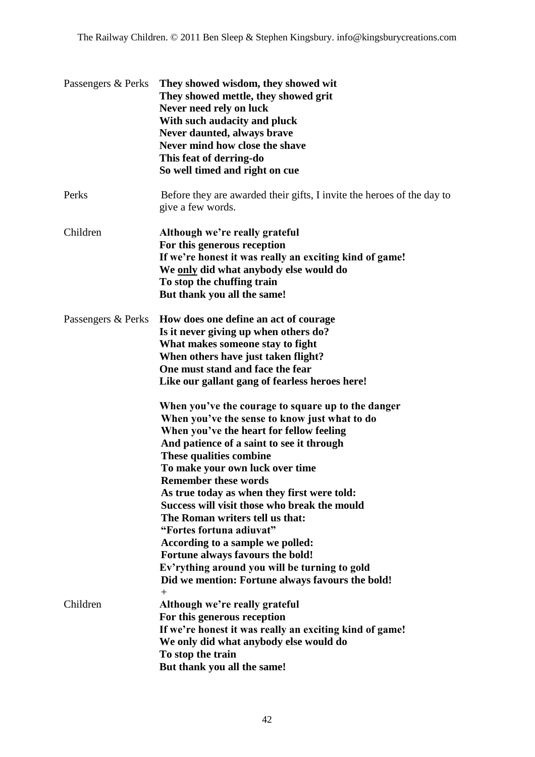| Passengers & Perks | They showed wisdom, they showed wit<br>They showed mettle, they showed grit<br>Never need rely on luck<br>With such audacity and pluck<br>Never daunted, always brave<br>Never mind how close the shave<br>This feat of derring-do<br>So well timed and right on cue                                                                                                                                                                                                                                                                                                                                                                                                                                                                                                                                                                                                                              |
|--------------------|---------------------------------------------------------------------------------------------------------------------------------------------------------------------------------------------------------------------------------------------------------------------------------------------------------------------------------------------------------------------------------------------------------------------------------------------------------------------------------------------------------------------------------------------------------------------------------------------------------------------------------------------------------------------------------------------------------------------------------------------------------------------------------------------------------------------------------------------------------------------------------------------------|
| Perks              | Before they are awarded their gifts, I invite the heroes of the day to<br>give a few words.                                                                                                                                                                                                                                                                                                                                                                                                                                                                                                                                                                                                                                                                                                                                                                                                       |
| Children           | Although we're really grateful<br>For this generous reception<br>If we're honest it was really an exciting kind of game!<br>We only did what anybody else would do<br>To stop the chuffing train<br>But thank you all the same!                                                                                                                                                                                                                                                                                                                                                                                                                                                                                                                                                                                                                                                                   |
| Passengers & Perks | How does one define an act of courage<br>Is it never giving up when others do?<br>What makes someone stay to fight<br>When others have just taken flight?<br>One must stand and face the fear<br>Like our gallant gang of fearless heroes here!<br>When you've the courage to square up to the danger<br>When you've the sense to know just what to do<br>When you've the heart for fellow feeling<br>And patience of a saint to see it through<br>These qualities combine<br>To make your own luck over time<br><b>Remember these words</b><br>As true today as when they first were told:<br>Success will visit those who break the mould<br>The Roman writers tell us that:<br>"Fortes fortuna adiuvat"<br>According to a sample we polled:<br>Fortune always favours the bold!<br>Ev'rything around you will be turning to gold<br>Did we mention: Fortune always favours the bold!<br>$^{+}$ |
| Children           | Although we're really grateful<br>For this generous reception<br>If we're honest it was really an exciting kind of game!<br>We only did what anybody else would do<br>To stop the train<br>But thank you all the same!                                                                                                                                                                                                                                                                                                                                                                                                                                                                                                                                                                                                                                                                            |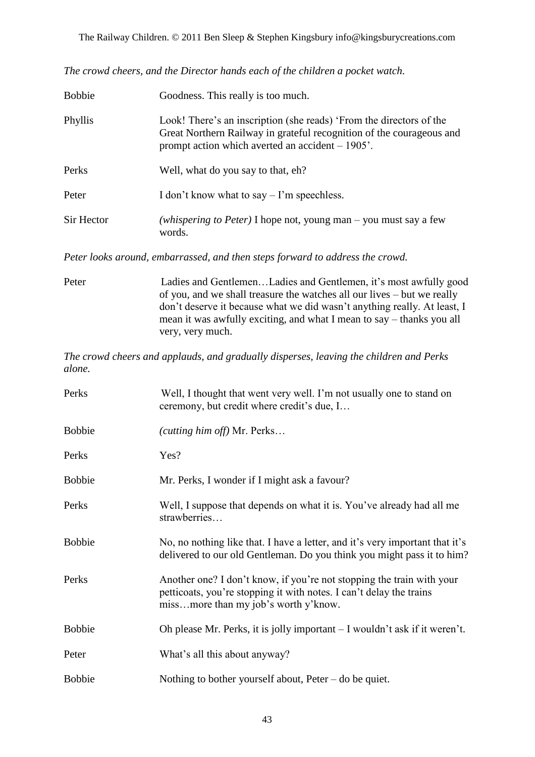*The crowd cheers, and the Director hands each of the children a pocket watch.*

| <b>Bobbie</b> | Goodness. This really is too much.                                                                                                                                                               |
|---------------|--------------------------------------------------------------------------------------------------------------------------------------------------------------------------------------------------|
| Phyllis       | Look! There's an inscription (she reads) 'From the directors of the<br>Great Northern Railway in grateful recognition of the courageous and<br>prompt action which averted an accident $-1905$ . |
| Perks         | Well, what do you say to that, eh?                                                                                                                                                               |
| Peter         | I don't know what to say $-1$ 'm speechless.                                                                                                                                                     |
| Sir Hector    | ( <i>whispering to Peter</i> ) I hope not, young man – you must say a few<br>words.                                                                                                              |

*Peter looks around, embarrassed, and then steps forward to address the crowd.*

Peter Ladies and Gentlemen…Ladies and Gentlemen, it"s most awfully good of you, and we shall treasure the watches all our lives – but we really don"t deserve it because what we did wasn"t anything really. At least, I mean it was awfully exciting, and what I mean to say – thanks you all very, very much.

*The crowd cheers and applauds, and gradually disperses, leaving the children and Perks alone.*

| Perks         | Well, I thought that went very well. I'm not usually one to stand on<br>ceremony, but credit where credit's due, I                                                                   |
|---------------|--------------------------------------------------------------------------------------------------------------------------------------------------------------------------------------|
| <b>Bobbie</b> | (cutting him off) Mr. Perks                                                                                                                                                          |
| Perks         | Yes?                                                                                                                                                                                 |
| <b>Bobbie</b> | Mr. Perks, I wonder if I might ask a favour?                                                                                                                                         |
| Perks         | Well, I suppose that depends on what it is. You've already had all me<br>strawberries                                                                                                |
| <b>Bobbie</b> | No, no nothing like that. I have a letter, and it's very important that it's<br>delivered to our old Gentleman. Do you think you might pass it to him?                               |
| Perks         | Another one? I don't know, if you're not stopping the train with your<br>petticoats, you're stopping it with notes. I can't delay the trains<br>missmore than my job's worth y'know. |
| <b>Bobbie</b> | Oh please Mr. Perks, it is jolly important – I wouldn't ask if it weren't.                                                                                                           |
| Peter         | What's all this about anyway?                                                                                                                                                        |
| <b>Bobbie</b> | Nothing to bother yourself about, $Peter - do$ be quiet.                                                                                                                             |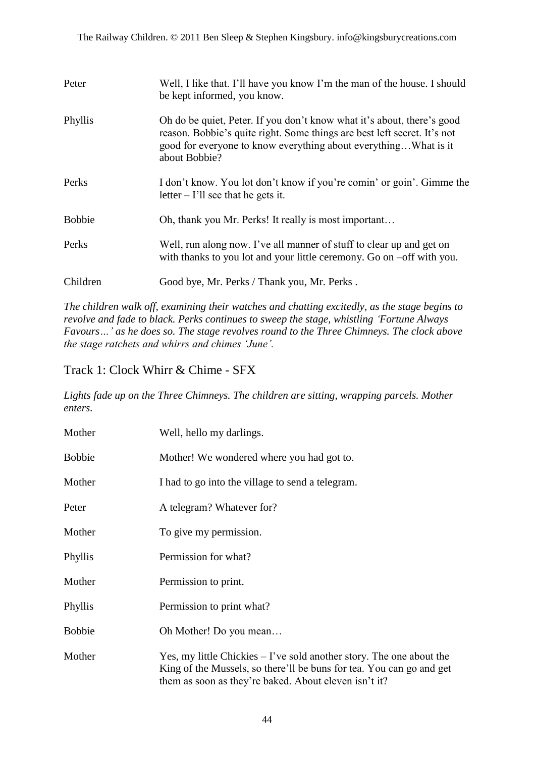| Peter         | Well, I like that. I'll have you know I'm the man of the house. I should<br>be kept informed, you know.                                                                                                                                 |
|---------------|-----------------------------------------------------------------------------------------------------------------------------------------------------------------------------------------------------------------------------------------|
| Phyllis       | Oh do be quiet, Peter. If you don't know what it's about, there's good<br>reason. Bobbie's quite right. Some things are best left secret. It's not<br>good for everyone to know everything about everything What is it<br>about Bobbie? |
| Perks         | I don't know. You lot don't know if you're comin' or goin'. Gimme the<br>$letter - I'll$ see that he gets it.                                                                                                                           |
| <b>Bobbie</b> | Oh, thank you Mr. Perks! It really is most important                                                                                                                                                                                    |
| Perks         | Well, run along now. I've all manner of stuff to clear up and get on<br>with thanks to you lot and your little ceremony. Go on -off with you.                                                                                           |
| Children      | Good bye, Mr. Perks / Thank you, Mr. Perks.                                                                                                                                                                                             |

*The children walk off, examining their watches and chatting excitedly, as the stage begins to revolve and fade to black. Perks continues to sweep the stage, whistling 'Fortune Always Favours…' as he does so. The stage revolves round to the Three Chimneys. The clock above the stage ratchets and whirrs and chimes 'June'.*

Track 1: Clock Whirr & Chime - SFX

*Lights fade up on the Three Chimneys. The children are sitting, wrapping parcels. Mother enters.*

| Mother        | Well, hello my darlings.                                                                                                                                                                                |
|---------------|---------------------------------------------------------------------------------------------------------------------------------------------------------------------------------------------------------|
| <b>Bobbie</b> | Mother! We wondered where you had got to.                                                                                                                                                               |
| Mother        | I had to go into the village to send a telegram.                                                                                                                                                        |
| Peter         | A telegram? Whatever for?                                                                                                                                                                               |
| Mother        | To give my permission.                                                                                                                                                                                  |
| Phyllis       | Permission for what?                                                                                                                                                                                    |
| Mother        | Permission to print.                                                                                                                                                                                    |
| Phyllis       | Permission to print what?                                                                                                                                                                               |
| <b>Bobbie</b> | Oh Mother! Do you mean                                                                                                                                                                                  |
| Mother        | Yes, my little Chickies $-1$ 've sold another story. The one about the<br>King of the Mussels, so there'll be buns for tea. You can go and get<br>them as soon as they're baked. About eleven isn't it? |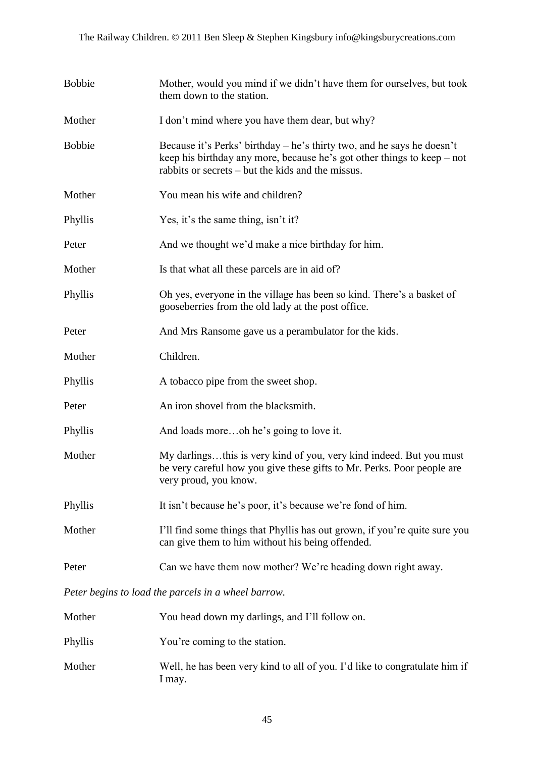| <b>Bobbie</b> | Mother, would you mind if we didn't have them for ourselves, but took<br>them down to the station.                                                                                                     |
|---------------|--------------------------------------------------------------------------------------------------------------------------------------------------------------------------------------------------------|
| Mother        | I don't mind where you have them dear, but why?                                                                                                                                                        |
| <b>Bobbie</b> | Because it's Perks' birthday – he's thirty two, and he says he doesn't<br>keep his birthday any more, because he's got other things to keep – not<br>rabbits or secrets – but the kids and the missus. |
| Mother        | You mean his wife and children?                                                                                                                                                                        |
| Phyllis       | Yes, it's the same thing, isn't it?                                                                                                                                                                    |
| Peter         | And we thought we'd make a nice birthday for him.                                                                                                                                                      |
| Mother        | Is that what all these parcels are in aid of?                                                                                                                                                          |
| Phyllis       | Oh yes, everyone in the village has been so kind. There's a basket of<br>gooseberries from the old lady at the post office.                                                                            |
| Peter         | And Mrs Ransome gave us a perambulator for the kids.                                                                                                                                                   |
| Mother        | Children.                                                                                                                                                                                              |
| Phyllis       | A tobacco pipe from the sweet shop.                                                                                                                                                                    |
| Peter         | An iron shovel from the blacksmith.                                                                                                                                                                    |
| Phyllis       | And loads moreoh he's going to love it.                                                                                                                                                                |
| Mother        | My darlingsthis is very kind of you, very kind indeed. But you must<br>be very careful how you give these gifts to Mr. Perks. Poor people are<br>very proud, you know.                                 |
| Phyllis       | It isn't because he's poor, it's because we're fond of him.                                                                                                                                            |
| Mother        | I'll find some things that Phyllis has out grown, if you're quite sure you<br>can give them to him without his being offended.                                                                         |
| Peter         | Can we have them now mother? We're heading down right away.                                                                                                                                            |

*Peter begins to load the parcels in a wheel barrow.*

| Mother  | You head down my darlings, and I'll follow on.                                       |
|---------|--------------------------------------------------------------------------------------|
| Phyllis | You're coming to the station.                                                        |
| Mother  | Well, he has been very kind to all of you. I'd like to congratulate him if<br>I may. |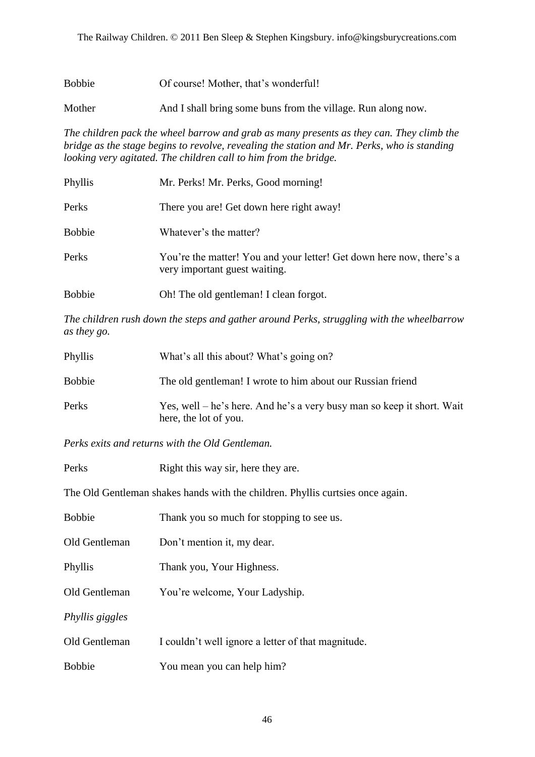Bobbie Of course! Mother, that"s wonderful!

Mother And I shall bring some buns from the village. Run along now.

*The children pack the wheel barrow and grab as many presents as they can. They climb the bridge as the stage begins to revolve, revealing the station and Mr. Perks, who is standing looking very agitated. The children call to him from the bridge.*

| Phyllis       | Mr. Perks! Mr. Perks, Good morning!                                                                   |
|---------------|-------------------------------------------------------------------------------------------------------|
| Perks         | There you are! Get down here right away!                                                              |
| <b>Bobbie</b> | Whatever's the matter?                                                                                |
| Perks         | You're the matter! You and your letter! Get down here now, there's a<br>very important guest waiting. |
| <b>Bobbie</b> | Oh! The old gentleman! I clean forgot.                                                                |

*The children rush down the steps and gather around Perks, struggling with the wheelbarrow as they go.*

| Phyllis       | What's all this about? What's going on?                                                         |
|---------------|-------------------------------------------------------------------------------------------------|
| <b>Bobbie</b> | The old gentleman! I wrote to him about our Russian friend                                      |
| Perks         | Yes, well – he's here. And he's a very busy man so keep it short. Wait<br>here, the lot of you. |

*Perks exits and returns with the Old Gentleman.* 

Perks Right this way sir, here they are.

The Old Gentleman shakes hands with the children. Phyllis curtsies once again.

| <b>Bobbie</b>   | Thank you so much for stopping to see us.          |
|-----------------|----------------------------------------------------|
| Old Gentleman   | Don't mention it, my dear.                         |
| Phyllis         | Thank you, Your Highness.                          |
| Old Gentleman   | You're welcome, Your Ladyship.                     |
| Phyllis giggles |                                                    |
| Old Gentleman   | I couldn't well ignore a letter of that magnitude. |
| <b>Bobbie</b>   | You mean you can help him?                         |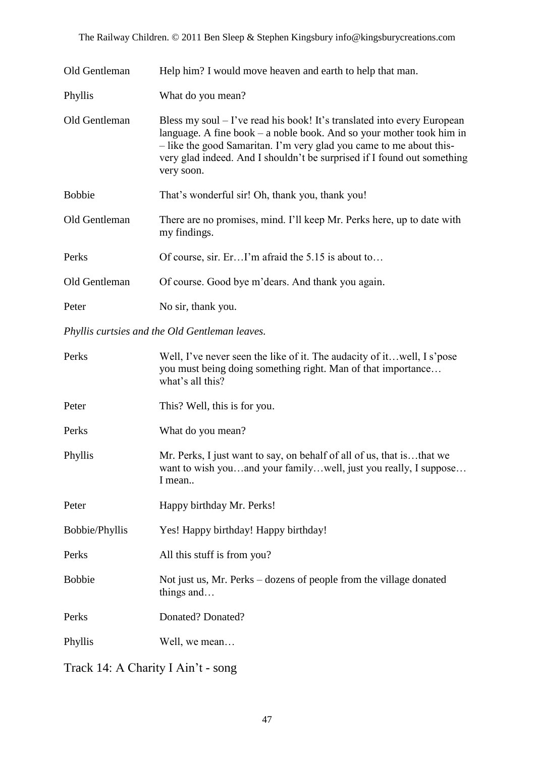The Railway Children. © 2011 Ben Sleep & Stephen Kingsbury info@kingsburycreations.com

| Old Gentleman | Help him? I would move heaven and earth to help that man.                                                                                                                                                                                                                                                           |
|---------------|---------------------------------------------------------------------------------------------------------------------------------------------------------------------------------------------------------------------------------------------------------------------------------------------------------------------|
| Phyllis       | What do you mean?                                                                                                                                                                                                                                                                                                   |
| Old Gentleman | Bless my soul $-1$ 've read his book! It's translated into every European<br>language. A fine book $-$ a noble book. And so your mother took him in<br>- like the good Samaritan. I'm very glad you came to me about this-<br>very glad indeed. And I shouldn't be surprised if I found out something<br>very soon. |
| <b>Bobbie</b> | That's wonderful sir! Oh, thank you, thank you!                                                                                                                                                                                                                                                                     |
| Old Gentleman | There are no promises, mind. I'll keep Mr. Perks here, up to date with<br>my findings.                                                                                                                                                                                                                              |
| Perks         | Of course, sir. ErI'm afraid the 5.15 is about to                                                                                                                                                                                                                                                                   |
| Old Gentleman | Of course. Good bye m'dears. And thank you again.                                                                                                                                                                                                                                                                   |
| Peter         | No sir, thank you.                                                                                                                                                                                                                                                                                                  |

*Phyllis curtsies and the Old Gentleman leaves.*

| Perks                 | Well, I've never seen the like of it. The audacity of it well, I s'pose<br>you must being doing something right. Man of that importance<br>what's all this? |
|-----------------------|-------------------------------------------------------------------------------------------------------------------------------------------------------------|
| Peter                 | This? Well, this is for you.                                                                                                                                |
| Perks                 | What do you mean?                                                                                                                                           |
| Phyllis               | Mr. Perks, I just want to say, on behalf of all of us, that isthat we<br>want to wish youand your familywell, just you really, I suppose<br>I mean          |
| Peter                 | Happy birthday Mr. Perks!                                                                                                                                   |
| <b>Bobbie/Phyllis</b> | Yes! Happy birthday! Happy birthday!                                                                                                                        |
| Perks                 | All this stuff is from you?                                                                                                                                 |
| <b>Bobbie</b>         | Not just us, Mr. Perks – dozens of people from the village donated<br>things and                                                                            |
| Perks                 | Donated? Donated?                                                                                                                                           |
| Phyllis               | Well, we mean                                                                                                                                               |
|                       |                                                                                                                                                             |

Track 14: A Charity I Ain"t - song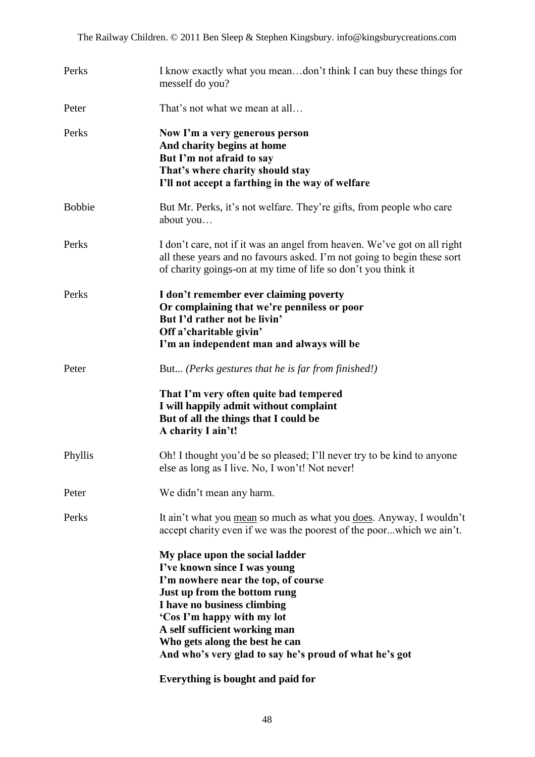| Perks         | I know exactly what you meandon't think I can buy these things for<br>mesself do you?                                                                                                                                                                                                                                                                                 |
|---------------|-----------------------------------------------------------------------------------------------------------------------------------------------------------------------------------------------------------------------------------------------------------------------------------------------------------------------------------------------------------------------|
| Peter         | That's not what we mean at all                                                                                                                                                                                                                                                                                                                                        |
| Perks         | Now I'm a very generous person<br>And charity begins at home<br>But I'm not afraid to say<br>That's where charity should stay<br>I'll not accept a farthing in the way of welfare                                                                                                                                                                                     |
| <b>Bobbie</b> | But Mr. Perks, it's not welfare. They're gifts, from people who care<br>about you                                                                                                                                                                                                                                                                                     |
| Perks         | I don't care, not if it was an angel from heaven. We've got on all right<br>all these years and no favours asked. I'm not going to begin these sort<br>of charity goings-on at my time of life so don't you think it                                                                                                                                                  |
| Perks         | I don't remember ever claiming poverty<br>Or complaining that we're penniless or poor<br>But I'd rather not be livin'<br>Off a'charitable givin'<br>I'm an independent man and always will be                                                                                                                                                                         |
| Peter         | But (Perks gestures that he is far from finished!)                                                                                                                                                                                                                                                                                                                    |
|               | That I'm very often quite bad tempered<br>I will happily admit without complaint<br>But of all the things that I could be<br>A charity I ain't!                                                                                                                                                                                                                       |
| Phyllis       | Oh! I thought you'd be so pleased; I'll never try to be kind to anyone<br>else as long as I live. No, I won't! Not never!                                                                                                                                                                                                                                             |
| Peter         | We didn't mean any harm.                                                                                                                                                                                                                                                                                                                                              |
| Perks         | It ain't what you mean so much as what you does. Anyway, I wouldn't<br>accept charity even if we was the poorest of the poorwhich we ain't.                                                                                                                                                                                                                           |
|               | My place upon the social ladder<br>I've known since I was young<br>I'm nowhere near the top, of course<br>Just up from the bottom rung<br>I have no business climbing<br>'Cos I'm happy with my lot<br>A self sufficient working man<br>Who gets along the best he can<br>And who's very glad to say he's proud of what he's got<br>Everything is bought and paid for |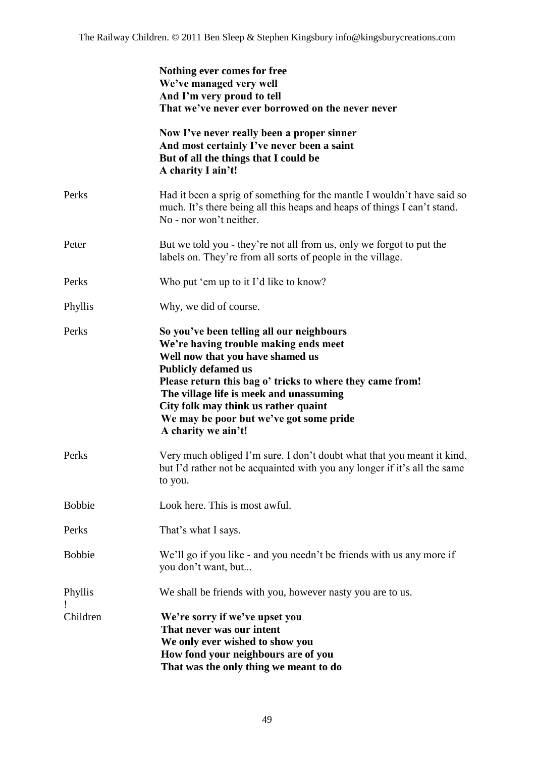|               | Nothing ever comes for free<br>We've managed very well<br>And I'm very proud to tell<br>That we've never ever borrowed on the never never                                                                                                                                                                                                                              |
|---------------|------------------------------------------------------------------------------------------------------------------------------------------------------------------------------------------------------------------------------------------------------------------------------------------------------------------------------------------------------------------------|
|               | Now I've never really been a proper sinner<br>And most certainly I've never been a saint<br>But of all the things that I could be<br>A charity I ain't!                                                                                                                                                                                                                |
| Perks         | Had it been a sprig of something for the mantle I wouldn't have said so<br>much. It's there being all this heaps and heaps of things I can't stand.<br>No - nor won't neither.                                                                                                                                                                                         |
| Peter         | But we told you - they're not all from us, only we forgot to put the<br>labels on. They're from all sorts of people in the village.                                                                                                                                                                                                                                    |
| Perks         | Who put 'em up to it I'd like to know?                                                                                                                                                                                                                                                                                                                                 |
| Phyllis       | Why, we did of course.                                                                                                                                                                                                                                                                                                                                                 |
| Perks         | So you've been telling all our neighbours<br>We're having trouble making ends meet<br>Well now that you have shamed us<br><b>Publicly defamed us</b><br>Please return this bag o' tricks to where they came from!<br>The village life is meek and unassuming<br>City folk may think us rather quaint<br>We may be poor but we've got some pride<br>A charity we ain't! |
| Perks         | Very much obliged I'm sure. I don't doubt what that you meant it kind,<br>but I'd rather not be acquainted with you any longer if it's all the same<br>to you.                                                                                                                                                                                                         |
| <b>Bobbie</b> | Look here. This is most awful.                                                                                                                                                                                                                                                                                                                                         |
| Perks         | That's what I says.                                                                                                                                                                                                                                                                                                                                                    |
| <b>Bobbie</b> | We'll go if you like - and you needn't be friends with us any more if<br>you don't want, but                                                                                                                                                                                                                                                                           |
| Phyllis       | We shall be friends with you, however nasty you are to us.                                                                                                                                                                                                                                                                                                             |
| Children      | We're sorry if we've upset you<br>That never was our intent<br>We only ever wished to show you<br>How fond your neighbours are of you<br>That was the only thing we meant to do                                                                                                                                                                                        |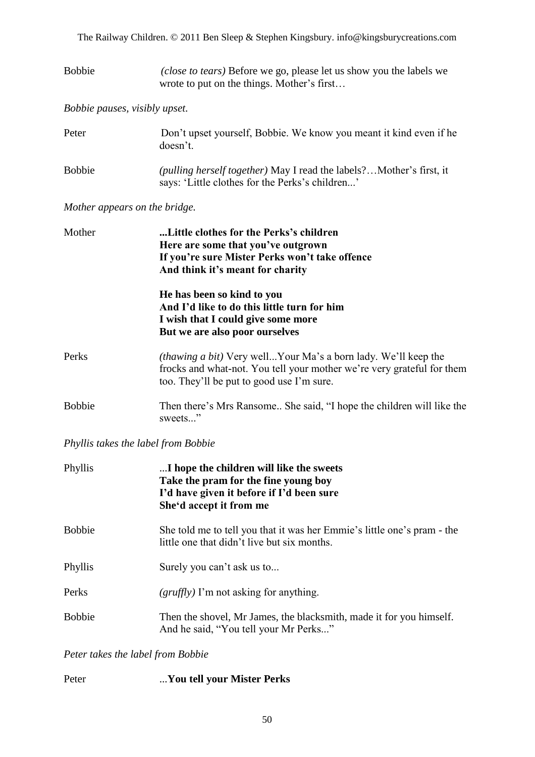The Railway Children. © 2011 Ben Sleep & Stephen Kingsbury. info@kingsburycreations.com

| Bobbie | ( <i>close to tears</i> ) Before we go, please let us show you the labels we |
|--------|------------------------------------------------------------------------------|
|        | wrote to put on the things. Mother's first                                   |

*Bobbie pauses, visibly upset.*

| Peter         | Don't upset yourself, Bobbie. We know you meant it kind even if he<br>doesn't.                                          |
|---------------|-------------------------------------------------------------------------------------------------------------------------|
| <b>Bobbie</b> | (pulling herself together) May I read the labels? Mother's first, it<br>says: 'Little clothes for the Perks's children' |

#### *Mother appears on the bridge.*

| Mother        | Little clothes for the Perks's children                                           |                                                                                                                                                                                              |  |
|---------------|-----------------------------------------------------------------------------------|----------------------------------------------------------------------------------------------------------------------------------------------------------------------------------------------|--|
|               | Here are some that you've outgrown                                                |                                                                                                                                                                                              |  |
|               | If you're sure Mister Perks won't take offence                                    |                                                                                                                                                                                              |  |
|               | And think it's meant for charity                                                  |                                                                                                                                                                                              |  |
|               | He has been so kind to you                                                        |                                                                                                                                                                                              |  |
|               | And I'd like to do this little turn for him<br>I wish that I could give some more |                                                                                                                                                                                              |  |
|               |                                                                                   |                                                                                                                                                                                              |  |
|               | Perks                                                                             | <i>(thawing a bit)</i> Very wellYour Ma's a born lady. We'll keep the<br>frocks and what-not. You tell your mother we're very grateful for them<br>too. They'll be put to good use I'm sure. |  |
| <b>Bobbie</b> | Then there's Mrs Ransome She said, "I hope the children will like the<br>sweets"  |                                                                                                                                                                                              |  |

#### *Phyllis takes the label from Bobbie*

| Phyllis       | I hope the children will like the sweets<br>Take the pram for the fine young boy<br>I'd have given it before if I'd been sure<br>She'd accept it from me |
|---------------|----------------------------------------------------------------------------------------------------------------------------------------------------------|
| <b>Bobbie</b> | She told me to tell you that it was her Emmie's little one's pram - the<br>little one that didn't live but six months.                                   |
| Phyllis       | Surely you can't ask us to                                                                                                                               |
| Perks         | $\left(\frac{gruffly}{l}\right)$ I'm not asking for anything.                                                                                            |
| <b>Bobbie</b> | Then the shovel, Mr James, the blacksmith, made it for you himself.<br>And he said, "You tell your Mr Perks"                                             |

#### *Peter takes the label from Bobbie*

| Peter | You tell your Mister Perks |  |  |
|-------|----------------------------|--|--|
|       |                            |  |  |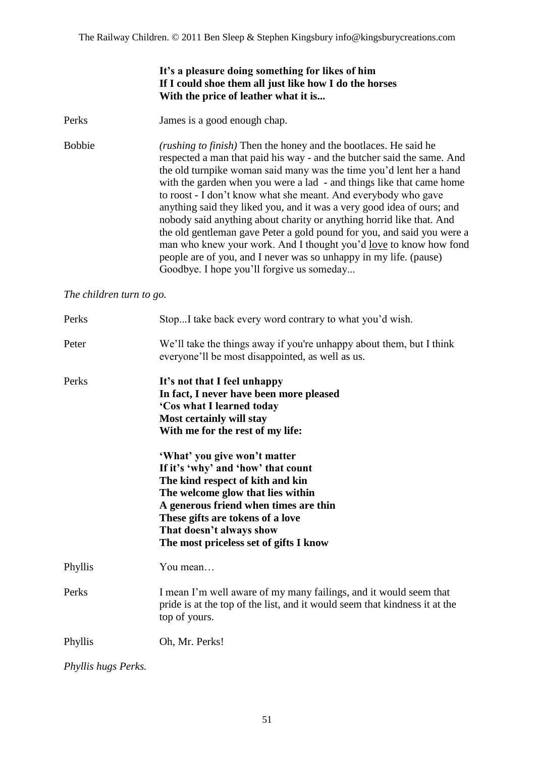#### **It"s a pleasure doing something for likes of him If I could shoe them all just like how I do the horses With the price of leather what it is...**

Perks James is a good enough chap.

Bobbie *(rushing to finish)* Then the honey and the bootlaces. He said he respected a man that paid his way - and the butcher said the same. And the old turnpike woman said many was the time you"d lent her a hand with the garden when you were a lad - and things like that came home to roost - I don"t know what she meant. And everybody who gave anything said they liked you, and it was a very good idea of ours; and nobody said anything about charity or anything horrid like that. And the old gentleman gave Peter a gold pound for you, and said you were a man who knew your work. And I thought you"d love to know how fond people are of you, and I never was so unhappy in my life. (pause) Goodbye. I hope you"ll forgive us someday...

*The children turn to go.*

| Perks   | StopI take back every word contrary to what you'd wish.                                                                                                                                                                                                        |
|---------|----------------------------------------------------------------------------------------------------------------------------------------------------------------------------------------------------------------------------------------------------------------|
| Peter   | We'll take the things away if you're unhappy about them, but I think<br>everyone'll be most disappointed, as well as us.                                                                                                                                       |
| Perks   | It's not that I feel unhappy<br>In fact, I never have been more pleased<br>'Cos what I learned today<br>Most certainly will stay<br>With me for the rest of my life:<br>'What' you give won't matter                                                           |
|         | If it's 'why' and 'how' that count<br>The kind respect of kith and kin<br>The welcome glow that lies within<br>A generous friend when times are thin<br>These gifts are tokens of a love<br>That doesn't always show<br>The most priceless set of gifts I know |
| Phyllis | You mean                                                                                                                                                                                                                                                       |
| Perks   | I mean I'm well aware of my many failings, and it would seem that<br>pride is at the top of the list, and it would seem that kindness it at the<br>top of yours.                                                                                               |
| Phyllis | Oh, Mr. Perks!                                                                                                                                                                                                                                                 |

*Phyllis hugs Perks.*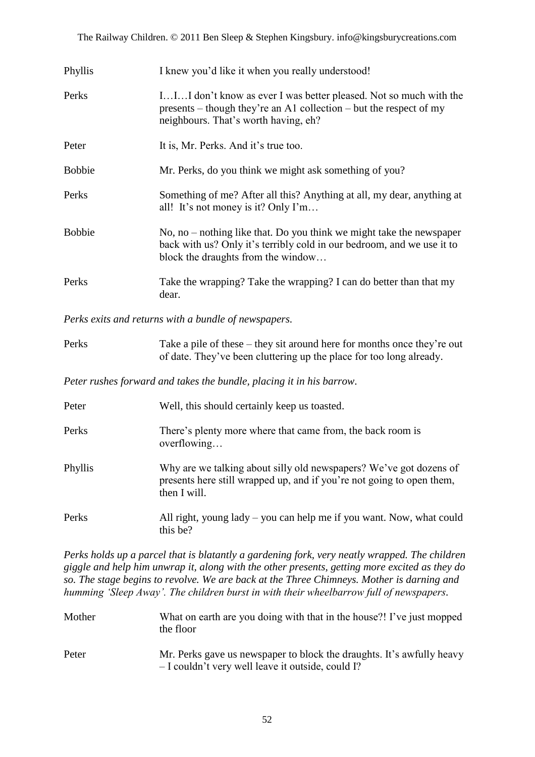| Phyllis       | I knew you'd like it when you really understood!                                                                                                                                       |
|---------------|----------------------------------------------------------------------------------------------------------------------------------------------------------------------------------------|
| Perks         | III don't know as ever I was better pleased. Not so much with the<br>presents – though they're an A1 collection – but the respect of my<br>neighbours. That's worth having, eh?        |
| Peter         | It is, Mr. Perks. And it's true too.                                                                                                                                                   |
| <b>Bobbie</b> | Mr. Perks, do you think we might ask something of you?                                                                                                                                 |
| Perks         | Something of me? After all this? Anything at all, my dear, anything at<br>all! It's not money is it? Only I'm                                                                          |
| <b>Bobbie</b> | No, no $-$ nothing like that. Do you think we might take the newspaper<br>back with us? Only it's terribly cold in our bedroom, and we use it to<br>block the draughts from the window |
| Perks         | Take the wrapping? Take the wrapping? I can do better than that my<br>dear.                                                                                                            |

*Perks exits and returns with a bundle of newspapers.*

| Perks | Take a pile of these $-$ they sit around here for months once they're out |
|-------|---------------------------------------------------------------------------|
|       | of date. They've been cluttering up the place for too long already.       |

*Peter rushes forward and takes the bundle, placing it in his barrow.*

| Peter   | Well, this should certainly keep us toasted.                                                                                                                |
|---------|-------------------------------------------------------------------------------------------------------------------------------------------------------------|
| Perks   | There's plenty more where that came from, the back room is<br>overflowing                                                                                   |
| Phyllis | Why are we talking about silly old newspapers? We've got dozens of<br>presents here still wrapped up, and if you're not going to open them,<br>then I will. |
| Perks   | All right, young $l$ ady $-$ you can help me if you want. Now, what could<br>this be?                                                                       |

*Perks holds up a parcel that is blatantly a gardening fork, very neatly wrapped. The children giggle and help him unwrap it, along with the other presents, getting more excited as they do so. The stage begins to revolve. We are back at the Three Chimneys. Mother is darning and humming 'Sleep Away'. The children burst in with their wheelbarrow full of newspapers.*

| Mother | What on earth are you doing with that in the house?! I've just mopped |
|--------|-----------------------------------------------------------------------|
|        | the floor                                                             |
|        |                                                                       |

Peter Mr. Perks gave us newspaper to block the draughts. It's awfully heavy – I couldn"t very well leave it outside, could I?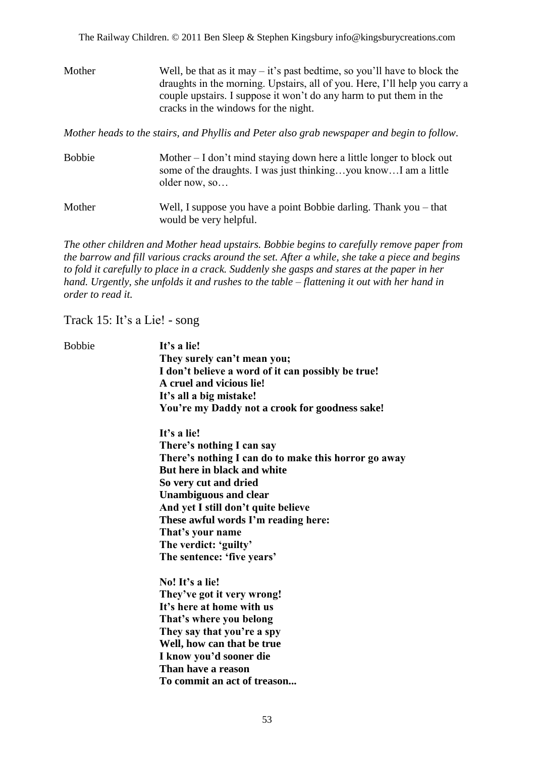Mother Well, be that as it may  $-$  it's past bedtime, so you'll have to block the draughts in the morning. Upstairs, all of you. Here, I"ll help you carry a couple upstairs. I suppose it won"t do any harm to put them in the cracks in the windows for the night.

*Mother heads to the stairs, and Phyllis and Peter also grab newspaper and begin to follow.*

Bobbie Mother – I don't mind staying down here a little longer to block out some of the draughts. I was just thinking…you know…I am a little older now, so… Mother Well, I suppose you have a point Bobbie darling. Thank you – that would be very helpful.

*The other children and Mother head upstairs. Bobbie begins to carefully remove paper from the barrow and fill various cracks around the set. After a while, she take a piece and begins to fold it carefully to place in a crack. Suddenly she gasps and stares at the paper in her hand. Urgently, she unfolds it and rushes to the table – flattening it out with her hand in order to read it.*

Track 15: It"s a Lie! - song

Bobbie **It"s a lie! They surely can"t mean you; I don"t believe a word of it can possibly be true! A cruel and vicious lie! It"s all a big mistake! You"re my Daddy not a crook for goodness sake!**

> **It"s a lie! There"s nothing I can say There"s nothing I can do to make this horror go away But here in black and white So very cut and dried Unambiguous and clear And yet I still don"t quite believe These awful words I"m reading here: That"s your name The verdict: "guilty" The sentence: "five years"**

**No! It"s a lie! They"ve got it very wrong! It"s here at home with us That"s where you belong They say that you"re a spy Well, how can that be true I know you"d sooner die Than have a reason To commit an act of treason...**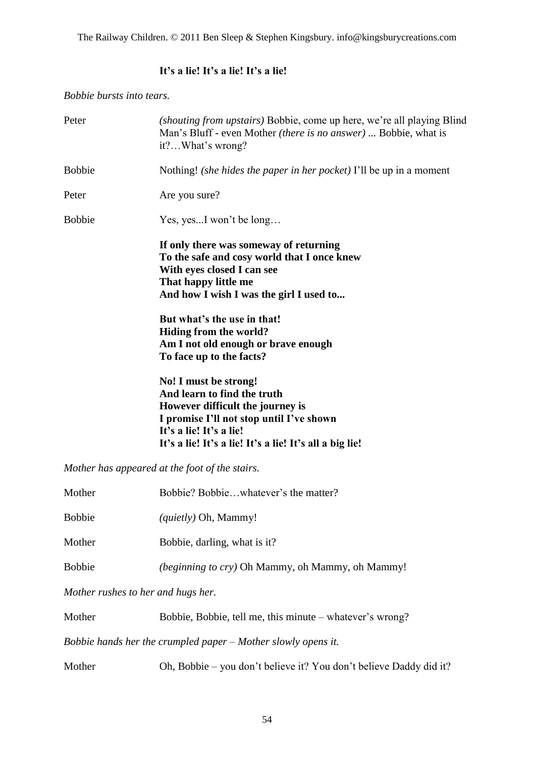The Railway Children. © 2011 Ben Sleep & Stephen Kingsbury. info@kingsburycreations.com

#### **It"s a lie! It"s a lie! It"s a lie!**

*Bobbie bursts into tears.*

| Peter                              | (shouting from upstairs) Bobbie, come up here, we're all playing Blind<br>Man's Bluff - even Mother <i>(there is no answer)</i> Bobbie, what is<br>it?What's wrong?                                                        |
|------------------------------------|----------------------------------------------------------------------------------------------------------------------------------------------------------------------------------------------------------------------------|
| <b>Bobbie</b>                      | Nothing! (she hides the paper in her pocket) I'll be up in a moment                                                                                                                                                        |
| Peter                              | Are you sure?                                                                                                                                                                                                              |
| <b>Bobbie</b>                      | Yes, yesI won't be long                                                                                                                                                                                                    |
|                                    | If only there was someway of returning<br>To the safe and cosy world that I once knew<br>With eyes closed I can see<br>That happy little me<br>And how I wish I was the girl I used to                                     |
|                                    | But what's the use in that!<br>Hiding from the world?<br>Am I not old enough or brave enough<br>To face up to the facts?                                                                                                   |
|                                    | No! I must be strong!<br>And learn to find the truth<br>However difficult the journey is<br>I promise I'll not stop until I've shown<br>It's a lie! It's a lie!<br>It's a lie! It's a lie! It's a lie! It's all a big lie! |
|                                    | Mother has appeared at the foot of the stairs.                                                                                                                                                                             |
| Mother                             | Bobbie? Bobbiewhatever's the matter?                                                                                                                                                                                       |
| <b>Bobbie</b>                      | (quietly) Oh, Mammy!                                                                                                                                                                                                       |
| Mother                             | Bobbie, darling, what is it?                                                                                                                                                                                               |
| <b>Bobbie</b>                      | (beginning to cry) Oh Mammy, oh Mammy, oh Mammy!                                                                                                                                                                           |
| Mother rushes to her and hugs her. |                                                                                                                                                                                                                            |
| Mother                             | Bobbie, Bobbie, tell me, this minute - whatever's wrong?                                                                                                                                                                   |
|                                    | Bobbie hands her the crumpled paper - Mother slowly opens it.                                                                                                                                                              |

Mother Oh, Bobbie – you don't believe it? You don't believe Daddy did it?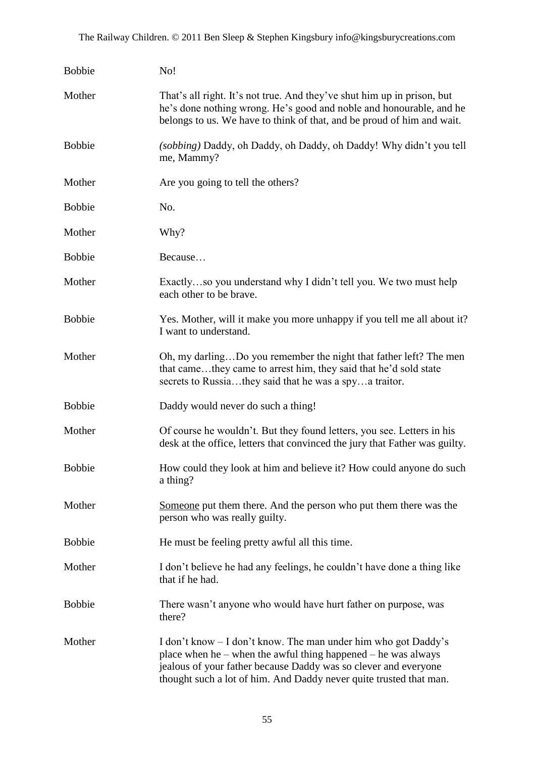| <b>Bobbie</b> | No!                                                                                                                                                                                                                                                                          |
|---------------|------------------------------------------------------------------------------------------------------------------------------------------------------------------------------------------------------------------------------------------------------------------------------|
| Mother        | That's all right. It's not true. And they've shut him up in prison, but<br>he's done nothing wrong. He's good and noble and honourable, and he<br>belongs to us. We have to think of that, and be proud of him and wait.                                                     |
| <b>Bobbie</b> | (sobbing) Daddy, oh Daddy, oh Daddy, oh Daddy! Why didn't you tell<br>me, Mammy?                                                                                                                                                                                             |
| Mother        | Are you going to tell the others?                                                                                                                                                                                                                                            |
| <b>Bobbie</b> | No.                                                                                                                                                                                                                                                                          |
| Mother        | Why?                                                                                                                                                                                                                                                                         |
| <b>Bobbie</b> | Because                                                                                                                                                                                                                                                                      |
| Mother        | Exactlyso you understand why I didn't tell you. We two must help<br>each other to be brave.                                                                                                                                                                                  |
| <b>Bobbie</b> | Yes. Mother, will it make you more unhappy if you tell me all about it?<br>I want to understand.                                                                                                                                                                             |
| Mother        | Oh, my darlingDo you remember the night that father left? The men<br>that camethey came to arrest him, they said that he'd sold state<br>secrets to Russiathey said that he was a spya traitor.                                                                              |
| <b>Bobbie</b> | Daddy would never do such a thing!                                                                                                                                                                                                                                           |
| Mother        | Of course he wouldn't. But they found letters, you see. Letters in his<br>desk at the office, letters that convinced the jury that Father was guilty.                                                                                                                        |
| <b>Bobbie</b> | How could they look at him and believe it? How could anyone do such<br>a thing?                                                                                                                                                                                              |
| Mother        | Someone put them there. And the person who put them there was the<br>person who was really guilty.                                                                                                                                                                           |
| <b>Bobbie</b> | He must be feeling pretty awful all this time.                                                                                                                                                                                                                               |
| Mother        | I don't believe he had any feelings, he couldn't have done a thing like<br>that if he had.                                                                                                                                                                                   |
| <b>Bobbie</b> | There wasn't anyone who would have hurt father on purpose, was<br>there?                                                                                                                                                                                                     |
| Mother        | I don't know – I don't know. The man under him who got Daddy's<br>place when he $-$ when the awful thing happened $-$ he was always<br>jealous of your father because Daddy was so clever and everyone<br>thought such a lot of him. And Daddy never quite trusted that man. |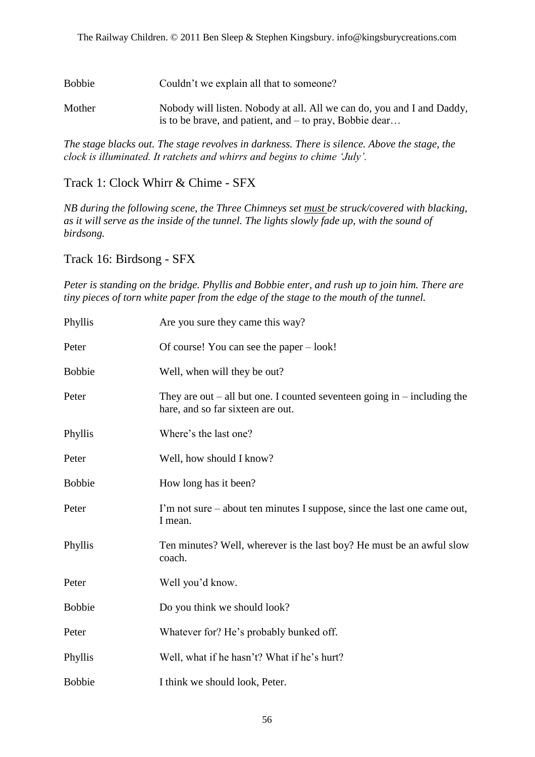Bobbie Couldn't we explain all that to someone?

Mother Nobody will listen. Nobody at all. All we can do, you and I and Daddy, is to be brave, and patient, and – to pray, Bobbie dear…

*The stage blacks out. The stage revolves in darkness. There is silence. Above the stage, the clock is illuminated. It ratchets and whirrs and begins to chime 'July'.*

Track 1: Clock Whirr & Chime - SFX

*NB during the following scene, the Three Chimneys set must be struck/covered with blacking, as it will serve as the inside of the tunnel. The lights slowly fade up, with the sound of birdsong.*

Track 16: Birdsong - SFX

*Peter is standing on the bridge. Phyllis and Bobbie enter, and rush up to join him. There are tiny pieces of torn white paper from the edge of the stage to the mouth of the tunnel.*

| Phyllis       | Are you sure they came this way?                                                                              |
|---------------|---------------------------------------------------------------------------------------------------------------|
| Peter         | Of course! You can see the paper – look!                                                                      |
| <b>Bobbie</b> | Well, when will they be out?                                                                                  |
| Peter         | They are out – all but one. I counted seventeen going in – including the<br>hare, and so far sixteen are out. |
| Phyllis       | Where's the last one?                                                                                         |
| Peter         | Well, how should I know?                                                                                      |
| <b>Bobbie</b> | How long has it been?                                                                                         |
| Peter         | I'm not sure – about ten minutes I suppose, since the last one came out,<br>I mean.                           |
| Phyllis       | Ten minutes? Well, wherever is the last boy? He must be an awful slow<br>coach.                               |
| Peter         | Well you'd know.                                                                                              |
| <b>Bobbie</b> | Do you think we should look?                                                                                  |
| Peter         | Whatever for? He's probably bunked off.                                                                       |
| Phyllis       | Well, what if he hasn't? What if he's hurt?                                                                   |
| <b>Bobbie</b> | I think we should look, Peter.                                                                                |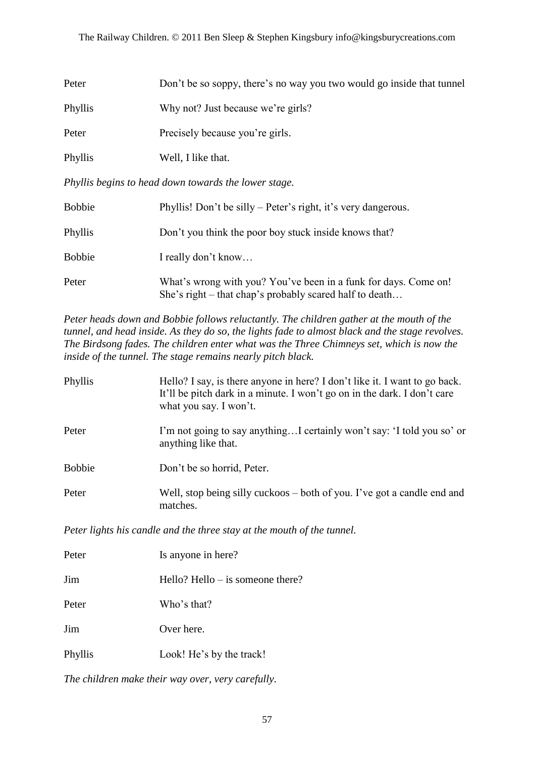| Peter   | Don't be so soppy, there's no way you two would go inside that tunnel |
|---------|-----------------------------------------------------------------------|
| Phyllis | Why not? Just because we're girls?                                    |
| Peter   | Precisely because you're girls.                                       |
| Phyllis | Well, I like that.                                                    |

*Phyllis begins to head down towards the lower stage.*

| <b>Bobbie</b> | Phyllis! Don't be silly – Peter's right, it's very dangerous.                                                              |
|---------------|----------------------------------------------------------------------------------------------------------------------------|
| Phyllis       | Don't you think the poor boy stuck inside knows that?                                                                      |
| <b>Bobbie</b> | I really don't know                                                                                                        |
| Peter         | What's wrong with you? You've been in a funk for days. Come on!<br>She's right – that chap's probably scared half to death |

*Peter heads down and Bobbie follows reluctantly. The children gather at the mouth of the tunnel, and head inside. As they do so, the lights fade to almost black and the stage revolves. The Birdsong fades. The children enter what was the Three Chimneys set, which is now the inside of the tunnel. The stage remains nearly pitch black.*

| Phyllis       | Hello? I say, is there anyone in here? I don't like it. I want to go back.<br>It'll be pitch dark in a minute. I won't go on in the dark. I don't care<br>what you say. I won't. |
|---------------|----------------------------------------------------------------------------------------------------------------------------------------------------------------------------------|
| Peter         | I'm not going to say anythingI certainly won't say: 'I told you so' or<br>anything like that.                                                                                    |
| <b>Bobbie</b> | Don't be so horrid, Peter.                                                                                                                                                       |
| Peter         | Well, stop being silly cuckoos – both of you. I've got a candle end and<br>matches.                                                                                              |

*Peter lights his candle and the three stay at the mouth of the tunnel.*

| Peter   | Is anyone in here?                 |
|---------|------------------------------------|
| Jim     | Hello? Hello $-$ is someone there? |
| Peter   | Who's that?                        |
| Jim     | Over here.                         |
| Phyllis | Look! He's by the track!           |

*The children make their way over, very carefully.*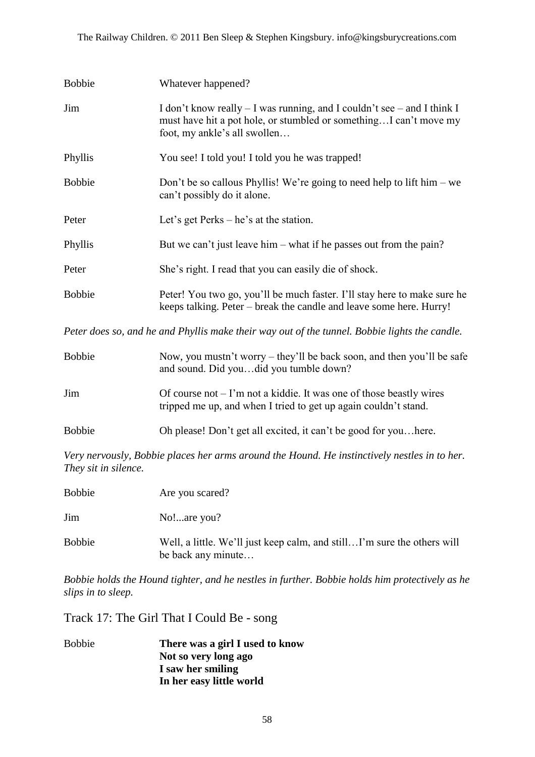| <b>Bobbie</b> | Whatever happened?                                                                                                                                                           |
|---------------|------------------------------------------------------------------------------------------------------------------------------------------------------------------------------|
| Jim           | I don't know really – I was running, and I couldn't see – and I think I<br>must have hit a pot hole, or stumbled or somethingI can't move my<br>foot, my ankle's all swollen |
| Phyllis       | You see! I told you! I told you he was trapped!                                                                                                                              |
| <b>Bobbie</b> | Don't be so callous Phyllis! We're going to need help to lift him – we<br>can't possibly do it alone.                                                                        |
| Peter         | Let's get Perks $-$ he's at the station.                                                                                                                                     |
| Phyllis       | But we can't just leave him – what if he passes out from the pain?                                                                                                           |
| Peter         | She's right. I read that you can easily die of shock.                                                                                                                        |
| <b>Bobbie</b> | Peter! You two go, you'll be much faster. I'll stay here to make sure he<br>keeps talking. Peter – break the candle and leave some here. Hurry!                              |

*Peter does so, and he and Phyllis make their way out of the tunnel. Bobbie lights the candle.*

| <b>Bobbie</b> | Now, you must n't worry – they'll be back soon, and then you'll be safe<br>and sound. Did youdid you tumble down?                        |
|---------------|------------------------------------------------------------------------------------------------------------------------------------------|
| Jim           | Of course not $-1$ 'm not a kiddie. It was one of those beastly wires<br>tripped me up, and when I tried to get up again couldn't stand. |
| <b>Bobbie</b> | Oh please! Don't get all excited, it can't be good for youhere.                                                                          |

*Very nervously, Bobbie places her arms around the Hound. He instinctively nestles in to her. They sit in silence.*

Bobbie Are you scared? Jim No!...are you? Bobbie Well, a little. We'll just keep calm, and still…I'm sure the others will be back any minute…

*Bobbie holds the Hound tighter, and he nestles in further. Bobbie holds him protectively as he slips in to sleep.*

Track 17: The Girl That I Could Be - song

Bobbie **There was a girl I used to know Not so very long ago I saw her smiling In her easy little world**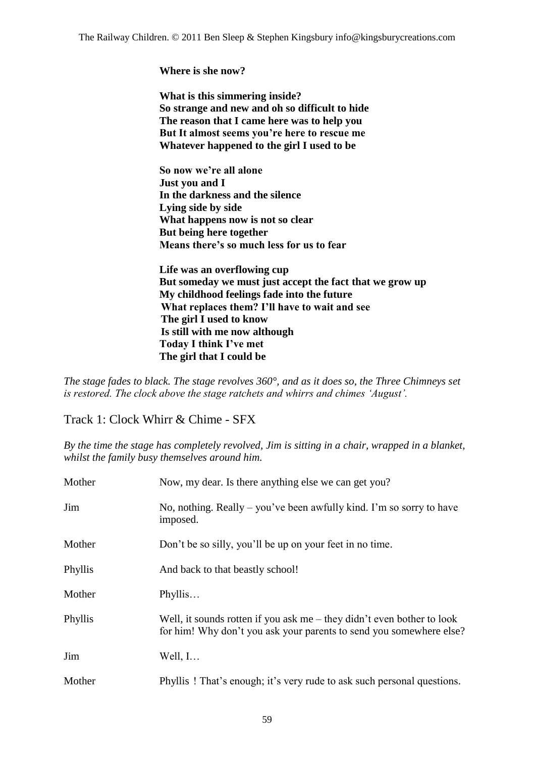**Where is she now?**

**What is this simmering inside? So strange and new and oh so difficult to hide The reason that I came here was to help you But It almost seems you"re here to rescue me Whatever happened to the girl I used to be**

**So now we"re all alone Just you and I In the darkness and the silence Lying side by side What happens now is not so clear But being here together Means there"s so much less for us to fear** 

**Life was an overflowing cup But someday we must just accept the fact that we grow up My childhood feelings fade into the future What replaces them? I"ll have to wait and see The girl I used to know Is still with me now although Today I think I"ve met The girl that I could be**

*The stage fades to black. The stage revolves 360°, and as it does so, the Three Chimneys set is restored. The clock above the stage ratchets and whirrs and chimes 'August'.*

Track 1: Clock Whirr & Chime - SFX

*By the time the stage has completely revolved, Jim is sitting in a chair, wrapped in a blanket, whilst the family busy themselves around him.*

| Mother  | Now, my dear. Is there anything else we can get you?                                                                                            |
|---------|-------------------------------------------------------------------------------------------------------------------------------------------------|
| Jim     | No, nothing. Really – you've been awfully kind. I'm so sorry to have<br>imposed.                                                                |
| Mother  | Don't be so silly, you'll be up on your feet in no time.                                                                                        |
| Phyllis | And back to that beastly school!                                                                                                                |
| Mother  | Phyllis                                                                                                                                         |
| Phyllis | Well, it sounds rotten if you ask me $-$ they didn't even bother to look<br>for him! Why don't you ask your parents to send you somewhere else? |
| Jim     | Well, $I$                                                                                                                                       |
| Mother  | Phyllis! That's enough; it's very rude to ask such personal questions.                                                                          |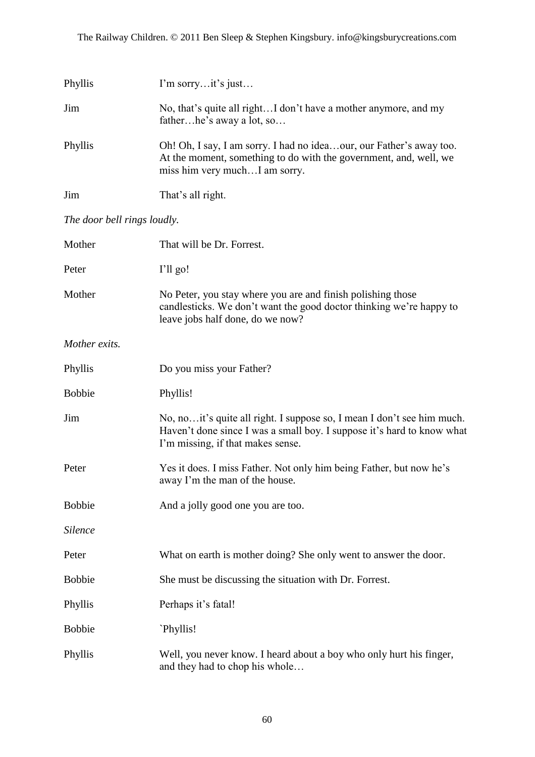| Phyllis                     | I'm sorryit's just                                                                                                                                                                     |
|-----------------------------|----------------------------------------------------------------------------------------------------------------------------------------------------------------------------------------|
| Jim                         | No, that's quite all rightI don't have a mother anymore, and my<br>fatherhe's away a lot, so                                                                                           |
| Phyllis                     | Oh! Oh, I say, I am sorry. I had no ideaour, our Father's away too.<br>At the moment, something to do with the government, and, well, we<br>miss him very muchI am sorry.              |
| Jim                         | That's all right.                                                                                                                                                                      |
| The door bell rings loudly. |                                                                                                                                                                                        |
| Mother                      | That will be Dr. Forrest.                                                                                                                                                              |
| Peter                       | I'll go!                                                                                                                                                                               |
| Mother                      | No Peter, you stay where you are and finish polishing those<br>candlesticks. We don't want the good doctor thinking we're happy to<br>leave jobs half done, do we now?                 |
| Mother exits.               |                                                                                                                                                                                        |
| Phyllis                     | Do you miss your Father?                                                                                                                                                               |
| <b>Bobbie</b>               | Phyllis!                                                                                                                                                                               |
| Jim                         | No, no it's quite all right. I suppose so, I mean I don't see him much.<br>Haven't done since I was a small boy. I suppose it's hard to know what<br>I'm missing, if that makes sense. |
| Peter                       | Yes it does. I miss Father. Not only him being Father, but now he's<br>away I'm the man of the house.                                                                                  |
| <b>Bobbie</b>               | And a jolly good one you are too.                                                                                                                                                      |
| <b>Silence</b>              |                                                                                                                                                                                        |
| Peter                       | What on earth is mother doing? She only went to answer the door.                                                                                                                       |
| <b>Bobbie</b>               | She must be discussing the situation with Dr. Forrest.                                                                                                                                 |
| Phyllis                     | Perhaps it's fatal!                                                                                                                                                                    |
| <b>Bobbie</b>               | `Phyllis!                                                                                                                                                                              |
| Phyllis                     | Well, you never know. I heard about a boy who only hurt his finger,<br>and they had to chop his whole                                                                                  |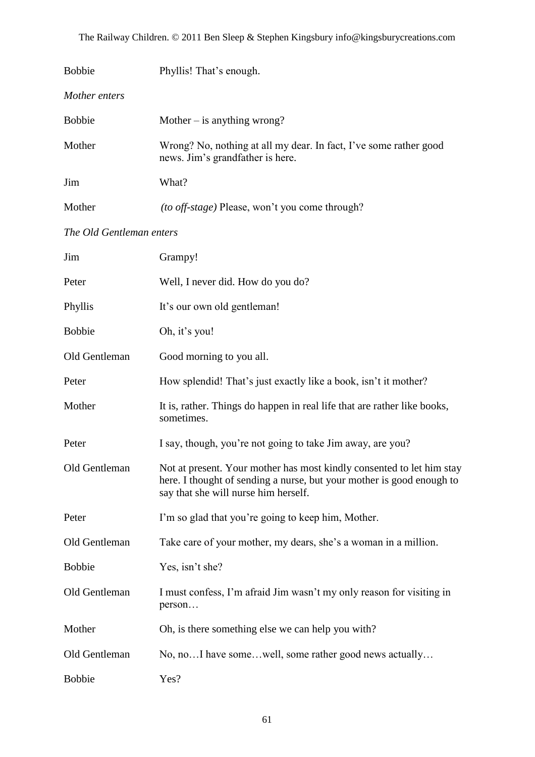The Railway Children. © 2011 Ben Sleep & Stephen Kingsbury info@kingsburycreations.com

| <b>Bobbie</b>            | Phyllis! That's enough.                                                                                                                                                                |
|--------------------------|----------------------------------------------------------------------------------------------------------------------------------------------------------------------------------------|
| Mother enters            |                                                                                                                                                                                        |
| <b>Bobbie</b>            | Mother $-$ is anything wrong?                                                                                                                                                          |
| Mother                   | Wrong? No, nothing at all my dear. In fact, I've some rather good<br>news. Jim's grandfather is here.                                                                                  |
| Jim                      | What?                                                                                                                                                                                  |
| Mother                   | <i>(to off-stage)</i> Please, won't you come through?                                                                                                                                  |
| The Old Gentleman enters |                                                                                                                                                                                        |
| Jim                      | Grampy!                                                                                                                                                                                |
| Peter                    | Well, I never did. How do you do?                                                                                                                                                      |
| Phyllis                  | It's our own old gentleman!                                                                                                                                                            |
| <b>Bobbie</b>            | Oh, it's you!                                                                                                                                                                          |
| Old Gentleman            | Good morning to you all.                                                                                                                                                               |
| Peter                    | How splendid! That's just exactly like a book, isn't it mother?                                                                                                                        |
| Mother                   | It is, rather. Things do happen in real life that are rather like books,<br>sometimes.                                                                                                 |
| Peter                    | I say, though, you're not going to take Jim away, are you?                                                                                                                             |
| Old Gentleman            | Not at present. Your mother has most kindly consented to let him stay<br>here. I thought of sending a nurse, but your mother is good enough to<br>say that she will nurse him herself. |
| Peter                    | I'm so glad that you're going to keep him, Mother.                                                                                                                                     |
| Old Gentleman            | Take care of your mother, my dears, she's a woman in a million.                                                                                                                        |
| <b>Bobbie</b>            | Yes, isn't she?                                                                                                                                                                        |
| Old Gentleman            | I must confess, I'm afraid Jim wasn't my only reason for visiting in<br>person                                                                                                         |
| Mother                   | Oh, is there something else we can help you with?                                                                                                                                      |
| Old Gentleman            | No, noI have somewell, some rather good news actually                                                                                                                                  |
| <b>Bobbie</b>            | Yes?                                                                                                                                                                                   |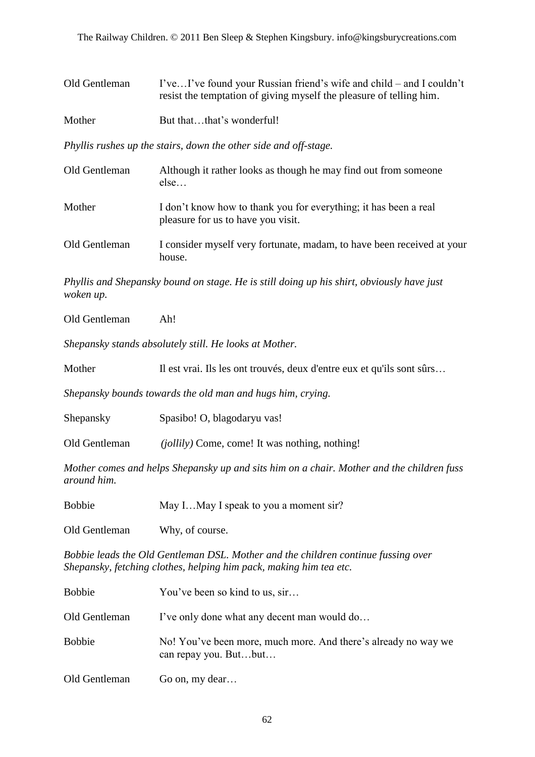| Old Gentleman                                                    | I'veI've found your Russian friend's wife and child – and I couldn't<br>resist the temptation of giving myself the pleasure of telling him. |  |
|------------------------------------------------------------------|---------------------------------------------------------------------------------------------------------------------------------------------|--|
| Mother                                                           | But thatthat's wonderful!                                                                                                                   |  |
| Phyllis rushes up the stairs, down the other side and off-stage. |                                                                                                                                             |  |
| Old Gentleman                                                    | Although it rather looks as though he may find out from some one<br>else                                                                    |  |
| Mother                                                           | I don't know how to thank you for everything; it has been a real<br>pleasure for us to have you visit.                                      |  |
| Old Gentleman                                                    | I consider myself very fortunate, madam, to have been received at your<br>house.                                                            |  |
| woken up.                                                        | Phyllis and Shepansky bound on stage. He is still doing up his shirt, obviously have just                                                   |  |

Old Gentleman Ah!

*Shepansky stands absolutely still. He looks at Mother.*

| Mother<br>Il est vrai. Ils les ont trouvés, deux d'entre eux et qu'ils sont sûrs |  |
|----------------------------------------------------------------------------------|--|
|----------------------------------------------------------------------------------|--|

*Shepansky bounds towards the old man and hugs him, crying.*

| Shepansky | Spasibo! O, blagodaryu vas! |
|-----------|-----------------------------|
|-----------|-----------------------------|

Old Gentleman *(jollily)* Come, come! It was nothing, nothing!

*Mother comes and helps Shepansky up and sits him on a chair. Mother and the children fuss around him.*

| <b>Bobbie</b> | May IMay I speak to you a moment sir? |  |
|---------------|---------------------------------------|--|
|---------------|---------------------------------------|--|

Old Gentleman Why, of course.

*Bobbie leads the Old Gentleman DSL. Mother and the children continue fussing over Shepansky, fetching clothes, helping him pack, making him tea etc.*

| <b>Bobbie</b> | You've been so kind to us, sir                                                          |
|---------------|-----------------------------------------------------------------------------------------|
| Old Gentleman | I've only done what any decent man would do                                             |
| <b>Bobbie</b> | No! You've been more, much more. And there's already no way we<br>can repay you. Butbut |
| Old Gentleman | Go on, my dear                                                                          |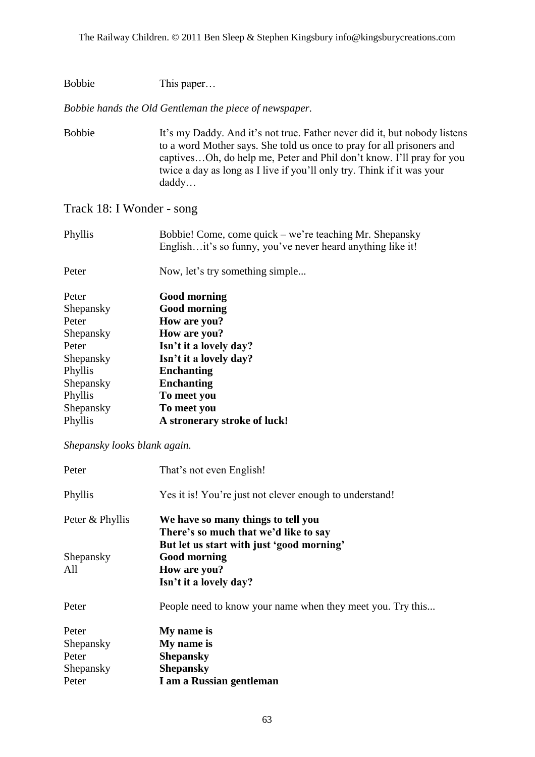| <b>Bobbie</b> | This paper |
|---------------|------------|
|---------------|------------|

*Bobbie hands the Old Gentleman the piece of newspaper.*

Bobbie It's my Daddy. And it's not true. Father never did it, but nobody listens to a word Mother says. She told us once to pray for all prisoners and captives…Oh, do help me, Peter and Phil don"t know. I"ll pray for you twice a day as long as I live if you"ll only try. Think if it was your daddy…

#### Track 18: I Wonder - song

| Phyllis            | Bobbie! Come, come quick – we're teaching Mr. Shepansky<br>Englishit's so funny, you've never heard anything like it! |
|--------------------|-----------------------------------------------------------------------------------------------------------------------|
| Peter              | Now, let's try something simple                                                                                       |
| Peter<br>Shepansky | <b>Good morning</b><br><b>Good morning</b>                                                                            |

| Shepansky | Good morning                 |
|-----------|------------------------------|
| Peter     | How are you?                 |
| Shepansky | How are you?                 |
| Peter     | Isn't it a lovely day?       |
| Shepansky | Isn't it a lovely day?       |
| Phyllis   | <b>Enchanting</b>            |
| Shepansky | <b>Enchanting</b>            |
| Phyllis   | To meet you                  |
| Shepansky | To meet you                  |
| Phyllis   | A stronerary stroke of luck! |
|           |                              |

#### *Shepansky looks blank again.*

| That's not even English!                                                                                                 |
|--------------------------------------------------------------------------------------------------------------------------|
| Yes it is! You're just not clever enough to understand!                                                                  |
| We have so many things to tell you<br>There's so much that we'd like to say<br>But let us start with just 'good morning' |
| <b>Good morning</b>                                                                                                      |
| How are you?                                                                                                             |
| Isn't it a lovely day?                                                                                                   |
| People need to know your name when they meet you. Try this                                                               |
| My name is                                                                                                               |
| My name is                                                                                                               |
| <b>Shepansky</b>                                                                                                         |
| <b>Shepansky</b>                                                                                                         |
| I am a Russian gentleman                                                                                                 |
|                                                                                                                          |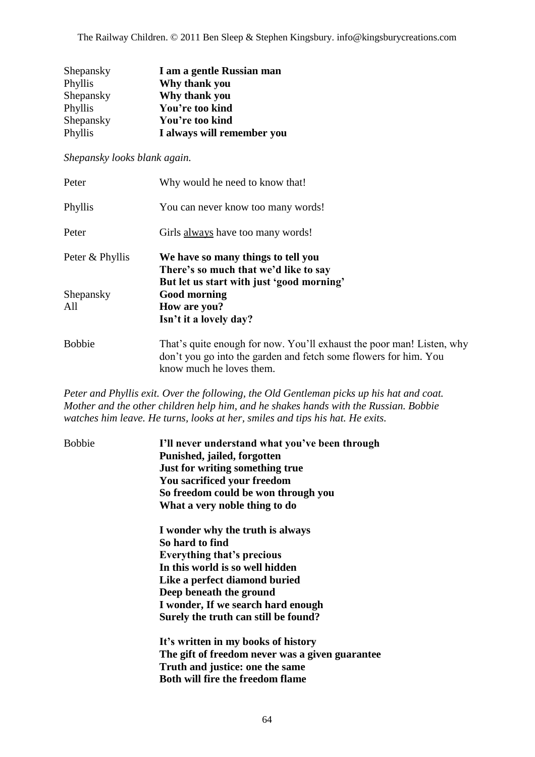The Railway Children. © 2011 Ben Sleep & Stephen Kingsbury. info@kingsburycreations.com

| Shepansky | I am a gentle Russian man  |
|-----------|----------------------------|
| Phyllis   | Why thank you              |
| Shepansky | Why thank you              |
| Phyllis   | You're too kind            |
| Shepansky | You're too kind            |
| Phyllis   | I always will remember you |

*Shepansky looks blank again.*

| Peter            | Why would he need to know that!                                                                                                                                       |
|------------------|-----------------------------------------------------------------------------------------------------------------------------------------------------------------------|
| Phyllis          | You can never know too many words!                                                                                                                                    |
| Peter            | Girls always have too many words!                                                                                                                                     |
| Peter & Phyllis  | We have so many things to tell you<br>There's so much that we'd like to say<br>But let us start with just 'good morning'                                              |
| Shepansky<br>All | <b>Good morning</b><br>How are you?<br>Isn't it a lovely day?                                                                                                         |
| <b>Bobbie</b>    | That's quite enough for now. You'll exhaust the poor man! Listen, why<br>don't you go into the garden and fetch some flowers for him. You<br>know much he loves them. |

*Peter and Phyllis exit. Over the following, the Old Gentleman picks up his hat and coat. Mother and the other children help him, and he shakes hands with the Russian. Bobbie watches him leave. He turns, looks at her, smiles and tips his hat. He exits.*

| <b>Bobbie</b> | I'll never understand what you've been through<br>Punished, jailed, forgotten<br>Just for writing something true<br>You sacrificed your freedom<br>So freedom could be won through you<br>What a very noble thing to do                                               |
|---------------|-----------------------------------------------------------------------------------------------------------------------------------------------------------------------------------------------------------------------------------------------------------------------|
|               | I wonder why the truth is always<br>So hard to find<br><b>Everything that's precious</b><br>In this world is so well hidden<br>Like a perfect diamond buried<br>Deep beneath the ground<br>I wonder, If we search hard enough<br>Surely the truth can still be found? |
|               | It's written in my books of history<br>The gift of freedom never was a given guarantee<br>Truth and justice: one the same<br><b>Both will fire the freedom flame</b>                                                                                                  |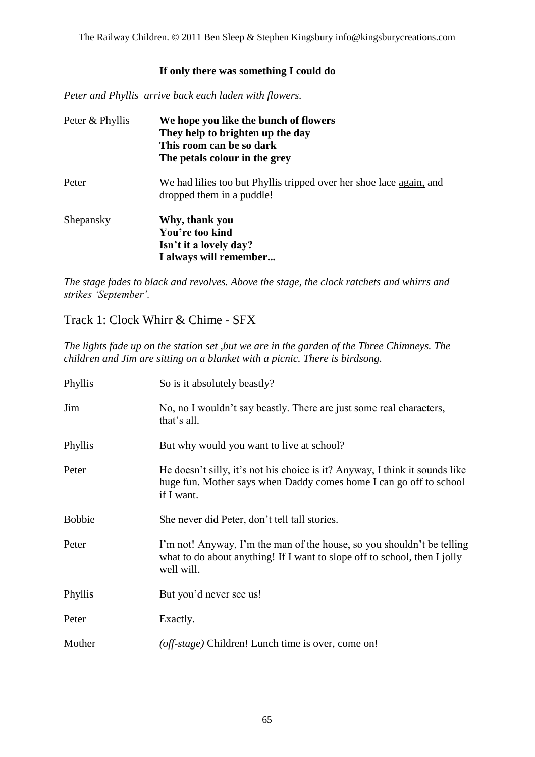The Railway Children. © 2011 Ben Sleep & Stephen Kingsbury info@kingsburycreations.com

#### **If only there was something I could do**

*Peter and Phyllis arrive back each laden with flowers.*

| Peter & Phyllis | We hope you like the bunch of flowers<br>They help to brighten up the day<br>This room can be so dark<br>The petals colour in the grey |
|-----------------|----------------------------------------------------------------------------------------------------------------------------------------|
| Peter           | We had lilies too but Phyllis tripped over her shoe lace again, and<br>dropped them in a puddle!                                       |
| Shepansky       | Why, thank you<br>You're too kind<br>Isn't it a lovely day?<br>I always will remember                                                  |

*The stage fades to black and revolves. Above the stage, the clock ratchets and whirrs and strikes 'September'.*

#### Track 1: Clock Whirr & Chime - SFX

*The lights fade up on the station set ,but we are in the garden of the Three Chimneys. The children and Jim are sitting on a blanket with a picnic. There is birdsong.*

| Phyllis       | So is it absolutely beastly?                                                                                                                                      |
|---------------|-------------------------------------------------------------------------------------------------------------------------------------------------------------------|
| Jim           | No, no I wouldn't say beastly. There are just some real characters,<br>that's all.                                                                                |
| Phyllis       | But why would you want to live at school?                                                                                                                         |
| Peter         | He doesn't silly, it's not his choice is it? Anyway, I think it sounds like<br>huge fun. Mother says when Daddy comes home I can go off to school<br>if I want.   |
| <b>Bobbie</b> | She never did Peter, don't tell tall stories.                                                                                                                     |
| Peter         | I'm not! Anyway, I'm the man of the house, so you shouldn't be telling<br>what to do about anything! If I want to slope off to school, then I jolly<br>well will. |
| Phyllis       | But you'd never see us!                                                                                                                                           |
| Peter         | Exactly.                                                                                                                                                          |
| Mother        | (off-stage) Children! Lunch time is over, come on!                                                                                                                |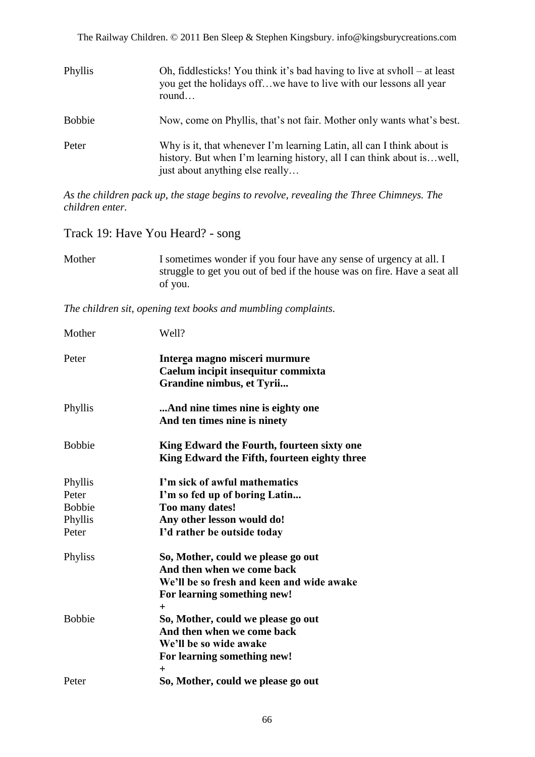The Railway Children. © 2011 Ben Sleep & Stephen Kingsbury. info@kingsburycreations.com

| Phyllis       | Oh, fiddlesticks! You think it's bad having to live at syholl – at least<br>you get the holidays off we have to live with our lessons all year<br>round                            |
|---------------|------------------------------------------------------------------------------------------------------------------------------------------------------------------------------------|
| <b>Bobbie</b> | Now, come on Phyllis, that's not fair. Mother only wants what's best.                                                                                                              |
| Peter         | Why is it, that whenever I'm learning Latin, all can I think about is<br>history. But when I'm learning history, all I can think about is well,<br>just about anything else really |

*As the children pack up, the stage begins to revolve, revealing the Three Chimneys. The children enter.*

Track 19: Have You Heard? - song

| Mother | I sometimes wonder if you four have any sense of urgency at all. I       |
|--------|--------------------------------------------------------------------------|
|        | struggle to get you out of bed if the house was on fire. Have a seat all |
|        | of you.                                                                  |

*The children sit, opening text books and mumbling complaints.*

| Mother                                                | Well?                                                                                                                                                 |
|-------------------------------------------------------|-------------------------------------------------------------------------------------------------------------------------------------------------------|
| Peter                                                 | Interea magno misceri murmure<br>Caelum incipit insequitur commixta<br>Grandine nimbus, et Tyrii                                                      |
| Phyllis                                               | And nine times nine is eighty one<br>And ten times nine is ninety                                                                                     |
| <b>Bobbie</b>                                         | King Edward the Fourth, fourteen sixty one<br>King Edward the Fifth, fourteen eighty three                                                            |
| Phyllis<br>Peter<br><b>Bobbie</b><br>Phyllis<br>Peter | I'm sick of awful mathematics<br>I'm so fed up of boring Latin<br>Too many dates!<br>Any other lesson would do!<br>I'd rather be outside today        |
| Phyliss                                               | So, Mother, could we please go out<br>And then when we come back<br>We'll be so fresh and keen and wide awake<br>For learning something new!<br>$\pm$ |
| <b>Bobbie</b>                                         | So, Mother, could we please go out<br>And then when we come back<br>We'll be so wide awake<br>For learning something new!<br>┿                        |
| Peter                                                 | So, Mother, could we please go out                                                                                                                    |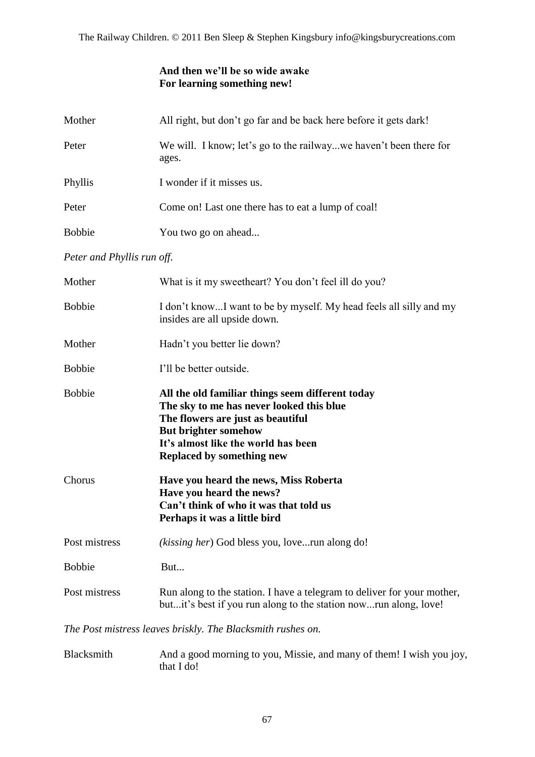#### **And then we"ll be so wide awake For learning something new!**

| Mother                     | All right, but don't go far and be back here before it gets dark!                                                                                                                                                                           |
|----------------------------|---------------------------------------------------------------------------------------------------------------------------------------------------------------------------------------------------------------------------------------------|
| Peter                      | We will. I know; let's go to the railwaywe haven't been there for<br>ages.                                                                                                                                                                  |
| Phyllis                    | I wonder if it misses us.                                                                                                                                                                                                                   |
| Peter                      | Come on! Last one there has to eat a lump of coal!                                                                                                                                                                                          |
| <b>Bobbie</b>              | You two go on ahead                                                                                                                                                                                                                         |
| Peter and Phyllis run off. |                                                                                                                                                                                                                                             |
| Mother                     | What is it my sweetheart? You don't feel ill do you?                                                                                                                                                                                        |
| <b>Bobbie</b>              | I don't knowI want to be by myself. My head feels all silly and my<br>insides are all upside down.                                                                                                                                          |
| Mother                     | Hadn't you better lie down?                                                                                                                                                                                                                 |
| <b>Bobbie</b>              | I'll be better outside.                                                                                                                                                                                                                     |
| <b>Bobbie</b>              | All the old familiar things seem different today<br>The sky to me has never looked this blue<br>The flowers are just as beautiful<br><b>But brighter somehow</b><br>It's almost like the world has been<br><b>Replaced by something new</b> |
| Chorus                     | Have you heard the news, Miss Roberta<br>Have you heard the news?<br>Can't think of who it was that told us<br>Perhaps it was a little bird                                                                                                 |
| Post mistress              | (kissing her) God bless you, loverun along do!                                                                                                                                                                                              |
| <b>Bobbie</b>              | But                                                                                                                                                                                                                                         |
| Post mistress              | Run along to the station. I have a telegram to deliver for your mother,<br>butit's best if you run along to the station nowrun along, love!                                                                                                 |
|                            | The Post mistress leaves briskly. The Blacksmith rushes on.                                                                                                                                                                                 |
| Blacksmith                 | And a good morning to you, Missie, and many of them! I wish you joy,                                                                                                                                                                        |

that I do!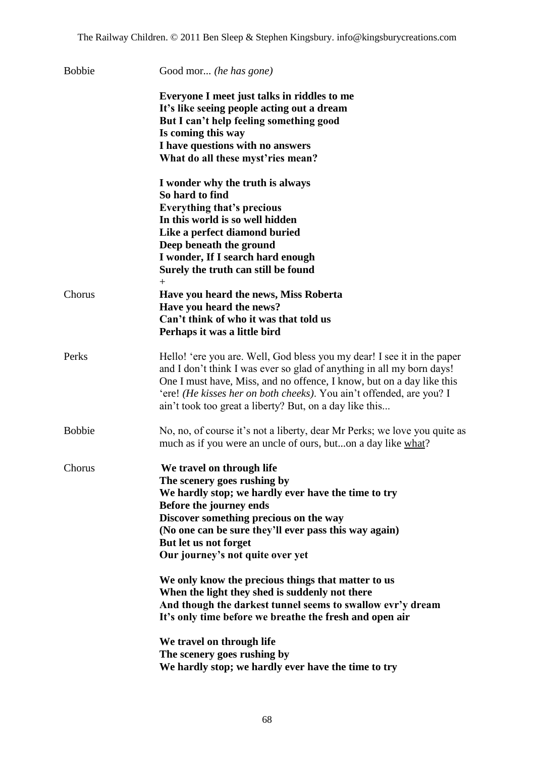| <b>Bobbie</b> | Good mor (he has gone)                                                                                                                                                                                                                                                                                                                                       |
|---------------|--------------------------------------------------------------------------------------------------------------------------------------------------------------------------------------------------------------------------------------------------------------------------------------------------------------------------------------------------------------|
|               | Everyone I meet just talks in riddles to me<br>It's like seeing people acting out a dream<br>But I can't help feeling something good<br>Is coming this way<br>I have questions with no answers<br>What do all these myst'ries mean?                                                                                                                          |
|               | I wonder why the truth is always<br>So hard to find<br><b>Everything that's precious</b><br>In this world is so well hidden<br>Like a perfect diamond buried<br>Deep beneath the ground<br>I wonder, If I search hard enough<br>Surely the truth can still be found                                                                                          |
| Chorus        | $^{+}$<br>Have you heard the news, Miss Roberta<br>Have you heard the news?<br>Can't think of who it was that told us<br>Perhaps it was a little bird                                                                                                                                                                                                        |
| Perks         | Hello! 'ere you are. Well, God bless you my dear! I see it in the paper<br>and I don't think I was ever so glad of anything in all my born days!<br>One I must have, Miss, and no offence, I know, but on a day like this<br>'ere! (He kisses her on both cheeks). You ain't offended, are you? I<br>ain't took too great a liberty? But, on a day like this |
| <b>Bobbie</b> | No, no, of course it's not a liberty, dear Mr Perks; we love you quite as<br>much as if you were an uncle of ours, buton a day like what?                                                                                                                                                                                                                    |
| Chorus        | We travel on through life<br>The scenery goes rushing by<br>We hardly stop; we hardly ever have the time to try<br>Before the journey ends<br>Discover something precious on the way<br>(No one can be sure they'll ever pass this way again)<br>But let us not forget<br>Our journey's not quite over yet                                                   |
|               | We only know the precious things that matter to us<br>When the light they shed is suddenly not there<br>And though the darkest tunnel seems to swallow evr'y dream<br>It's only time before we breathe the fresh and open air                                                                                                                                |
|               | We travel on through life<br>The scenery goes rushing by<br>We hardly stop; we hardly ever have the time to try                                                                                                                                                                                                                                              |